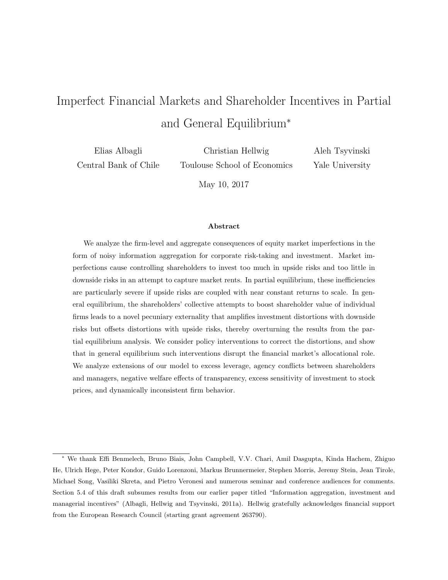# Imperfect Financial Markets and Shareholder Incentives in Partial and General Equilibrium<sup>∗</sup>

Elias Albagli Central Bank of Chile

Christian Hellwig Toulouse School of Economics Aleh Tsyvinski Yale University

May 10, 2017

#### Abstract

We analyze the firm-level and aggregate consequences of equity market imperfections in the form of noisy information aggregation for corporate risk-taking and investment. Market imperfections cause controlling shareholders to invest too much in upside risks and too little in downside risks in an attempt to capture market rents. In partial equilibrium, these inefficiencies are particularly severe if upside risks are coupled with near constant returns to scale. In general equilibrium, the shareholders' collective attempts to boost shareholder value of individual firms leads to a novel pecuniary externality that amplifies investment distortions with downside risks but offsets distortions with upside risks, thereby overturning the results from the partial equilibrium analysis. We consider policy interventions to correct the distortions, and show that in general equilibrium such interventions disrupt the financial market's allocational role. We analyze extensions of our model to excess leverage, agency conflicts between shareholders and managers, negative welfare effects of transparency, excess sensitivity of investment to stock prices, and dynamically inconsistent firm behavior.

<sup>∗</sup> We thank Effi Benmelech, Bruno Biais, John Campbell, V.V. Chari, Amil Dasgupta, Kinda Hachem, Zhiguo He, Ulrich Hege, Peter Kondor, Guido Lorenzoni, Markus Brunnermeier, Stephen Morris, Jeremy Stein, Jean Tirole, Michael Song, Vasiliki Skreta, and Pietro Veronesi and numerous seminar and conference audiences for comments. Section 5.4 of this draft subsumes results from our earlier paper titled "Information aggregation, investment and managerial incentives" (Albagli, Hellwig and Tsyvinski, 2011a). Hellwig gratefully acknowledges financial support from the European Research Council (starting grant agreement 263790).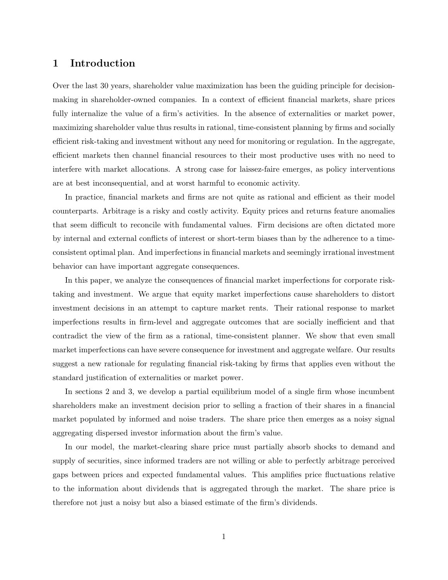# 1 Introduction

Over the last 30 years, shareholder value maximization has been the guiding principle for decisionmaking in shareholder-owned companies. In a context of efficient financial markets, share prices fully internalize the value of a firm's activities. In the absence of externalities or market power, maximizing shareholder value thus results in rational, time-consistent planning by firms and socially efficient risk-taking and investment without any need for monitoring or regulation. In the aggregate, efficient markets then channel financial resources to their most productive uses with no need to interfere with market allocations. A strong case for laissez-faire emerges, as policy interventions are at best inconsequential, and at worst harmful to economic activity.

In practice, financial markets and firms are not quite as rational and efficient as their model counterparts. Arbitrage is a risky and costly activity. Equity prices and returns feature anomalies that seem difficult to reconcile with fundamental values. Firm decisions are often dictated more by internal and external conflicts of interest or short-term biases than by the adherence to a timeconsistent optimal plan. And imperfections in financial markets and seemingly irrational investment behavior can have important aggregate consequences.

In this paper, we analyze the consequences of financial market imperfections for corporate risktaking and investment. We argue that equity market imperfections cause shareholders to distort investment decisions in an attempt to capture market rents. Their rational response to market imperfections results in firm-level and aggregate outcomes that are socially inefficient and that contradict the view of the firm as a rational, time-consistent planner. We show that even small market imperfections can have severe consequence for investment and aggregate welfare. Our results suggest a new rationale for regulating financial risk-taking by firms that applies even without the standard justification of externalities or market power.

In sections 2 and 3, we develop a partial equilibrium model of a single firm whose incumbent shareholders make an investment decision prior to selling a fraction of their shares in a financial market populated by informed and noise traders. The share price then emerges as a noisy signal aggregating dispersed investor information about the firm's value.

In our model, the market-clearing share price must partially absorb shocks to demand and supply of securities, since informed traders are not willing or able to perfectly arbitrage perceived gaps between prices and expected fundamental values. This amplifies price fluctuations relative to the information about dividends that is aggregated through the market. The share price is therefore not just a noisy but also a biased estimate of the firm's dividends.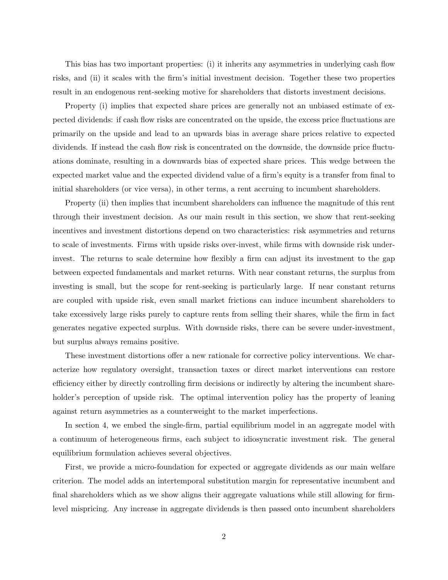This bias has two important properties: (i) it inherits any asymmetries in underlying cash flow risks, and (ii) it scales with the firm's initial investment decision. Together these two properties result in an endogenous rent-seeking motive for shareholders that distorts investment decisions.

Property (i) implies that expected share prices are generally not an unbiased estimate of expected dividends: if cash flow risks are concentrated on the upside, the excess price fluctuations are primarily on the upside and lead to an upwards bias in average share prices relative to expected dividends. If instead the cash flow risk is concentrated on the downside, the downside price fluctuations dominate, resulting in a downwards bias of expected share prices. This wedge between the expected market value and the expected dividend value of a firm's equity is a transfer from final to initial shareholders (or vice versa), in other terms, a rent accruing to incumbent shareholders.

Property (ii) then implies that incumbent shareholders can influence the magnitude of this rent through their investment decision. As our main result in this section, we show that rent-seeking incentives and investment distortions depend on two characteristics: risk asymmetries and returns to scale of investments. Firms with upside risks over-invest, while firms with downside risk underinvest. The returns to scale determine how flexibly a firm can adjust its investment to the gap between expected fundamentals and market returns. With near constant returns, the surplus from investing is small, but the scope for rent-seeking is particularly large. If near constant returns are coupled with upside risk, even small market frictions can induce incumbent shareholders to take excessively large risks purely to capture rents from selling their shares, while the firm in fact generates negative expected surplus. With downside risks, there can be severe under-investment, but surplus always remains positive.

These investment distortions offer a new rationale for corrective policy interventions. We characterize how regulatory oversight, transaction taxes or direct market interventions can restore efficiency either by directly controlling firm decisions or indirectly by altering the incumbent shareholder's perception of upside risk. The optimal intervention policy has the property of leaning against return asymmetries as a counterweight to the market imperfections.

In section 4, we embed the single-firm, partial equilibrium model in an aggregate model with a continuum of heterogeneous firms, each subject to idiosyncratic investment risk. The general equilibrium formulation achieves several objectives.

First, we provide a micro-foundation for expected or aggregate dividends as our main welfare criterion. The model adds an intertemporal substitution margin for representative incumbent and final shareholders which as we show aligns their aggregate valuations while still allowing for firmlevel mispricing. Any increase in aggregate dividends is then passed onto incumbent shareholders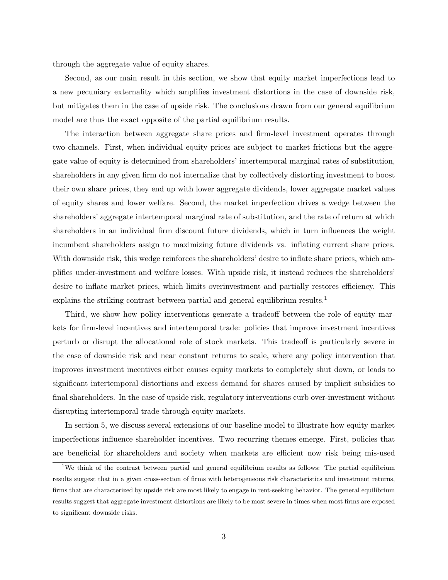through the aggregate value of equity shares.

Second, as our main result in this section, we show that equity market imperfections lead to a new pecuniary externality which amplifies investment distortions in the case of downside risk, but mitigates them in the case of upside risk. The conclusions drawn from our general equilibrium model are thus the exact opposite of the partial equilibrium results.

The interaction between aggregate share prices and firm-level investment operates through two channels. First, when individual equity prices are subject to market frictions but the aggregate value of equity is determined from shareholders' intertemporal marginal rates of substitution, shareholders in any given firm do not internalize that by collectively distorting investment to boost their own share prices, they end up with lower aggregate dividends, lower aggregate market values of equity shares and lower welfare. Second, the market imperfection drives a wedge between the shareholders' aggregate intertemporal marginal rate of substitution, and the rate of return at which shareholders in an individual firm discount future dividends, which in turn influences the weight incumbent shareholders assign to maximizing future dividends vs. inflating current share prices. With downside risk, this wedge reinforces the shareholders' desire to inflate share prices, which amplifies under-investment and welfare losses. With upside risk, it instead reduces the shareholders' desire to inflate market prices, which limits overinvestment and partially restores efficiency. This explains the striking contrast between partial and general equilibrium results.<sup>1</sup>

Third, we show how policy interventions generate a tradeoff between the role of equity markets for firm-level incentives and intertemporal trade: policies that improve investment incentives perturb or disrupt the allocational role of stock markets. This tradeoff is particularly severe in the case of downside risk and near constant returns to scale, where any policy intervention that improves investment incentives either causes equity markets to completely shut down, or leads to significant intertemporal distortions and excess demand for shares caused by implicit subsidies to final shareholders. In the case of upside risk, regulatory interventions curb over-investment without disrupting intertemporal trade through equity markets.

In section 5, we discuss several extensions of our baseline model to illustrate how equity market imperfections influence shareholder incentives. Two recurring themes emerge. First, policies that are beneficial for shareholders and society when markets are efficient now risk being mis-used

<sup>1</sup>We think of the contrast between partial and general equilibrium results as follows: The partial equilibrium results suggest that in a given cross-section of firms with heterogeneous risk characteristics and investment returns, firms that are characterized by upside risk are most likely to engage in rent-seeking behavior. The general equilibrium results suggest that aggregate investment distortions are likely to be most severe in times when most firms are exposed to significant downside risks.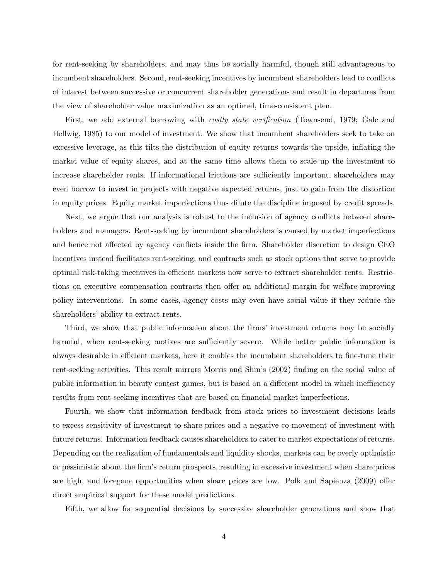for rent-seeking by shareholders, and may thus be socially harmful, though still advantageous to incumbent shareholders. Second, rent-seeking incentives by incumbent shareholders lead to conflicts of interest between successive or concurrent shareholder generations and result in departures from the view of shareholder value maximization as an optimal, time-consistent plan.

First, we add external borrowing with *costly state verification* (Townsend, 1979; Gale and Hellwig, 1985) to our model of investment. We show that incumbent shareholders seek to take on excessive leverage, as this tilts the distribution of equity returns towards the upside, inflating the market value of equity shares, and at the same time allows them to scale up the investment to increase shareholder rents. If informational frictions are sufficiently important, shareholders may even borrow to invest in projects with negative expected returns, just to gain from the distortion in equity prices. Equity market imperfections thus dilute the discipline imposed by credit spreads.

Next, we argue that our analysis is robust to the inclusion of agency conflicts between shareholders and managers. Rent-seeking by incumbent shareholders is caused by market imperfections and hence not affected by agency conflicts inside the firm. Shareholder discretion to design CEO incentives instead facilitates rent-seeking, and contracts such as stock options that serve to provide optimal risk-taking incentives in efficient markets now serve to extract shareholder rents. Restrictions on executive compensation contracts then offer an additional margin for welfare-improving policy interventions. In some cases, agency costs may even have social value if they reduce the shareholders' ability to extract rents.

Third, we show that public information about the firms' investment returns may be socially harmful, when rent-seeking motives are sufficiently severe. While better public information is always desirable in efficient markets, here it enables the incumbent shareholders to fine-tune their rent-seeking activities. This result mirrors Morris and Shin's (2002) finding on the social value of public information in beauty contest games, but is based on a different model in which inefficiency results from rent-seeking incentives that are based on financial market imperfections.

Fourth, we show that information feedback from stock prices to investment decisions leads to excess sensitivity of investment to share prices and a negative co-movement of investment with future returns. Information feedback causes shareholders to cater to market expectations of returns. Depending on the realization of fundamentals and liquidity shocks, markets can be overly optimistic or pessimistic about the firm's return prospects, resulting in excessive investment when share prices are high, and foregone opportunities when share prices are low. Polk and Sapienza (2009) offer direct empirical support for these model predictions.

Fifth, we allow for sequential decisions by successive shareholder generations and show that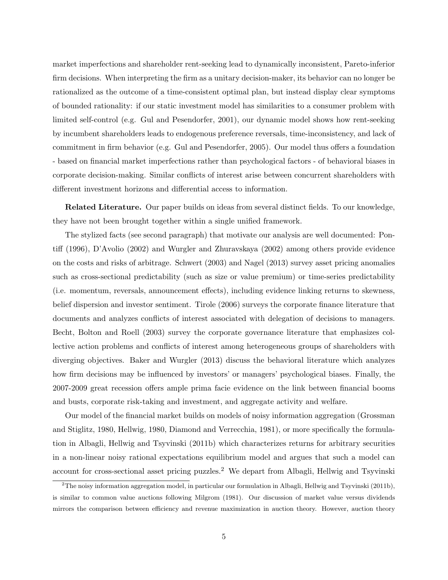market imperfections and shareholder rent-seeking lead to dynamically inconsistent, Pareto-inferior firm decisions. When interpreting the firm as a unitary decision-maker, its behavior can no longer be rationalized as the outcome of a time-consistent optimal plan, but instead display clear symptoms of bounded rationality: if our static investment model has similarities to a consumer problem with limited self-control (e.g. Gul and Pesendorfer, 2001), our dynamic model shows how rent-seeking by incumbent shareholders leads to endogenous preference reversals, time-inconsistency, and lack of commitment in firm behavior (e.g. Gul and Pesendorfer, 2005). Our model thus offers a foundation - based on financial market imperfections rather than psychological factors - of behavioral biases in corporate decision-making. Similar conflicts of interest arise between concurrent shareholders with different investment horizons and differential access to information.

Related Literature. Our paper builds on ideas from several distinct fields. To our knowledge, they have not been brought together within a single unified framework.

The stylized facts (see second paragraph) that motivate our analysis are well documented: Pontiff (1996), D'Avolio (2002) and Wurgler and Zhuravskaya (2002) among others provide evidence on the costs and risks of arbitrage. Schwert (2003) and Nagel (2013) survey asset pricing anomalies such as cross-sectional predictability (such as size or value premium) or time-series predictability (i.e. momentum, reversals, announcement effects), including evidence linking returns to skewness, belief dispersion and investor sentiment. Tirole (2006) surveys the corporate finance literature that documents and analyzes conflicts of interest associated with delegation of decisions to managers. Becht, Bolton and Roell (2003) survey the corporate governance literature that emphasizes collective action problems and conflicts of interest among heterogeneous groups of shareholders with diverging objectives. Baker and Wurgler (2013) discuss the behavioral literature which analyzes how firm decisions may be influenced by investors' or managers' psychological biases. Finally, the 2007-2009 great recession offers ample prima facie evidence on the link between financial booms and busts, corporate risk-taking and investment, and aggregate activity and welfare.

Our model of the financial market builds on models of noisy information aggregation (Grossman and Stiglitz, 1980, Hellwig, 1980, Diamond and Verrecchia, 1981), or more specifically the formulation in Albagli, Hellwig and Tsyvinski (2011b) which characterizes returns for arbitrary securities in a non-linear noisy rational expectations equilibrium model and argues that such a model can account for cross-sectional asset pricing puzzles.<sup>2</sup> We depart from Albagli, Hellwig and Tsyvinski

<sup>&</sup>lt;sup>2</sup>The noisy information aggregation model, in particular our formulation in Albagli, Hellwig and Tsyvinski (2011b), is similar to common value auctions following Milgrom (1981). Our discussion of market value versus dividends mirrors the comparison between efficiency and revenue maximization in auction theory. However, auction theory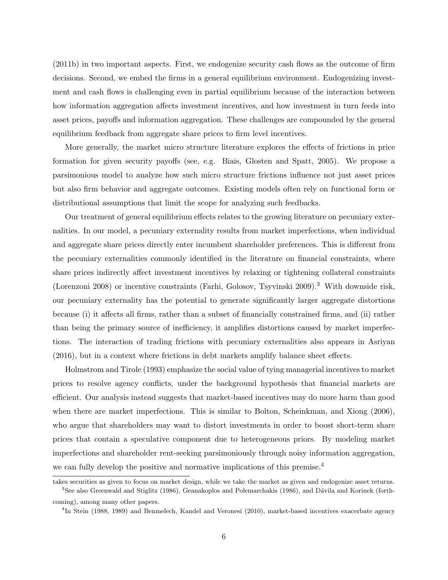(2011b) in two important aspects. First, we endogenize security cash flows as the outcome of firm decisions. Second, we embed the firms in a general equilibrium environment. Endogenizing investment and cash flows is challenging even in partial equilibrium because of the interaction between how information aggregation affects investment incentives, and how investment in turn feeds into asset prices, payoffs and information aggregation. These challenges are compounded by the general equilibrium feedback from aggregate share prices to firm level incentives.

More generally, the market micro structure literature explores the effects of frictions in price formation for given security payoffs (see, e.g. Biais, Glosten and Spatt, 2005). We propose a parsimonious model to analyze how such micro structure frictions influence not just asset prices but also firm behavior and aggregate outcomes. Existing models often rely on functional form or distributional assumptions that limit the scope for analyzing such feedbacks.

Our treatment of general equilibrium effects relates to the growing literature on pecuniary externalities. In our model, a pecuniary externality results from market imperfections, when individual and aggregate share prices directly enter incumbent shareholder preferences. This is different from the pecuniary externalities commonly identified in the literature on financial constraints, where share prices indirectly affect investment incentives by relaxing or tightening collateral constraints (Lorenzoni 2008) or incentive constraints (Farhi, Golosov, Tsyvinski 2009).<sup>3</sup> With downside risk, our pecuniary externality has the potential to generate significantly larger aggregate distortions because (i) it affects all firms, rather than a subset of financially constrained firms, and (ii) rather than being the primary source of inefficiency, it amplifies distortions caused by market imperfections. The interaction of trading frictions with pecuniary externalities also appears in Asriyan (2016), but in a context where frictions in debt markets amplify balance sheet effects.

Holmstrom and Tirole (1993) emphasize the social value of tying managerial incentives to market prices to resolve agency conflicts, under the background hypothesis that financial markets are efficient. Our analysis instead suggests that market-based incentives may do more harm than good when there are market imperfections. This is similar to Bolton, Scheinkman, and Xiong (2006), who argue that shareholders may want to distort investments in order to boost short-term share prices that contain a speculative component due to heterogeneous priors. By modeling market imperfections and shareholder rent-seeking parsimoniously through noisy information aggregation, we can fully develop the positive and normative implications of this premise.<sup>4</sup>

takes securities as given to focus on market design, while we take the market as given and endogenize asset returns.  $3$ See also Greenwald and Stiglitz (1986), Geanakoplos and Polemarchakis (1986), and Dávila and Korinek (forthcoming), among many other papers.

<sup>&</sup>lt;sup>4</sup>In Stein (1988, 1989) and Benmelech, Kandel and Veronesi (2010), market-based incentives exacerbate agency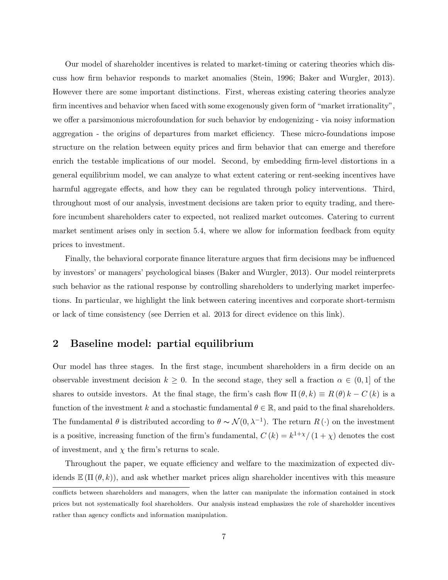Our model of shareholder incentives is related to market-timing or catering theories which discuss how firm behavior responds to market anomalies (Stein, 1996; Baker and Wurgler, 2013). However there are some important distinctions. First, whereas existing catering theories analyze firm incentives and behavior when faced with some exogenously given form of "market irrationality", we offer a parsimonious microfoundation for such behavior by endogenizing - via noisy information aggregation - the origins of departures from market efficiency. These micro-foundations impose structure on the relation between equity prices and firm behavior that can emerge and therefore enrich the testable implications of our model. Second, by embedding firm-level distortions in a general equilibrium model, we can analyze to what extent catering or rent-seeking incentives have harmful aggregate effects, and how they can be regulated through policy interventions. Third, throughout most of our analysis, investment decisions are taken prior to equity trading, and therefore incumbent shareholders cater to expected, not realized market outcomes. Catering to current market sentiment arises only in section 5.4, where we allow for information feedback from equity prices to investment.

Finally, the behavioral corporate finance literature argues that firm decisions may be influenced by investors' or managers' psychological biases (Baker and Wurgler, 2013). Our model reinterprets such behavior as the rational response by controlling shareholders to underlying market imperfections. In particular, we highlight the link between catering incentives and corporate short-termism or lack of time consistency (see Derrien et al. 2013 for direct evidence on this link).

# 2 Baseline model: partial equilibrium

Our model has three stages. In the first stage, incumbent shareholders in a firm decide on an observable investment decision  $k \geq 0$ . In the second stage, they sell a fraction  $\alpha \in (0,1]$  of the shares to outside investors. At the final stage, the firm's cash flow  $\Pi(\theta, k) \equiv R(\theta) k - C(k)$  is a function of the investment k and a stochastic fundamental  $\theta \in \mathbb{R}$ , and paid to the final shareholders. The fundamental  $\theta$  is distributed according to  $\theta \sim \mathcal{N}(0, \lambda^{-1})$ . The return  $R(\cdot)$  on the investment is a positive, increasing function of the firm's fundamental,  $C(k) = k^{1+\chi}/(1+\chi)$  denotes the cost of investment, and  $\chi$  the firm's returns to scale.

Throughout the paper, we equate efficiency and welfare to the maximization of expected dividends  $\mathbb{E}(\Pi(\theta,k))$ , and ask whether market prices align shareholder incentives with this measure

conflicts between shareholders and managers, when the latter can manipulate the information contained in stock prices but not systematically fool shareholders. Our analysis instead emphasizes the role of shareholder incentives rather than agency conflicts and information manipulation.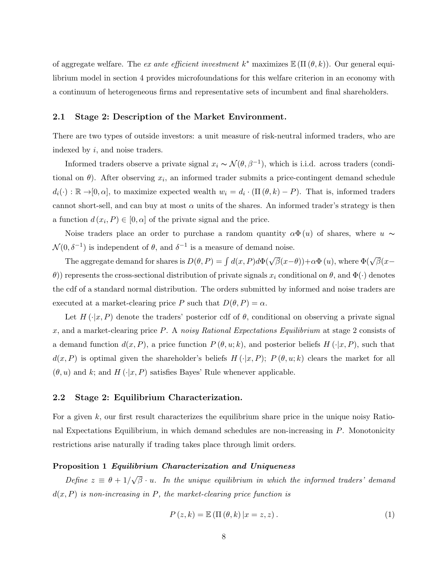of aggregate welfare. The ex ante efficient investment  $k^*$  maximizes  $\mathbb{E}(\Pi(\theta, k))$ . Our general equilibrium model in section 4 provides microfoundations for this welfare criterion in an economy with a continuum of heterogeneous firms and representative sets of incumbent and final shareholders.

#### 2.1 Stage 2: Description of the Market Environment.

There are two types of outside investors: a unit measure of risk-neutral informed traders, who are indexed by i, and noise traders.

Informed traders observe a private signal  $x_i \sim \mathcal{N}(\theta, \beta^{-1})$ , which is i.i.d. across traders (conditional on  $\theta$ ). After observing  $x_i$ , an informed trader submits a price-contingent demand schedule  $d_i(\cdot) : \mathbb{R} \to [0, \alpha]$ , to maximize expected wealth  $w_i = d_i \cdot (\Pi(\theta, k) - P)$ . That is, informed traders cannot short-sell, and can buy at most  $\alpha$  units of the shares. An informed trader's strategy is then a function  $d(x_i, P) \in [0, \alpha]$  of the private signal and the price.

Noise traders place an order to purchase a random quantity  $\alpha \Phi(u)$  of shares, where  $u \sim$  $\mathcal{N}(0,\delta^{-1})$  is independent of  $\theta$ , and  $\delta^{-1}$  is a measure of demand noise.

The aggregate demand for shares is  $D(\theta, P) = \int d(x, P) d\Phi(\sqrt{\beta}(x-\theta)) + \alpha \Phi(u)$ , where  $\Phi(\sqrt{\beta}(x-\theta))$ θ)) represents the cross-sectional distribution of private signals  $x_i$  conditional on  $\theta$ , and  $\Phi(\cdot)$  denotes the cdf of a standard normal distribution. The orders submitted by informed and noise traders are executed at a market-clearing price P such that  $D(\theta, P) = \alpha$ .

Let  $H(\cdot|x, P)$  denote the traders' posterior cdf of  $\theta$ , conditional on observing a private signal x, and a market-clearing price P. A noisy Rational Expectations Equilibrium at stage 2 consists of a demand function  $d(x, P)$ , a price function  $P(\theta, u; k)$ , and posterior beliefs  $H(\cdot|x, P)$ , such that  $d(x, P)$  is optimal given the shareholder's beliefs  $H(\cdot|x, P); P(\theta, u; k)$  clears the market for all  $(\theta, u)$  and k; and H  $(\cdot|x, P)$  satisfies Bayes' Rule whenever applicable.

#### 2.2 Stage 2: Equilibrium Characterization.

For a given k, our first result characterizes the equilibrium share price in the unique noisy Rational Expectations Equilibrium, in which demand schedules are non-increasing in P. Monotonicity restrictions arise naturally if trading takes place through limit orders.

#### Proposition 1 Equilibrium Characterization and Uniqueness

Define  $z \equiv \theta + 1/2$ √  $\overline{\beta} \cdot u$ . In the unique equilibrium in which the informed traders' demand  $d(x, P)$  is non-increasing in P, the market-clearing price function is

$$
P(z,k) = \mathbb{E}(\Pi(\theta,k)|x=z,z).
$$
 (1)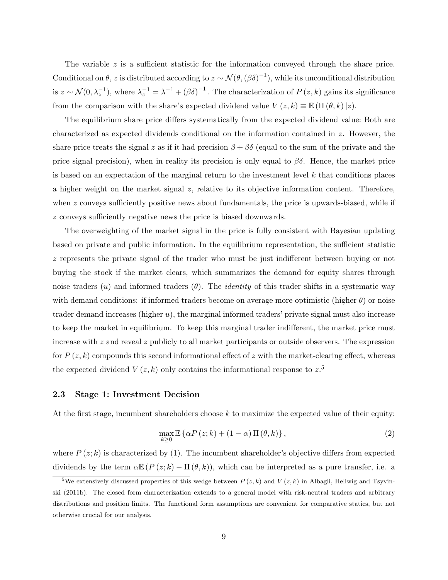The variable  $z$  is a sufficient statistic for the information conveyed through the share price. Conditional on  $\theta$ , z is distributed according to  $z \sim \mathcal{N}(\theta, (\beta \delta)^{-1})$ , while its unconditional distribution is  $z \sim \mathcal{N}(0, \lambda_z^{-1})$ , where  $\lambda_z^{-1} = \lambda^{-1} + (\beta \delta)^{-1}$ . The characterization of  $P(z, k)$  gains its significance from the comparison with the share's expected dividend value  $V(z, k) \equiv \mathbb{E}(\Pi(\theta, k)|z)$ .

The equilibrium share price differs systematically from the expected dividend value: Both are characterized as expected dividends conditional on the information contained in z. However, the share price treats the signal z as if it had precision  $\beta + \beta \delta$  (equal to the sum of the private and the price signal precision), when in reality its precision is only equal to  $\beta\delta$ . Hence, the market price is based on an expectation of the marginal return to the investment level  $k$  that conditions places a higher weight on the market signal  $z$ , relative to its objective information content. Therefore, when  $z$  conveys sufficiently positive news about fundamentals, the price is upwards-biased, while if z conveys sufficiently negative news the price is biased downwards.

The overweighting of the market signal in the price is fully consistent with Bayesian updating based on private and public information. In the equilibrium representation, the sufficient statistic z represents the private signal of the trader who must be just indifferent between buying or not buying the stock if the market clears, which summarizes the demand for equity shares through noise traders  $(u)$  and informed traders  $(\theta)$ . The *identity* of this trader shifts in a systematic way with demand conditions: if informed traders become on average more optimistic (higher  $\theta$ ) or noise trader demand increases (higher  $u$ ), the marginal informed traders' private signal must also increase to keep the market in equilibrium. To keep this marginal trader indifferent, the market price must increase with z and reveal z publicly to all market participants or outside observers. The expression for  $P(z, k)$  compounds this second informational effect of z with the market-clearing effect, whereas the expected dividend  $V(z, k)$  only contains the informational response to  $z$ <sup>5</sup>

#### 2.3 Stage 1: Investment Decision

At the first stage, incumbent shareholders choose  $k$  to maximize the expected value of their equity:

$$
\max_{k\geq 0} \mathbb{E}\left\{\alpha P\left(z;k\right) + \left(1-\alpha\right)\Pi\left(\theta,k\right)\right\},\tag{2}
$$

where  $P(z; k)$  is characterized by (1). The incumbent shareholder's objective differs from expected dividends by the term  $\alpha \mathbb{E} (P(z; k) - \Pi(\theta, k))$ , which can be interpreted as a pure transfer, i.e. a

<sup>&</sup>lt;sup>5</sup>We extensively discussed properties of this wedge between  $P(z, k)$  and  $V(z, k)$  in Albagli, Hellwig and Tsyvinski (2011b). The closed form characterization extends to a general model with risk-neutral traders and arbitrary distributions and position limits. The functional form assumptions are convenient for comparative statics, but not otherwise crucial for our analysis.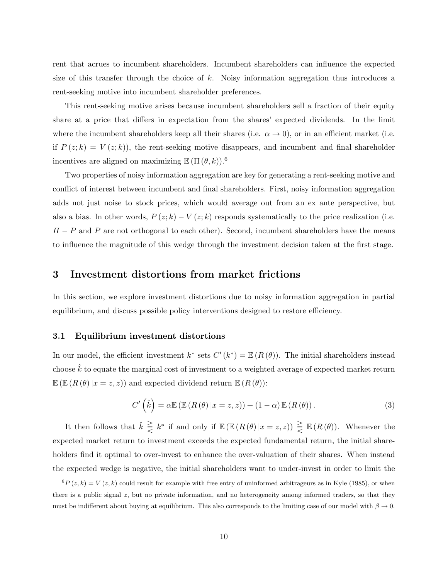rent that acrues to incumbent shareholders. Incumbent shareholders can influence the expected size of this transfer through the choice of  $k$ . Noisy information aggregation thus introduces a rent-seeking motive into incumbent shareholder preferences.

This rent-seeking motive arises because incumbent shareholders sell a fraction of their equity share at a price that differs in expectation from the shares' expected dividends. In the limit where the incumbent shareholders keep all their shares (i.e.  $\alpha \to 0$ ), or in an efficient market (i.e. if  $P(z; k) = V(z; k)$ , the rent-seeking motive disappears, and incumbent and final shareholder incentives are aligned on maximizing  $\mathbb{E} (\Pi(\theta, k))$ .<sup>6</sup>

Two properties of noisy information aggregation are key for generating a rent-seeking motive and conflict of interest between incumbent and final shareholders. First, noisy information aggregation adds not just noise to stock prices, which would average out from an ex ante perspective, but also a bias. In other words,  $P(z; k) - V(z; k)$  responds systematically to the price realization (i.e.  $\Pi - P$  and P are not orthogonal to each other). Second, incumbent shareholders have the means to influence the magnitude of this wedge through the investment decision taken at the first stage.

## 3 Investment distortions from market frictions

In this section, we explore investment distortions due to noisy information aggregation in partial equilibrium, and discuss possible policy interventions designed to restore efficiency.

## 3.1 Equilibrium investment distortions

In our model, the efficient investment  $k^*$  sets  $C'(k^*) = \mathbb{E} (R(\theta))$ . The initial shareholders instead choose  $\hat{k}$  to equate the marginal cost of investment to a weighted average of expected market return  $\mathbb{E}\left(\mathbb{E}\left(R\left(\theta\right)|x=z,z\right)\right)$  and expected dividend return  $\mathbb{E}\left(R\left(\theta\right)\right)$ :

$$
C'\left(\hat{k}\right) = \alpha \mathbb{E}\left(\mathbb{E}\left(R\left(\theta\right)|x=z,z\right)\right) + \left(1-\alpha\right)\mathbb{E}\left(R\left(\theta\right)\right). \tag{3}
$$

It then follows that  $\hat{k} \geq k^*$  if and only if  $\mathbb{E} (\mathbb{E} (R(\theta) | x = z, z)) \geq \mathbb{E} (R(\theta))$ . Whenever the expected market return to investment exceeds the expected fundamental return, the initial shareholders find it optimal to over-invest to enhance the over-valuation of their shares. When instead the expected wedge is negative, the initial shareholders want to under-invest in order to limit the

 ${}^6P(z, k) = V(z, k)$  could result for example with free entry of uninformed arbitrageurs as in Kyle (1985), or when there is a public signal z, but no private information, and no heterogeneity among informed traders, so that they must be indifferent about buying at equilibrium. This also corresponds to the limiting case of our model with  $\beta \to 0$ .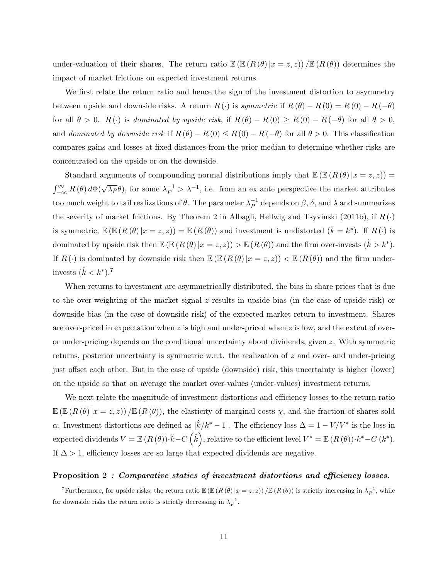under-valuation of their shares. The return ratio  $\mathbb{E} (\mathbb{E} (R(\theta) | x = z, z)) / \mathbb{E} (R(\theta))$  determines the impact of market frictions on expected investment returns.

We first relate the return ratio and hence the sign of the investment distortion to asymmetry between upside and downside risks. A return  $R(\cdot)$  is symmetric if  $R(\theta) - R(0) = R(0) - R(-\theta)$ for all  $\theta > 0$ .  $R(\cdot)$  is dominated by upside risk, if  $R(\theta) - R(0) \ge R(0) - R(-\theta)$  for all  $\theta > 0$ , and dominated by downside risk if  $R(\theta) - R(0) \leq R(0) - R(-\theta)$  for all  $\theta > 0$ . This classification compares gains and losses at fixed distances from the prior median to determine whether risks are concentrated on the upside or on the downside.

Standard arguments of compounding normal distributions imply that  $\mathbb{E} (\mathbb{E} (R(\theta) | x = z, z)) =$  $\int_{-\infty}^{\infty} R(\theta) d\Phi(\sqrt{\lambda_P} \theta)$ , for some  $\lambda_P^{-1} > \lambda^{-1}$ , i.e. from an ex ante perspective the market attributes too much weight to tail realizations of  $\theta$ . The parameter  $\lambda_P^{-1}$  $_P^{-1}$  depends on  $\beta$ ,  $\delta$ , and  $\lambda$  and summarizes the severity of market frictions. By Theorem 2 in Albagli, Hellwig and Tsyvinski (2011b), if  $R(\cdot)$ is symmetric,  $\mathbb{E}(\mathbb{E}(R(\theta)|x=z,z)) = \mathbb{E}(R(\theta))$  and investment is undistorted  $(\hat{k}=k^*)$ . If  $R(\cdot)$  is dominated by upside risk then  $\mathbb{E} ( \mathbb{E} (R(\theta) | x = z, z) ) > \mathbb{E} (R(\theta))$  and the firm over-invests  $(\hat{k} > k^*)$ . If  $R(\cdot)$  is dominated by downside risk then  $\mathbb{E} (E(R(\theta) | x = z, z)) < \mathbb{E} (R(\theta))$  and the firm underinvests  $(\hat{k} < k^*)$ .<sup>7</sup>

When returns to investment are asymmetrically distributed, the bias in share prices that is due to the over-weighting of the market signal  $z$  results in upside bias (in the case of upside risk) or downside bias (in the case of downside risk) of the expected market return to investment. Shares are over-priced in expectation when z is high and under-priced when z is low, and the extent of overor under-pricing depends on the conditional uncertainty about dividends, given z. With symmetric returns, posterior uncertainty is symmetric w.r.t. the realization of z and over- and under-pricing just offset each other. But in the case of upside (downside) risk, this uncertainty is higher (lower) on the upside so that on average the market over-values (under-values) investment returns.

We next relate the magnitude of investment distortions and efficiency losses to the return ratio  $\mathbb{E}\left(\mathbb{E}\left(R\left(\theta\right)|x=z,z\right)\right)/\mathbb{E}\left(R\left(\theta\right)\right)$ , the elasticity of marginal costs  $\chi$ , and the fraction of shares sold α. Investment distortions are defined as  $|\hat{k}/k^* - 1|$ . The efficiency loss  $\Delta = 1 - V/V^*$  is the loss in expected dividends  $V = \mathbb{E} (R (\theta)) \cdot \hat{k} - C (\hat{k})$ , relative to the efficient level  $V^* = \mathbb{E} (R (\theta)) \cdot k^* - C (k^*)$ . If  $\Delta > 1$ , efficiency losses are so large that expected dividends are negative.

## Proposition 2 : Comparative statics of investment distortions and efficiency losses.

<sup>&</sup>lt;sup>7</sup>Furthermore, for upside risks, the return ratio  $\mathbb{E}(\mathbb{E}(R(\theta)|x=z,z)) / \mathbb{E}(R(\theta))$  is strictly increasing in  $\lambda_P^{-1}$ , while for downside risks the return ratio is strictly decreasing in  $\lambda_P^{-1}$ .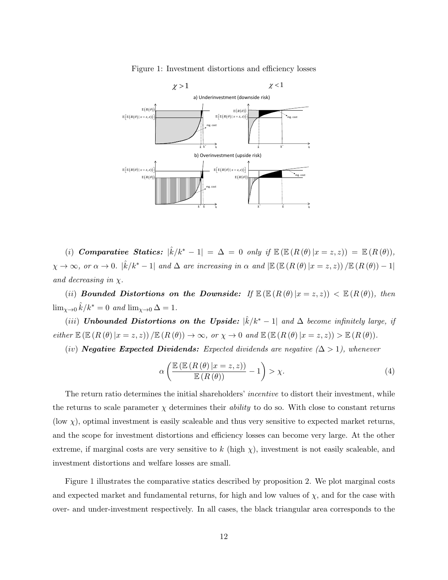



(i) **Comparative Statics:**  $|\hat{k}/k^* - 1| = \Delta = 0$  only if  $\mathbb{E} (\mathbb{E} (R(\theta) | x = z, z)) = \mathbb{E} (R(\theta)),$  $\chi \to \infty$ , or  $\alpha \to 0$ .  $|\hat{k}/k^* - 1|$  and  $\Delta$  are increasing in  $\alpha$  and  $|\mathbb{E} (\mathbb{E} (R(\theta) | x = z, z)) / \mathbb{E} (R(\theta)) - 1|$ and decreasing in  $\chi$ .

(ii) Bounded Distortions on the Downside: If  $\mathbb{E}(\mathbb{E}(R(\theta)|x=z,z)) < \mathbb{E}(R(\theta))$ , then  $\lim_{\chi \to 0} \hat{k}/k^* = 0$  and  $\lim_{\chi \to 0} \Delta = 1$ .

(iii) Unbounded Distortions on the Upside:  $|\hat{k}/k^* - 1|$  and  $\Delta$  become infinitely large, if either  $\mathbb{E} (\mathbb{E} (R (\theta) | x = z, z)) / \mathbb{E} (R (\theta)) \to \infty$ , or  $\chi \to 0$  and  $\mathbb{E} (\mathbb{E} (R (\theta) | x = z, z)) > \mathbb{E} (R (\theta)).$ 

(iv) **Negative Expected Dividends:** Expected dividends are negative  $(\Delta > 1)$ , whenever

$$
\alpha \left( \frac{\mathbb{E} \left( \mathbb{E} \left( R \left( \theta \right) \vert x = z, z \right) \right)}{\mathbb{E} \left( R \left( \theta \right) \right)} - 1 \right) > \chi. \tag{4}
$$

The return ratio determines the initial shareholders' *incentive* to distort their investment, while the returns to scale parameter  $\chi$  determines their *ability* to do so. With close to constant returns (low  $\chi$ ), optimal investment is easily scaleable and thus very sensitive to expected market returns, and the scope for investment distortions and efficiency losses can become very large. At the other extreme, if marginal costs are very sensitive to k (high  $\chi$ ), investment is not easily scaleable, and investment distortions and welfare losses are small.

Figure 1 illustrates the comparative statics described by proposition 2. We plot marginal costs and expected market and fundamental returns, for high and low values of  $\chi$ , and for the case with over- and under-investment respectively. In all cases, the black triangular area corresponds to the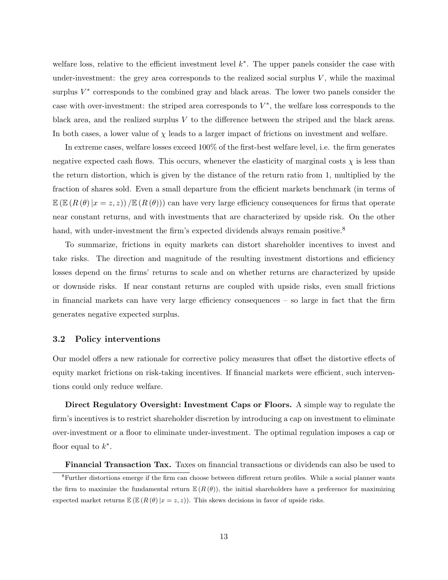welfare loss, relative to the efficient investment level  $k^*$ . The upper panels consider the case with under-investment: the grey area corresponds to the realized social surplus  $V$ , while the maximal surplus  $V^*$  corresponds to the combined gray and black areas. The lower two panels consider the case with over-investment: the striped area corresponds to  $V^*$ , the welfare loss corresponds to the black area, and the realized surplus V to the difference between the striped and the black areas. In both cases, a lower value of  $\chi$  leads to a larger impact of frictions on investment and welfare.

In extreme cases, welfare losses exceed 100% of the first-best welfare level, i.e. the firm generates negative expected cash flows. This occurs, whenever the elasticity of marginal costs  $\chi$  is less than the return distortion, which is given by the distance of the return ratio from 1, multiplied by the fraction of shares sold. Even a small departure from the efficient markets benchmark (in terms of  $\mathbb{E} (\mathbb{E} (R(\theta) | x = z, z)) / \mathbb{E} (R(\theta))$  can have very large efficiency consequences for firms that operate near constant returns, and with investments that are characterized by upside risk. On the other hand, with under-investment the firm's expected dividends always remain positive.<sup>8</sup>

To summarize, frictions in equity markets can distort shareholder incentives to invest and take risks. The direction and magnitude of the resulting investment distortions and efficiency losses depend on the firms' returns to scale and on whether returns are characterized by upside or downside risks. If near constant returns are coupled with upside risks, even small frictions in financial markets can have very large efficiency consequences – so large in fact that the firm generates negative expected surplus.

#### 3.2 Policy interventions

Our model offers a new rationale for corrective policy measures that offset the distortive effects of equity market frictions on risk-taking incentives. If financial markets were efficient, such interventions could only reduce welfare.

Direct Regulatory Oversight: Investment Caps or Floors. A simple way to regulate the firm's incentives is to restrict shareholder discretion by introducing a cap on investment to eliminate over-investment or a floor to eliminate under-investment. The optimal regulation imposes a cap or floor equal to  $k^*$ .

Financial Transaction Tax. Taxes on financial transactions or dividends can also be used to <sup>8</sup>Further distortions emerge if the firm can choose between different return profiles. While a social planner wants the firm to maximize the fundamental return  $\mathbb{E}(R(\theta))$ , the initial shareholders have a preference for maximizing

expected market returns  $\mathbb{E}(\mathbb{E}(\mathbb{R}(\theta)|x=z,z))$ . This skews decisions in favor of upside risks.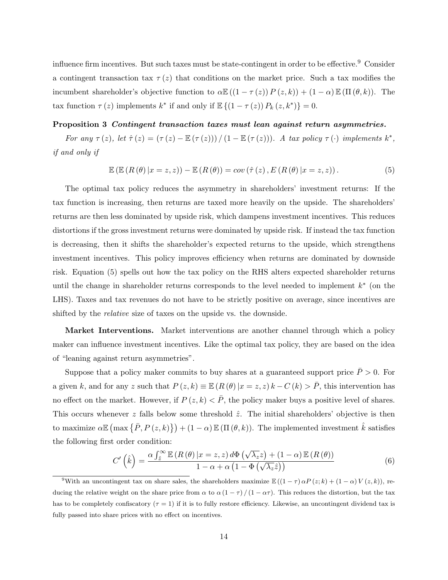influence firm incentives. But such taxes must be state-contingent in order to be effective.<sup>9</sup> Consider a contingent transaction tax  $\tau(z)$  that conditions on the market price. Such a tax modifies the incumbent shareholder's objective function to  $\alpha \mathbb{E}((1 - \tau(z)) P(z, k)) + (1 - \alpha) \mathbb{E}(\Pi(\theta, k)).$  The tax function  $\tau(z)$  implements  $k^*$  if and only if  $\mathbb{E}\left\{\left(1-\tau(z)\right)P_k(z,k^*)\right\}=0$ .

#### Proposition 3 Contingent transaction taxes must lean against return asymmetries.

For any  $\tau(z)$ , let  $\hat{\tau}(z) = (\tau(z) - \mathbb{E}(\tau(z))) / (1 - \mathbb{E}(\tau(z)))$ . A tax policy  $\tau(\cdot)$  implements  $k^*$ , if and only if

$$
\mathbb{E}\left(\mathbb{E}\left(R\left(\theta\right)|x=z,z\right)\right)-\mathbb{E}\left(R\left(\theta\right)\right)=cov\left(\hat{\tau}\left(z\right),E\left(R\left(\theta\right)|x=z,z\right)\right).
$$
\n(5)

The optimal tax policy reduces the asymmetry in shareholders' investment returns: If the tax function is increasing, then returns are taxed more heavily on the upside. The shareholders' returns are then less dominated by upside risk, which dampens investment incentives. This reduces distortions if the gross investment returns were dominated by upside risk. If instead the tax function is decreasing, then it shifts the shareholder's expected returns to the upside, which strengthens investment incentives. This policy improves efficiency when returns are dominated by downside risk. Equation (5) spells out how the tax policy on the RHS alters expected shareholder returns until the change in shareholder returns corresponds to the level needed to implement  $k^*$  (on the LHS). Taxes and tax revenues do not have to be strictly positive on average, since incentives are shifted by the *relative* size of taxes on the upside vs. the downside.

Market Interventions. Market interventions are another channel through which a policy maker can influence investment incentives. Like the optimal tax policy, they are based on the idea of "leaning against return asymmetries".

Suppose that a policy maker commits to buy shares at a guaranteed support price  $\bar{P} > 0$ . For a given k, and for any z such that  $P(z, k) \equiv \mathbb{E} (R(\theta) | x = z, z) k - C(k) > \overline{P}$ , this intervention has no effect on the market. However, if  $P(z, k) < \bar{P}$ , the policy maker buys a positive level of shares. This occurs whenever  $z$  falls below some threshold  $\hat{z}$ . The initial shareholders' objective is then to maximize  $\alpha \mathbb{E} \left( \max \{ \bar{P}, P(z,k) \} \right) + (1-\alpha) \mathbb{E} \left( \Pi(\theta, k) \right)$ . The implemented investment  $\hat{k}$  satisfies the following first order condition:

$$
C'\left(\hat{k}\right) = \frac{\alpha \int_{\hat{z}}^{\infty} \mathbb{E}\left(R\left(\theta\right)|x=z,z\right) d\Phi\left(\sqrt{\lambda_z}z\right) + (1-\alpha)\mathbb{E}\left(R\left(\theta\right)\right)}{1-\alpha + \alpha\left(1-\Phi\left(\sqrt{\lambda_z}\hat{z}\right)\right)}\tag{6}
$$

<sup>&</sup>lt;sup>9</sup>With an uncontingent tax on share sales, the shareholders maximize  $\mathbb{E}((1 - \tau) \alpha P(z; k) + (1 - \alpha) V(z, k))$ , reducing the relative weight on the share price from  $\alpha$  to  $\alpha(1-\tau)/(1-\alpha\tau)$ . This reduces the distortion, but the tax has to be completely confiscatory  $(\tau = 1)$  if it is to fully restore efficiency. Likewise, an uncontingent dividend tax is fully passed into share prices with no effect on incentives.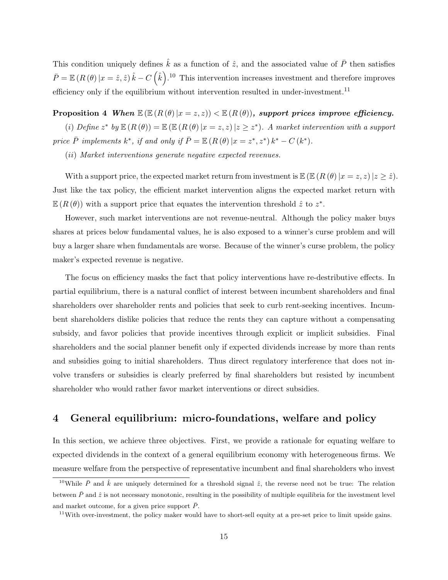This condition uniquely defines  $\hat{k}$  as a function of  $\hat{z}$ , and the associated value of  $\overline{P}$  then satisfies  $\bar{P} = \mathbb{E} (R(\theta) | x = \hat{z}, \hat{z}) \hat{k} - C(\hat{k})$ .<sup>10</sup> This intervention increases investment and therefore improves efficiency only if the equilibrium without intervention resulted in under-investment.<sup>11</sup>

Proposition 4 When  $\mathbb{E} (\mathbb{E} (R(\theta) | x = z, z)) < \mathbb{E} (R(\theta))$ , support prices improve efficiency.

(i) Define  $z^*$  by  $\mathbb{E}(R(\theta)) = \mathbb{E}(\mathbb{E}(R(\theta)|x=z,z)|z\geq z^*)$ . A market intervention with a support price  $\overline{P}$  implements  $k^*$ , if and only if  $\overline{P} = \mathbb{E} (R(\theta) | x = z^*, z^*) k^* - C(k^*)$ .

(ii) Market interventions generate negative expected revenues.

With a support price, the expected market return from investment is  $\mathbb{E} (\mathbb{E} (R(\theta) | x = z, z) | z \geq \hat{z}).$ Just like the tax policy, the efficient market intervention aligns the expected market return with  $\mathbb{E}(R(\theta))$  with a support price that equates the intervention threshold  $\hat{z}$  to  $z^*$ .

However, such market interventions are not revenue-neutral. Although the policy maker buys shares at prices below fundamental values, he is also exposed to a winner's curse problem and will buy a larger share when fundamentals are worse. Because of the winner's curse problem, the policy maker's expected revenue is negative.

The focus on efficiency masks the fact that policy interventions have re-destributive effects. In partial equilibrium, there is a natural conflict of interest between incumbent shareholders and final shareholders over shareholder rents and policies that seek to curb rent-seeking incentives. Incumbent shareholders dislike policies that reduce the rents they can capture without a compensating subsidy, and favor policies that provide incentives through explicit or implicit subsidies. Final shareholders and the social planner benefit only if expected dividends increase by more than rents and subsidies going to initial shareholders. Thus direct regulatory interference that does not involve transfers or subsidies is clearly preferred by final shareholders but resisted by incumbent shareholder who would rather favor market interventions or direct subsidies.

# 4 General equilibrium: micro-foundations, welfare and policy

In this section, we achieve three objectives. First, we provide a rationale for equating welfare to expected dividends in the context of a general equilibrium economy with heterogeneous firms. We measure welfare from the perspective of representative incumbent and final shareholders who invest

<sup>&</sup>lt;sup>10</sup>While  $\bar{P}$  and  $\hat{k}$  are uniquely determined for a threshold signal  $\hat{z}$ , the reverse need not be true: The relation between  $\bar{P}$  and  $\hat{z}$  is not necessary monotonic, resulting in the possibility of multiple equilibria for the investment level and market outcome, for a given price support  $\bar{P}$ .

 $11$ With over-investment, the policy maker would have to short-sell equity at a pre-set price to limit upside gains.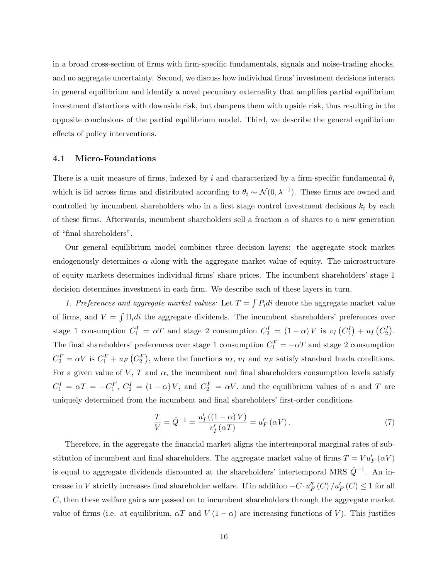in a broad cross-section of firms with firm-specific fundamentals, signals and noise-trading shocks, and no aggregate uncertainty. Second, we discuss how individual firms' investment decisions interact in general equilibrium and identify a novel pecuniary externality that amplifies partial equilibrium investment distortions with downside risk, but dampens them with upside risk, thus resulting in the opposite conclusions of the partial equilibrium model. Third, we describe the general equilibrium effects of policy interventions.

### 4.1 Micro-Foundations

There is a unit measure of firms, indexed by i and characterized by a firm-specific fundamental  $\theta_i$ which is iid across firms and distributed according to  $\theta_i \sim \mathcal{N}(0, \lambda^{-1})$ . These firms are owned and controlled by incumbent shareholders who in a first stage control investment decisions  $k_i$  by each of these firms. Afterwards, incumbent shareholders sell a fraction  $\alpha$  of shares to a new generation of "final shareholders".

Our general equilibrium model combines three decision layers: the aggregate stock market endogenously determines  $\alpha$  along with the aggregate market value of equity. The microstructure of equity markets determines individual firms' share prices. The incumbent shareholders' stage 1 decision determines investment in each firm. We describe each of these layers in turn.

1. Preferences and aggregate market values: Let  $T = \int P_i di$  denote the aggregate market value of firms, and  $V = \int \Pi_i di$  the aggregate dividends. The incumbent shareholders' preferences over stage 1 consumption  $C_1^I = \alpha T$  and stage 2 consumption  $C_2^I = (1 - \alpha)V$  is  $v_I(C_1^I) + u_I(C_2^I)$ . The final shareholders' preferences over stage 1 consumption  $C_1^F = -\alpha T$  and stage 2 consumption  $C_2^F = \alpha V$  is  $C_1^F + u_F(C_2^F)$ , where the functions  $u_I$ ,  $v_I$  and  $u_F$  satisfy standard Inada conditions. For a given value of V, T and  $\alpha$ , the incumbent and final shareholders consumption levels satisfy  $C_1^I = \alpha T = -C_1^F$ ,  $C_2^I = (1 - \alpha)V$ , and  $C_2^F = \alpha V$ , and the equilibrium values of  $\alpha$  and T are uniquely determined from the incumbent and final shareholders' first-order conditions

$$
\frac{T}{V} = \hat{Q}^{-1} = \frac{u'_I\left((1-\alpha)V\right)}{v'_I(\alpha T)} = u'_F\left(\alpha V\right). \tag{7}
$$

Therefore, in the aggregate the financial market aligns the intertemporal marginal rates of substitution of incumbent and final shareholders. The aggregate market value of firms  $T = V u_F'(\alpha V)$ is equal to aggregate dividends discounted at the shareholders' intertemporal MRS  $\hat{Q}^{-1}$ . An increase in V strictly increases final shareholder welfare. If in addition  $-C \cdot u_F''(C) / u_F'(C) \leq 1$  for all  $C$ , then these welfare gains are passed on to incumbent shareholders through the aggregate market value of firms (i.e. at equilibrium,  $\alpha T$  and  $V(1-\alpha)$  are increasing functions of V). This justifies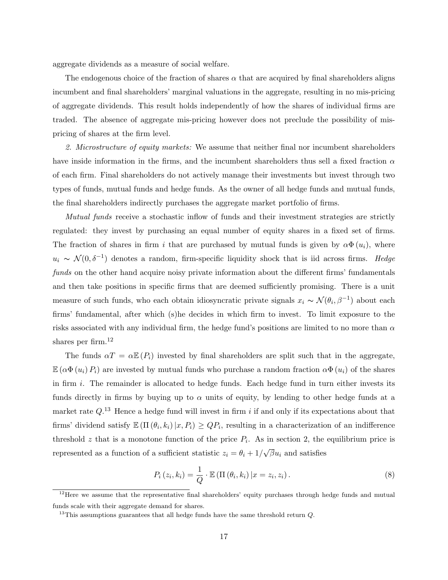aggregate dividends as a measure of social welfare.

The endogenous choice of the fraction of shares  $\alpha$  that are acquired by final shareholders aligns incumbent and final shareholders' marginal valuations in the aggregate, resulting in no mis-pricing of aggregate dividends. This result holds independently of how the shares of individual firms are traded. The absence of aggregate mis-pricing however does not preclude the possibility of mispricing of shares at the firm level.

2. Microstructure of equity markets: We assume that neither final nor incumbent shareholders have inside information in the firms, and the incumbent shareholders thus sell a fixed fraction  $\alpha$ of each firm. Final shareholders do not actively manage their investments but invest through two types of funds, mutual funds and hedge funds. As the owner of all hedge funds and mutual funds, the final shareholders indirectly purchases the aggregate market portfolio of firms.

Mutual funds receive a stochastic inflow of funds and their investment strategies are strictly regulated: they invest by purchasing an equal number of equity shares in a fixed set of firms. The fraction of shares in firm i that are purchased by mutual funds is given by  $\alpha \Phi(u_i)$ , where  $u_i \sim \mathcal{N}(0, \delta^{-1})$  denotes a random, firm-specific liquidity shock that is iid across firms. Hedge funds on the other hand acquire noisy private information about the different firms' fundamentals and then take positions in specific firms that are deemed sufficiently promising. There is a unit measure of such funds, who each obtain idiosyncratic private signals  $x_i \sim \mathcal{N}(\theta_i, \beta^{-1})$  about each firms' fundamental, after which (s)he decides in which firm to invest. To limit exposure to the risks associated with any individual firm, the hedge fund's positions are limited to no more than  $\alpha$ shares per firm.<sup>12</sup>

The funds  $\alpha T = \alpha \mathbb{E}(P_i)$  invested by final shareholders are split such that in the aggregate,  $\mathbb{E}(\alpha \Phi(u_i) P_i)$  are invested by mutual funds who purchase a random fraction  $\alpha \Phi(u_i)$  of the shares in firm  $i$ . The remainder is allocated to hedge funds. Each hedge fund in turn either invests its funds directly in firms by buying up to  $\alpha$  units of equity, by lending to other hedge funds at a market rate  $Q^{13}$  Hence a hedge fund will invest in firm i if and only if its expectations about that firms' dividend satisfy  $\mathbb{E}(\Pi(\theta_i, k_i) | x, P_i) \geq QP_i$ , resulting in a characterization of an indifference threshold z that is a monotone function of the price  $P_i$ . As in section 2, the equilibrium price is represented as a function of a sufficient statistic  $z_i = \theta_i + 1/$ √  $\overline{\beta}u_i$  and satisfies

$$
P_i(z_i, k_i) = \frac{1}{Q} \cdot \mathbb{E} \left( \Pi \left( \theta_i, k_i \right) | x = z_i, z_i \right). \tag{8}
$$

<sup>&</sup>lt;sup>12</sup>Here we assume that the representative final shareholders' equity purchases through hedge funds and mutual funds scale with their aggregate demand for shares.

<sup>&</sup>lt;sup>13</sup>This assumptions guarantees that all hedge funds have the same threshold return  $Q$ .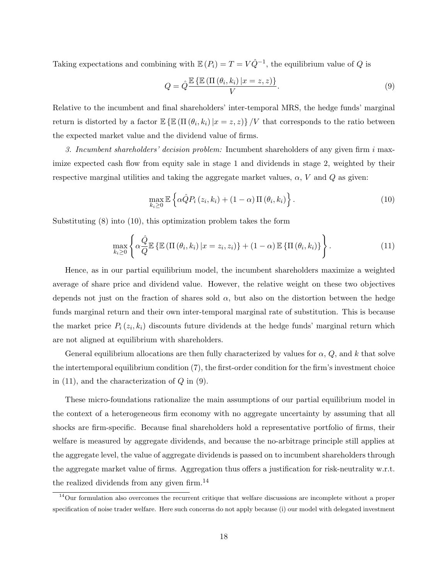Taking expectations and combining with  $\mathbb{E}(P_i) = T = V\hat{Q}^{-1}$ , the equilibrium value of Q is

$$
Q = \hat{Q} \frac{\mathbb{E}\left\{\mathbb{E}\left(\Pi\left(\theta_i, k_i\right) | x = z, z\right)\right\}}{V}.\tag{9}
$$

Relative to the incumbent and final shareholders' inter-temporal MRS, the hedge funds' marginal return is distorted by a factor  $\mathbb{E} \left\{ \mathbb{E} \left( \prod (\theta_i, k_i) \, | x = z, z \right) \right\} / V$  that corresponds to the ratio between the expected market value and the dividend value of firms.

3. Incumbent shareholders' decision problem: Incumbent shareholders of any given firm  $i$  maximize expected cash flow from equity sale in stage 1 and dividends in stage 2, weighted by their respective marginal utilities and taking the aggregate market values,  $\alpha$ , V and Q as given:

$$
\max_{k_i \geq 0} \mathbb{E} \left\{ \alpha \hat{Q} P_i \left( z_i, k_i \right) + (1 - \alpha) \Pi \left( \theta_i, k_i \right) \right\}.
$$
\n(10)

Substituting (8) into (10), this optimization problem takes the form

$$
\max_{k_i \geq 0} \left\{ \alpha \frac{\hat{Q}}{Q} \mathbb{E} \left\{ \mathbb{E} \left( \Pi \left( \theta_i, k_i \right) | x = z_i, z_i \right) \right\} + (1 - \alpha) \mathbb{E} \left\{ \Pi \left( \theta_i, k_i \right) \right\} \right\}.
$$
\n(11)

Hence, as in our partial equilibrium model, the incumbent shareholders maximize a weighted average of share price and dividend value. However, the relative weight on these two objectives depends not just on the fraction of shares sold  $\alpha$ , but also on the distortion between the hedge funds marginal return and their own inter-temporal marginal rate of substitution. This is because the market price  $P_i(z_i, k_i)$  discounts future dividends at the hedge funds' marginal return which are not aligned at equilibrium with shareholders.

General equilibrium allocations are then fully characterized by values for  $\alpha$ , Q, and k that solve the intertemporal equilibrium condition (7), the first-order condition for the firm's investment choice in  $(11)$ , and the characterization of  $Q$  in  $(9)$ .

These micro-foundations rationalize the main assumptions of our partial equilibrium model in the context of a heterogeneous firm economy with no aggregate uncertainty by assuming that all shocks are firm-specific. Because final shareholders hold a representative portfolio of firms, their welfare is measured by aggregate dividends, and because the no-arbitrage principle still applies at the aggregate level, the value of aggregate dividends is passed on to incumbent shareholders through the aggregate market value of firms. Aggregation thus offers a justification for risk-neutrality w.r.t. the realized dividends from any given firm.<sup>14</sup>

 $14$ Our formulation also overcomes the recurrent critique that welfare discussions are incomplete without a proper specification of noise trader welfare. Here such concerns do not apply because (i) our model with delegated investment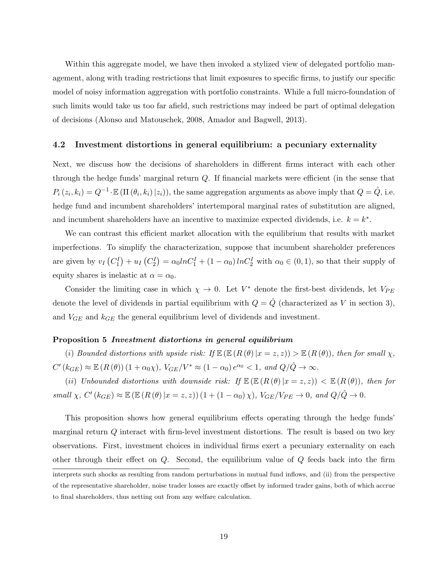Within this aggregate model, we have then invoked a stylized view of delegated portfolio management, along with trading restrictions that limit exposures to specific firms, to justify our specific model of noisy information aggregation with portfolio constraints. While a full micro-foundation of such limits would take us too far afield, such restrictions may indeed be part of optimal delegation of decisions (Alonso and Matouschek, 2008, Amador and Bagwell, 2013).

#### 4.2 Investment distortions in general equilibrium: a pecuniary externality

Next, we discuss how the decisions of shareholders in different firms interact with each other through the hedge funds' marginal return Q. If financial markets were efficient (in the sense that  $P_i(z_i, k_i) = Q^{-1} \cdot \mathbb{E}(\Pi(\theta_i, k_i) | z_i)$ , the same aggregation arguments as above imply that  $Q = \hat{Q}$ , i.e. hedge fund and incumbent shareholders' intertemporal marginal rates of substitution are aligned, and incumbent shareholders have an incentive to maximize expected dividends, i.e.  $k = k^*$ .

We can contrast this efficient market allocation with the equilibrium that results with market imperfections. To simplify the characterization, suppose that incumbent shareholder preferences are given by  $v_I(C_1^I) + u_I(C_2^I) = \alpha_0 ln C_1^I + (1 - \alpha_0) ln C_2^I$  with  $\alpha_0 \in (0, 1)$ , so that their supply of equity shares is inelastic at  $\alpha = \alpha_0$ .

Consider the limiting case in which  $\chi \to 0$ . Let  $V^*$  denote the first-best dividends, let  $V_{PE}$ denote the level of dividends in partial equilibrium with  $Q = \hat{Q}$  (characterized as V in section 3), and  $V_{GE}$  and  $k_{GE}$  the general equilibrium level of dividends and investment.

#### Proposition 5 Investment distortions in general equilibrium

(i) Bounded distortions with upside risk: If  $\mathbb{E} (R(\theta) | x = z, z)$ )  $> \mathbb{E} (R(\theta))$ , then for small  $\chi$ ,  $C'(k_{GE}) \approx \mathbb{E}\left(R\left(\theta\right)\right)(1+\alpha_0\chi), V_{GE}/V^* \approx (1-\alpha_0) e^{\alpha_0} < 1, \text{ and } Q/\hat{Q} \to \infty.$ 

(ii) Unbounded distortions with downside risk: If  $\mathbb{E}(\mathbb{E}(R(\theta)|x=z,z)) < \mathbb{E}(R(\theta))$ , then for small  $\chi$ ,  $C'(k_{GE}) \approx \mathbb{E} (\mathbb{E} (R(\theta) | x = z, z)) (1 + (1 - \alpha_0) \chi)$ ,  $V_{GE}/V_{PE} \to 0$ , and  $Q/\hat{Q} \to 0$ .

This proposition shows how general equilibrium effects operating through the hedge funds' marginal return Q interact with firm-level investment distortions. The result is based on two key observations. First, investment choices in individual firms exert a pecuniary externality on each other through their effect on Q. Second, the equilibrium value of Q feeds back into the firm

interprets such shocks as resulting from random perturbations in mutual fund inflows, and (ii) from the perspective of the representative shareholder, noise trader losses are exactly offset by informed trader gains, both of which accrue to final shareholders, thus netting out from any welfare calculation.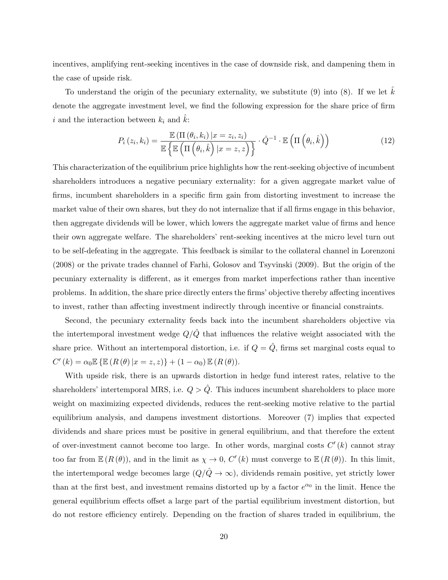incentives, amplifying rent-seeking incentives in the case of downside risk, and dampening them in the case of upside risk.

To understand the origin of the pecuniary externality, we substitute  $(9)$  into  $(8)$ . If we let k denote the aggregate investment level, we find the following expression for the share price of firm i and the interaction between  $k_i$  and  $k$ :

$$
P_i(z_i, k_i) = \frac{\mathbb{E}(\Pi(\theta_i, k_i) | x = z_i, z_i)}{\mathbb{E} \left\{ \mathbb{E} \left( \Pi(\theta_i, \hat{k}) | x = z, z \right) \right\}} \cdot \hat{Q}^{-1} \cdot \mathbb{E} \left( \Pi(\theta_i, \hat{k}) \right)
$$
(12)

This characterization of the equilibrium price highlights how the rent-seeking objective of incumbent shareholders introduces a negative pecuniary externality: for a given aggregate market value of firms, incumbent shareholders in a specific firm gain from distorting investment to increase the market value of their own shares, but they do not internalize that if all firms engage in this behavior, then aggregate dividends will be lower, which lowers the aggregate market value of firms and hence their own aggregate welfare. The shareholders' rent-seeking incentives at the micro level turn out to be self-defeating in the aggregate. This feedback is similar to the collateral channel in Lorenzoni (2008) or the private trades channel of Farhi, Golosov and Tsyvinski (2009). But the origin of the pecuniary externality is different, as it emerges from market imperfections rather than incentive problems. In addition, the share price directly enters the firms' objective thereby affecting incentives to invest, rather than affecting investment indirectly through incentive or financial constraints.

Second, the pecuniary externality feeds back into the incumbent shareholders objective via the intertemporal investment wedge  $Q/\hat{Q}$  that influences the relative weight associated with the share price. Without an intertemporal distortion, i.e. if  $Q = \hat{Q}$ , firms set marginal costs equal to  $C'(k) = \alpha_0 \mathbb{E} \{ \mathbb{E} (R(\theta) | x = z, z) \} + (1 - \alpha_0) \mathbb{E} (R(\theta)).$ 

With upside risk, there is an upwards distortion in hedge fund interest rates, relative to the shareholders' intertemporal MRS, i.e.  $Q > \hat{Q}$ . This induces incumbent shareholders to place more weight on maximizing expected dividends, reduces the rent-seeking motive relative to the partial equilibrium analysis, and dampens investment distortions. Moreover (7) implies that expected dividends and share prices must be positive in general equilibrium, and that therefore the extent of over-investment cannot become too large. In other words, marginal costs  $C'(k)$  cannot stray too far from  $\mathbb{E}(R(\theta))$ , and in the limit as  $\chi \to 0$ ,  $C'(k)$  must converge to  $\mathbb{E}(R(\theta))$ . In this limit, the intertemporal wedge becomes large  $(Q/\hat{Q} \rightarrow \infty)$ , dividends remain positive, yet strictly lower than at the first best, and investment remains distorted up by a factor  $e^{\alpha_0}$  in the limit. Hence the general equilibrium effects offset a large part of the partial equilibrium investment distortion, but do not restore efficiency entirely. Depending on the fraction of shares traded in equilibrium, the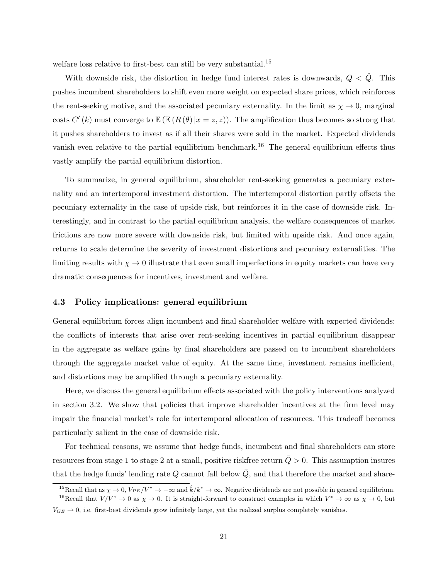welfare loss relative to first-best can still be very substantial.<sup>15</sup>

With downside risk, the distortion in hedge fund interest rates is downwards,  $Q < \hat{Q}$ . This pushes incumbent shareholders to shift even more weight on expected share prices, which reinforces the rent-seeking motive, and the associated pecuniary externality. In the limit as  $\chi \to 0$ , marginal costs  $C'(k)$  must converge to  $\mathbb{E} (E(R(\theta) | x = z, z))$ . The amplification thus becomes so strong that it pushes shareholders to invest as if all their shares were sold in the market. Expected dividends vanish even relative to the partial equilibrium benchmark.<sup>16</sup> The general equilibrium effects thus vastly amplify the partial equilibrium distortion.

To summarize, in general equilibrium, shareholder rent-seeking generates a pecuniary externality and an intertemporal investment distortion. The intertemporal distortion partly offsets the pecuniary externality in the case of upside risk, but reinforces it in the case of downside risk. Interestingly, and in contrast to the partial equilibrium analysis, the welfare consequences of market frictions are now more severe with downside risk, but limited with upside risk. And once again, returns to scale determine the severity of investment distortions and pecuniary externalities. The limiting results with  $\chi \to 0$  illustrate that even small imperfections in equity markets can have very dramatic consequences for incentives, investment and welfare.

#### 4.3 Policy implications: general equilibrium

General equilibrium forces align incumbent and final shareholder welfare with expected dividends: the conflicts of interests that arise over rent-seeking incentives in partial equilibrium disappear in the aggregate as welfare gains by final shareholders are passed on to incumbent shareholders through the aggregate market value of equity. At the same time, investment remains inefficient, and distortions may be amplified through a pecuniary externality.

Here, we discuss the general equilibrium effects associated with the policy interventions analyzed in section 3.2. We show that policies that improve shareholder incentives at the firm level may impair the financial market's role for intertemporal allocation of resources. This tradeoff becomes particularly salient in the case of downside risk.

For technical reasons, we assume that hedge funds, incumbent and final shareholders can store resources from stage 1 to stage 2 at a small, positive riskfree return  $Q > 0$ . This assumption insures that the hedge funds' lending rate  $Q$  cannot fall below  $\overline{Q}$ , and that therefore the market and share-

<sup>&</sup>lt;sup>15</sup>Recall that as  $\chi \to 0$ ,  $V_{PE}/V^* \to -\infty$  and  $\hat{k}/k^* \to \infty$ . Negative dividends are not possible in general equilibrium.

<sup>&</sup>lt;sup>16</sup>Recall that  $V/V^* \to 0$  as  $\chi \to 0$ . It is straight-forward to construct examples in which  $V^* \to \infty$  as  $\chi \to 0$ , but  $V_{GE} \rightarrow 0$ , i.e. first-best dividends grow infinitely large, yet the realized surplus completely vanishes.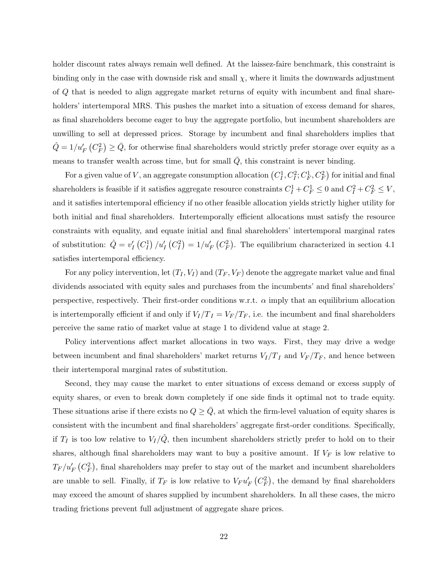holder discount rates always remain well defined. At the laissez-faire benchmark, this constraint is binding only in the case with downside risk and small  $\chi$ , where it limits the downwards adjustment of Q that is needed to align aggregate market returns of equity with incumbent and final shareholders' intertemporal MRS. This pushes the market into a situation of excess demand for shares, as final shareholders become eager to buy the aggregate portfolio, but incumbent shareholders are unwilling to sell at depressed prices. Storage by incumbent and final shareholders implies that  $\hat{Q} = 1/u'_F(C_F^2) \ge \bar{Q}$ , for otherwise final shareholders would strictly prefer storage over equity as a means to transfer wealth across time, but for small  $\overline{Q}$ , this constraint is never binding.

For a given value of V, an aggregate consumption allocation  $(C_I^1, C_I^2; C_F^1, C_F^2)$  for initial and final shareholders is feasible if it satisfies aggregate resource constraints  $C_I^1 + C_F^1 \leq 0$  and  $C_I^2 + C_F^2 \leq V$ , and it satisfies intertemporal efficiency if no other feasible allocation yields strictly higher utility for both initial and final shareholders. Intertemporally efficient allocations must satisfy the resource constraints with equality, and equate initial and final shareholders' intertemporal marginal rates of substitution:  $\hat{Q} = v_I' (C_I^1) / u_I' (C_I^2) = 1 / u_F' (C_F^2)$ . The equilibrium characterized in section 4.1 satisfies intertemporal efficiency.

For any policy intervention, let  $(T_I, V_I)$  and  $(T_F, V_F)$  denote the aggregate market value and final dividends associated with equity sales and purchases from the incumbents' and final shareholders' perspective, respectively. Their first-order conditions w.r.t.  $\alpha$  imply that an equilibrium allocation is intertemporally efficient if and only if  $V_I/T_I = V_F/T_F$ , i.e. the incumbent and final shareholders perceive the same ratio of market value at stage 1 to dividend value at stage 2.

Policy interventions affect market allocations in two ways. First, they may drive a wedge between incumbent and final shareholders' market returns  $V_I/T_I$  and  $V_F/T_F$ , and hence between their intertemporal marginal rates of substitution.

Second, they may cause the market to enter situations of excess demand or excess supply of equity shares, or even to break down completely if one side finds it optimal not to trade equity. These situations arise if there exists no  $Q \geq Q$ , at which the firm-level valuation of equity shares is consistent with the incumbent and final shareholders' aggregate first-order conditions. Specifically, if  $T_I$  is too low relative to  $V_I/\tilde{Q}$ , then incumbent shareholders strictly prefer to hold on to their shares, although final shareholders may want to buy a positive amount. If  $V_F$  is low relative to  $T_F/u_F'$  ( $C_F^2$ ), final shareholders may prefer to stay out of the market and incumbent shareholders are unable to sell. Finally, if  $T_F$  is low relative to  $V_F u_F' (C_F^2)$ , the demand by final shareholders may exceed the amount of shares supplied by incumbent shareholders. In all these cases, the micro trading frictions prevent full adjustment of aggregate share prices.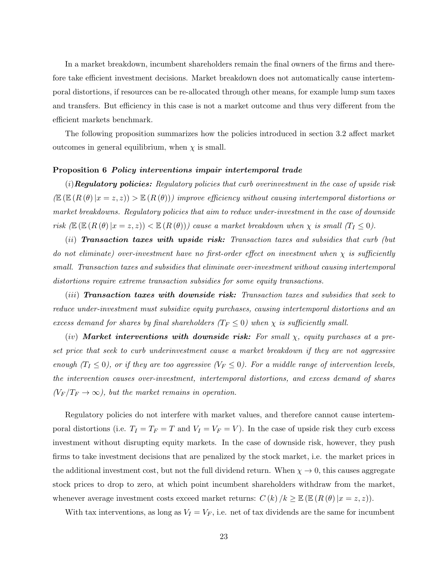In a market breakdown, incumbent shareholders remain the final owners of the firms and therefore take efficient investment decisions. Market breakdown does not automatically cause intertemporal distortions, if resources can be re-allocated through other means, for example lump sum taxes and transfers. But efficiency in this case is not a market outcome and thus very different from the efficient markets benchmark.

The following proposition summarizes how the policies introduced in section 3.2 affect market outcomes in general equilibrium, when  $\chi$  is small.

#### Proposition 6 Policy interventions impair intertemporal trade

 $(i)$ **Regulatory policies:** Regulatory policies that curb overinvestment in the case of upside risk  $(E(E(R(\theta)|x=z,z)) > E(R(\theta)))$  improve efficiency without causing intertemporal distortions or market breakdowns. Regulatory policies that aim to reduce under-investment in the case of downside risk  $(\mathbb{E} (\mathbb{E} (R (\theta) | x = z, z)) < \mathbb{E} (R (\theta)))$  cause a market breakdown when  $\chi$  is small  $(T_I \leq 0)$ .

 $(ii)$  Transaction taxes with upside risk: Transaction taxes and subsidies that curb (but do not eliminate) over-investment have no first-order effect on investment when  $\chi$  is sufficiently small. Transaction taxes and subsidies that eliminate over-investment without causing intertemporal distortions require extreme transaction subsidies for some equity transactions.

(*iii*) **Transaction taxes with downside risk:** Transaction taxes and subsidies that seek to reduce under-investment must subsidize equity purchases, causing intertemporal distortions and an excess demand for shares by final shareholders ( $T_F \leq 0$ ) when  $\chi$  is sufficiently small.

 $(iv)$  Market interventions with downside risk: For small  $\chi$ , equity purchases at a preset price that seek to curb underinvestment cause a market breakdown if they are not aggressive enough  $(T_I \le 0)$ , or if they are too aggressive  $(V_F \le 0)$ . For a middle range of intervention levels, the intervention causes over-investment, intertemporal distortions, and excess demand of shares  $(V_F/T_F \rightarrow \infty)$ , but the market remains in operation.

Regulatory policies do not interfere with market values, and therefore cannot cause intertemporal distortions (i.e.  $T_I = T_F = T$  and  $V_I = V_F = V$ ). In the case of upside risk they curb excess investment without disrupting equity markets. In the case of downside risk, however, they push firms to take investment decisions that are penalized by the stock market, i.e. the market prices in the additional investment cost, but not the full dividend return. When  $\chi \to 0$ , this causes aggregate stock prices to drop to zero, at which point incumbent shareholders withdraw from the market, whenever average investment costs exceed market returns:  $C(k)/k \geq \mathbb{E} (E(R(\theta)|x=z,z)).$ 

With tax interventions, as long as  $V_I = V_F$ , i.e. net of tax dividends are the same for incumbent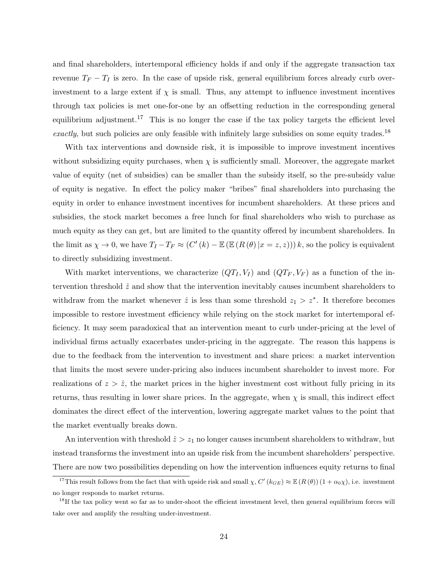and final shareholders, intertemporal efficiency holds if and only if the aggregate transaction tax revenue  $T_F - T_I$  is zero. In the case of upside risk, general equilibrium forces already curb overinvestment to a large extent if  $\chi$  is small. Thus, any attempt to influence investment incentives through tax policies is met one-for-one by an offsetting reduction in the corresponding general equilibrium adjustment.<sup>17</sup> This is no longer the case if the tax policy targets the efficient level exactly, but such policies are only feasible with infinitely large subsidies on some equity trades.<sup>18</sup>

With tax interventions and downside risk, it is impossible to improve investment incentives without subsidizing equity purchases, when  $\chi$  is sufficiently small. Moreover, the aggregate market value of equity (net of subsidies) can be smaller than the subsidy itself, so the pre-subsidy value of equity is negative. In effect the policy maker "bribes" final shareholders into purchasing the equity in order to enhance investment incentives for incumbent shareholders. At these prices and subsidies, the stock market becomes a free lunch for final shareholders who wish to purchase as much equity as they can get, but are limited to the quantity offered by incumbent shareholders. In the limit as  $\chi \to 0$ , we have  $T_I - T_F \approx (C'(k) - \mathbb{E}(\mathbb{E} (R(\theta) | x = z, z))) k$ , so the policy is equivalent to directly subsidizing investment.

With market interventions, we characterize  $(QT_I, V_I)$  and  $(QT_F, V_F)$  as a function of the intervention threshold  $\hat{z}$  and show that the intervention inevitably causes incumbent shareholders to withdraw from the market whenever  $\hat{z}$  is less than some threshold  $z_1 > z^*$ . It therefore becomes impossible to restore investment efficiency while relying on the stock market for intertemporal efficiency. It may seem paradoxical that an intervention meant to curb under-pricing at the level of individual firms actually exacerbates under-pricing in the aggregate. The reason this happens is due to the feedback from the intervention to investment and share prices: a market intervention that limits the most severe under-pricing also induces incumbent shareholder to invest more. For realizations of  $z > \hat{z}$ , the market prices in the higher investment cost without fully pricing in its returns, thus resulting in lower share prices. In the aggregate, when  $\chi$  is small, this indirect effect dominates the direct effect of the intervention, lowering aggregate market values to the point that the market eventually breaks down.

An intervention with threshold  $\hat{z} > z_1$  no longer causes incumbent shareholders to withdraw, but instead transforms the investment into an upside risk from the incumbent shareholders' perspective. There are now two possibilities depending on how the intervention influences equity returns to final

<sup>&</sup>lt;sup>17</sup>This result follows from the fact that with upside risk and small  $\chi$ ,  $C'(k_{GE}) \approx \mathbb{E}(R(\theta))(1+\alpha_0\chi)$ , i.e. investment no longer responds to market returns.

 $18$ If the tax policy went so far as to under-shoot the efficient investment level, then general equilibrium forces will take over and amplify the resulting under-investment.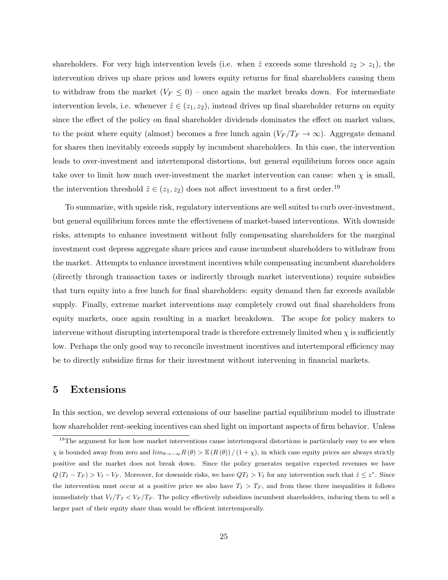shareholders. For very high intervention levels (i.e. when  $\hat{z}$  exceeds some threshold  $z_2 > z_1$ ), the intervention drives up share prices and lowers equity returns for final shareholders causing them to withdraw from the market  $(V_F \leq 0)$  – once again the market breaks down. For intermediate intervention levels, i.e. whenever  $\hat{z} \in (z_1, z_2)$ , instead drives up final shareholder returns on equity since the effect of the policy on final shareholder dividends dominates the effect on market values, to the point where equity (almost) becomes a free lunch again  $(V_F/T_F \rightarrow \infty)$ . Aggregate demand for shares then inevitably exceeds supply by incumbent shareholders. In this case, the intervention leads to over-investment and intertemporal distortions, but general equilibrium forces once again take over to limit how much over-investment the market intervention can cause: when  $\chi$  is small, the intervention threshold  $\hat{z} \in (z_1, z_2)$  does not affect investment to a first order.<sup>19</sup>

To summarize, with upside risk, regulatory interventions are well suited to curb over-investment, but general equilibrium forces mute the effectiveness of market-based interventions. With downside risks, attempts to enhance investment without fully compensating shareholders for the marginal investment cost depress aggregate share prices and cause incumbent shareholders to withdraw from the market. Attempts to enhance investment incentives while compensating incumbent shareholders (directly through transaction taxes or indirectly through market interventions) require subsidies that turn equity into a free lunch for final shareholders: equity demand then far exceeds available supply. Finally, extreme market interventions may completely crowd out final shareholders from equity markets, once again resulting in a market breakdown. The scope for policy makers to intervene without disrupting intertemporal trade is therefore extremely limited when  $\chi$  is sufficiently low. Perhaps the only good way to reconcile investment incentives and intertemporal efficiency may be to directly subsidize firms for their investment without intervening in financial markets.

## 5 Extensions

In this section, we develop several extensions of our baseline partial equilibrium model to illustrate how shareholder rent-seeking incentives can shed light on important aspects of firm behavior. Unless

<sup>&</sup>lt;sup>19</sup>The argument for how how market interventions cause intertemporal distortions is particularly easy to see when  $χ$  is bounded away from zero and  $\lim_{\theta\to-\infty}$   $R(\theta) > \mathbb{E}(R(\theta)) / (1 + χ)$ , in which case equity prices are always strictly positive and the market does not break down. Since the policy generates negative expected revenues we have  $Q(T_I - T_F) > V_I - V_F$ . Moreover, for downside risks, we have  $QT_I > V_I$  for any intervention such that  $\hat{z} \leq z^*$ . Since the intervention must occur at a positive price we also have  $T_I > T_F$ , and from these three inequalities it follows immediately that  $V_I/T_I < V_F/T_F$ . The policy effectively subsidizes incumbent shareholders, inducing them to sell a larger part of their equity share than would be efficient intertemporally.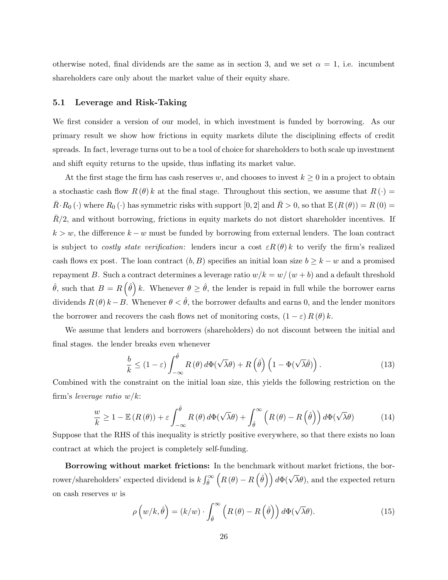otherwise noted, final dividends are the same as in section 3, and we set  $\alpha = 1$ , i.e. incumbent shareholders care only about the market value of their equity share.

#### 5.1 Leverage and Risk-Taking

We first consider a version of our model, in which investment is funded by borrowing. As our primary result we show how frictions in equity markets dilute the disciplining effects of credit spreads. In fact, leverage turns out to be a tool of choice for shareholders to both scale up investment and shift equity returns to the upside, thus inflating its market value.

At the first stage the firm has cash reserves w, and chooses to invest  $k \geq 0$  in a project to obtain a stochastic cash flow  $R(\theta) k$  at the final stage. Throughout this section, we assume that  $R(\cdot)$  $\overline{R} \cdot R_0 (\cdot)$  where  $R_0 (\cdot)$  has symmetric risks with support  $[0, 2]$  and  $\overline{R} > 0$ , so that  $\mathbb{E} (R (\theta)) = R (0) =$  $R/2$ , and without borrowing, frictions in equity markets do not distort shareholder incentives. If  $k > w$ , the difference  $k - w$  must be funded by borrowing from external lenders. The loan contract is subject to *costly state verification*: lenders incur a cost  $\varepsilon R(\theta) k$  to verify the firm's realized cash flows ex post. The loan contract  $(b, B)$  specifies an initial loan size  $b \geq k - w$  and a promised repayment B. Such a contract determines a leverage ratio  $w/k = w/(w + b)$  and a default threshold  $\hat{\theta}$ , such that  $B = R(\hat{\theta}) k$ . Whenever  $\theta \geq \hat{\theta}$ , the lender is repaid in full while the borrower earns dividends  $R(\theta) k - B$ . Whenever  $\theta < \hat{\theta}$ , the borrower defaults and earns 0, and the lender monitors the borrower and recovers the cash flows net of monitoring costs,  $(1 - \varepsilon) R(\theta) k$ .

We assume that lenders and borrowers (shareholders) do not discount between the initial and final stages. the lender breaks even whenever

$$
\frac{b}{k} \le (1 - \varepsilon) \int_{-\infty}^{\hat{\theta}} R(\theta) d\Phi(\sqrt{\lambda}\theta) + R(\hat{\theta}) \left(1 - \Phi(\sqrt{\lambda}\hat{\theta})\right). \tag{13}
$$

Combined with the constraint on the initial loan size, this yields the following restriction on the firm's leverage ratio  $w/k$ :

$$
\frac{w}{k} \ge 1 - \mathbb{E}\left(R\left(\theta\right)\right) + \varepsilon \int_{-\infty}^{\hat{\theta}} R\left(\theta\right) d\Phi(\sqrt{\lambda}\theta) + \int_{\hat{\theta}}^{\infty} \left(R\left(\theta\right) - R\left(\hat{\theta}\right)\right) d\Phi(\sqrt{\lambda}\theta) \tag{14}
$$

Suppose that the RHS of this inequality is strictly positive everywhere, so that there exists no loan contract at which the project is completely self-funding.

Borrowing without market frictions: In the benchmark without market frictions, the borrower/shareholders' expected dividend is  $k \int_{\hat{\theta}}^{\infty} (R(\theta) - R(\hat{\theta})) d\Phi(\sqrt{\lambda}\theta)$ , and the expected return on cash reserves w is

$$
\rho\left(w/k,\hat{\theta}\right) = (k/w) \cdot \int_{\hat{\theta}}^{\infty} \left(R\left(\theta\right) - R\left(\hat{\theta}\right)\right) d\Phi(\sqrt{\lambda}\theta). \tag{15}
$$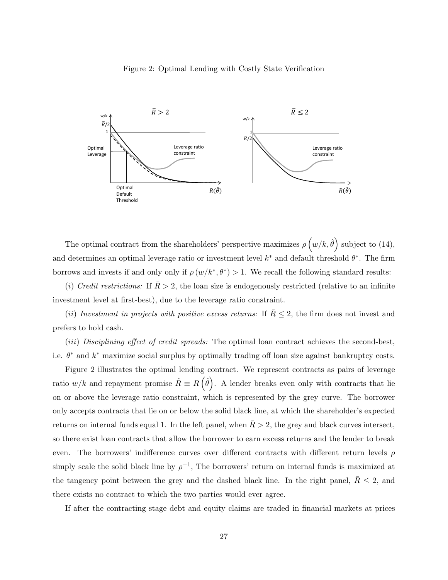#### Figure 2: Optimal Lending with Costly State Verification



The optimal contract from the shareholders' perspective maximizes  $\rho\left(w/k,\hat{\theta}\right)$  subject to (14), and determines an optimal leverage ratio or investment level  $k^*$  and default threshold  $\theta^*$ . The firm borrows and invests if and only only if  $\rho(w/k^*, \theta^*) > 1$ . We recall the following standard results:

(i) Credit restrictions: If  $\bar{R} > 2$ , the loan size is endogenously restricted (relative to an infinite investment level at first-best), due to the leverage ratio constraint.

(ii) Investment in projects with positive excess returns: If  $\bar{R} \leq 2$ , the firm does not invest and prefers to hold cash.

(iii) Disciplining effect of credit spreads: The optimal loan contract achieves the second-best, i.e.  $\theta^*$  and  $k^*$  maximize social surplus by optimally trading off loan size against bankruptcy costs.

Figure 2 illustrates the optimal lending contract. We represent contracts as pairs of leverage ratio  $w/k$  and repayment promise  $\hat{R} \equiv R(\hat{\theta})$ . A lender breaks even only with contracts that lie on or above the leverage ratio constraint, which is represented by the grey curve. The borrower only accepts contracts that lie on or below the solid black line, at which the shareholder's expected returns on internal funds equal 1. In the left panel, when  $\bar{R} > 2$ , the grey and black curves intersect, so there exist loan contracts that allow the borrower to earn excess returns and the lender to break even. The borrowers' indifference curves over different contracts with different return levels  $\rho$ simply scale the solid black line by  $\rho^{-1}$ , The borrowers' return on internal funds is maximized at the tangency point between the grey and the dashed black line. In the right panel,  $R \leq 2$ , and there exists no contract to which the two parties would ever agree.

If after the contracting stage debt and equity claims are traded in financial markets at prices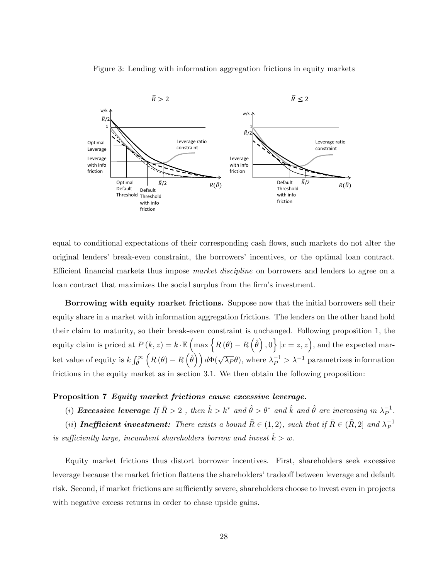Figure 3: Lending with information aggregation frictions in equity markets



equal to conditional expectations of their corresponding cash flows, such markets do not alter the original lenders' break-even constraint, the borrowers' incentives, or the optimal loan contract. Efficient financial markets thus impose market discipline on borrowers and lenders to agree on a loan contract that maximizes the social surplus from the firm's investment.

Borrowing with equity market frictions. Suppose now that the initial borrowers sell their equity share in a market with information aggregation frictions. The lenders on the other hand hold their claim to maturity, so their break-even constraint is unchanged. Following proposition 1, the equity claim is priced at  $P(k, z) = k \cdot \mathbb{E} \left( \max \{ R(\theta) - R(\hat{\theta}), 0 \} | x = z, z \right)$ , and the expected mar-Ret value of equity is  $k \int_{\hat{\theta}}^{\infty} (R(\theta) - R(\dot{\hat{\theta}})) d\Phi(\sqrt{\lambda_P} \theta)$ , where  $\lambda_P^{-1} > \lambda^{-1}$  parametrizes information frictions in the equity market as in section 3.1. We then obtain the following proposition:

#### Proposition 7 Equity market frictions cause excessive leverage.

(i) Excessive leverage If  $\bar{R} > 2$ , then  $\hat{k} > k^*$  and  $\hat{\theta} > \theta^*$  and  $\hat{k}$  and  $\hat{\theta}$  are increasing in  $\lambda_P^{-1}$  $\overline{P}^1$ .

(ii) Inefficient investment: There exists a bound  $\tilde{R} \in (1,2)$ , such that if  $\bar{R} \in (\tilde{R},2]$  and  $\lambda_P^{-1}$ P is sufficiently large, incumbent shareholders borrow and invest  $k > w$ .

Equity market frictions thus distort borrower incentives. First, shareholders seek excessive leverage because the market friction flattens the shareholders' tradeoff between leverage and default risk. Second, if market frictions are sufficiently severe, shareholders choose to invest even in projects with negative excess returns in order to chase upside gains.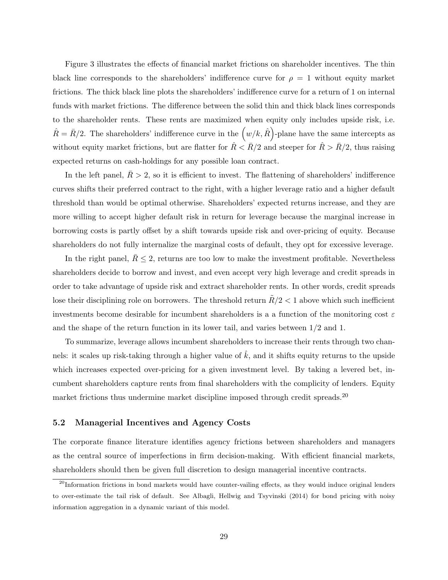Figure 3 illustrates the effects of financial market frictions on shareholder incentives. The thin black line corresponds to the shareholders' indifference curve for  $\rho = 1$  without equity market frictions. The thick black line plots the shareholders' indifference curve for a return of 1 on internal funds with market frictions. The difference between the solid thin and thick black lines corresponds to the shareholder rents. These rents are maximized when equity only includes upside risk, i.e.  $\hat{R} = \bar{R}/2$ . The shareholders' indifference curve in the  $(w/k, \hat{R})$ -plane have the same intercepts as without equity market frictions, but are flatter for  $\hat{R} < \bar{R}/2$  and steeper for  $\hat{R} > \bar{R}/2$ , thus raising expected returns on cash-holdings for any possible loan contract.

In the left panel,  $\bar{R} > 2$ , so it is efficient to invest. The flattening of shareholders' indifference curves shifts their preferred contract to the right, with a higher leverage ratio and a higher default threshold than would be optimal otherwise. Shareholders' expected returns increase, and they are more willing to accept higher default risk in return for leverage because the marginal increase in borrowing costs is partly offset by a shift towards upside risk and over-pricing of equity. Because shareholders do not fully internalize the marginal costs of default, they opt for excessive leverage.

In the right panel,  $R \leq 2$ , returns are too low to make the investment profitable. Nevertheless shareholders decide to borrow and invest, and even accept very high leverage and credit spreads in order to take advantage of upside risk and extract shareholder rents. In other words, credit spreads lose their disciplining role on borrowers. The threshold return  $R/2 < 1$  above which such inefficient investments become desirable for incumbent shareholders is a a function of the monitoring cost  $\varepsilon$ and the shape of the return function in its lower tail, and varies between 1/2 and 1.

To summarize, leverage allows incumbent shareholders to increase their rents through two channels: it scales up risk-taking through a higher value of  $\hat{k}$ , and it shifts equity returns to the upside which increases expected over-pricing for a given investment level. By taking a levered bet, incumbent shareholders capture rents from final shareholders with the complicity of lenders. Equity market frictions thus undermine market discipline imposed through credit spreads.<sup>20</sup>

#### 5.2 Managerial Incentives and Agency Costs

The corporate finance literature identifies agency frictions between shareholders and managers as the central source of imperfections in firm decision-making. With efficient financial markets, shareholders should then be given full discretion to design managerial incentive contracts.

 $^{20}$ Information frictions in bond markets would have counter-vailing effects, as they would induce original lenders to over-estimate the tail risk of default. See Albagli, Hellwig and Tsyvinski (2014) for bond pricing with noisy information aggregation in a dynamic variant of this model.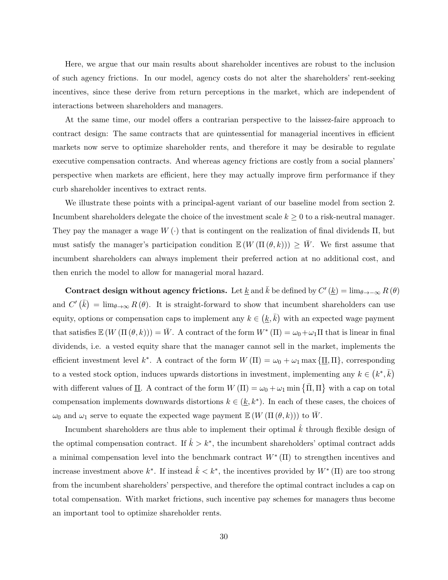Here, we argue that our main results about shareholder incentives are robust to the inclusion of such agency frictions. In our model, agency costs do not alter the shareholders' rent-seeking incentives, since these derive from return perceptions in the market, which are independent of interactions between shareholders and managers.

At the same time, our model offers a contrarian perspective to the laissez-faire approach to contract design: The same contracts that are quintessential for managerial incentives in efficient markets now serve to optimize shareholder rents, and therefore it may be desirable to regulate executive compensation contracts. And whereas agency frictions are costly from a social planners' perspective when markets are efficient, here they may actually improve firm performance if they curb shareholder incentives to extract rents.

We illustrate these points with a principal-agent variant of our baseline model from section 2. Incumbent shareholders delegate the choice of the investment scale  $k \geq 0$  to a risk-neutral manager. They pay the manager a wage  $W(\cdot)$  that is contingent on the realization of final dividends  $\Pi$ , but must satisfy the manager's participation condition  $\mathbb{E}(W(\Pi(\theta,k))) \geq \overline{W}$ . We first assume that incumbent shareholders can always implement their preferred action at no additional cost, and then enrich the model to allow for managerial moral hazard.

Contract design without agency frictions. Let <u>k</u> and  $\bar{k}$  be defined by  $C'(\underline{k}) = \lim_{\theta \to -\infty} R(\theta)$ and  $C'(\bar{k}) = \lim_{\theta \to \infty} R(\theta)$ . It is straight-forward to show that incumbent shareholders can use equity, options or compensation caps to implement any  $k \in (k, \bar{k})$  with an expected wage payment that satisfies  $\mathbb{E}(W(\Pi(\theta,k))) = \overline{W}$ . A contract of the form  $W^*(\Pi) = \omega_0 + \omega_1 \Pi$  that is linear in final dividends, i.e. a vested equity share that the manager cannot sell in the market, implements the efficient investment level  $k^*$ . A contract of the form  $W(\Pi) = \omega_0 + \omega_1 \max{\{\Pi, \Pi\}}$ , corresponding to a vested stock option, induces upwards distortions in investment, implementing any  $k \in (k^*, \bar{k})$ with different values of <u>II</u>. A contract of the form  $W(\Pi) = \omega_0 + \omega_1 \min \{\bar{\Pi}, \Pi\}$  with a cap on total compensation implements downwards distortions  $k \in (\underline{k}, k^*)$ . In each of these cases, the choices of  $\omega_0$  and  $\omega_1$  serve to equate the expected wage payment  $\mathbb{E}(W(\Pi(\theta, k)))$  to  $\overline{W}$ .

Incumbent shareholders are thus able to implement their optimal  $\hat{k}$  through flexible design of the optimal compensation contract. If  $\hat{k} > k^*$ , the incumbent shareholders' optimal contract adds a minimal compensation level into the benchmark contract  $W^*$  (II) to strengthen incentives and increase investment above  $k^*$ . If instead  $\hat{k} < k^*$ , the incentives provided by  $W^* (\Pi)$  are too strong from the incumbent shareholders' perspective, and therefore the optimal contract includes a cap on total compensation. With market frictions, such incentive pay schemes for managers thus become an important tool to optimize shareholder rents.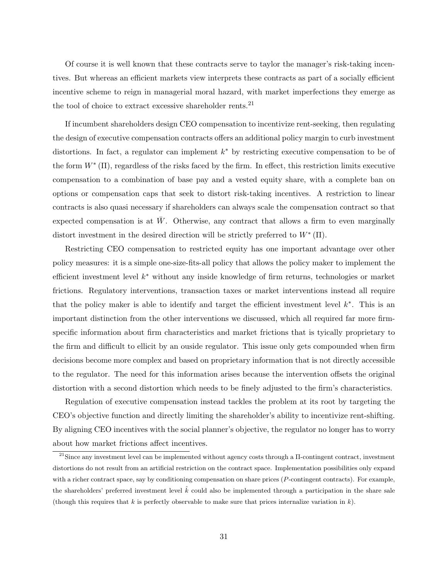Of course it is well known that these contracts serve to taylor the manager's risk-taking incentives. But whereas an efficient markets view interprets these contracts as part of a socially efficient incentive scheme to reign in managerial moral hazard, with market imperfections they emerge as the tool of choice to extract excessive shareholder rents.<sup>21</sup>

If incumbent shareholders design CEO compensation to incentivize rent-seeking, then regulating the design of executive compensation contracts offers an additional policy margin to curb investment distortions. In fact, a regulator can implement  $k^*$  by restricting executive compensation to be of the form  $W^*$  ( $\Pi$ ), regardless of the risks faced by the firm. In effect, this restriction limits executive compensation to a combination of base pay and a vested equity share, with a complete ban on options or compensation caps that seek to distort risk-taking incentives. A restriction to linear contracts is also quasi necessary if shareholders can always scale the compensation contract so that expected compensation is at  $\bar{W}$ . Otherwise, any contract that allows a firm to even marginally distort investment in the desired direction will be strictly preferred to  $W^*$  ( $\Pi$ ).

Restricting CEO compensation to restricted equity has one important advantage over other policy measures: it is a simple one-size-fits-all policy that allows the policy maker to implement the efficient investment level  $k^*$  without any inside knowledge of firm returns, technologies or market frictions. Regulatory interventions, transaction taxes or market interventions instead all require that the policy maker is able to identify and target the efficient investment level  $k^*$ . This is an important distinction from the other interventions we discussed, which all required far more firmspecific information about firm characteristics and market frictions that is tyically proprietary to the firm and difficult to ellicit by an ouside regulator. This issue only gets compounded when firm decisions become more complex and based on proprietary information that is not directly accessible to the regulator. The need for this information arises because the intervention offsets the original distortion with a second distortion which needs to be finely adjusted to the firm's characteristics.

Regulation of executive compensation instead tackles the problem at its root by targeting the CEO's objective function and directly limiting the shareholder's ability to incentivize rent-shifting. By aligning CEO incentives with the social planner's objective, the regulator no longer has to worry about how market frictions affect incentives.

<sup>21</sup>Since any investment level can be implemented without agency costs through a Π-contingent contract, investment distortions do not result from an artificial restriction on the contract space. Implementation possibilities only expand with a richer contract space, say by conditioning compensation on share prices (P-contingent contracts). For example, the shareholders' preferred investment level  $\hat{k}$  could also be implemented through a participation in the share sale (though this requires that k is perfectly observable to make sure that prices internalize variation in  $k$ ).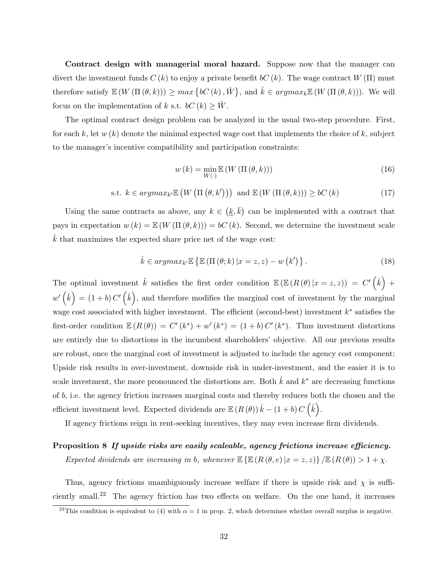Contract design with managerial moral hazard. Suppose now that the manager can divert the investment funds  $C(k)$  to enjoy a private benefit  $bC(k)$ . The wage contract  $W(\Pi)$  must therefore satisfy  $\mathbb{E}(W(\Pi(\theta,k))) \geq max \{bC(k), \overline{W}\},$  and  $\hat{k} \in argmax_k \mathbb{E}(W(\Pi(\theta,k)))$ . We will focus on the implementation of k s.t.  $bC(k) \geq \overline{W}$ .

The optimal contract design problem can be analyzed in the usual two-step procedure. First, for each k, let  $w(k)$  denote the minimal expected wage cost that implements the choice of k, subject to the manager's incentive compatibility and participation constraints:

$$
w(k) = \min_{W(\cdot)} \mathbb{E}\left(W\left(\Pi\left(\theta, k\right)\right)\right) \tag{16}
$$

$$
\text{s.t. } k \in argmax_{k'} \mathbb{E}\left(W\left(\Pi\left(\theta, k'\right)\right)\right) \text{ and } \mathbb{E}\left(W\left(\Pi\left(\theta, k\right)\right)\right) \geq bC\left(k\right) \tag{17}
$$

Using the same contracts as above, any  $k \in (k, \bar{k})$  can be implemented with a contract that pays in expectation  $w(k) = \mathbb{E}(W(\Pi(\theta, k))) = bC(k)$ . Second, we determine the investment scale  $\hat{k}$  that maximizes the expected share price net of the wage cost:

$$
\hat{k} \in argmax_{k'} \mathbb{E} \left\{ \mathbb{E} \left( \Pi \left( \theta; k \right) | x = z, z \right) - w \left( k' \right) \right\}. \tag{18}
$$

The optimal investment  $\hat{k}$  satisfies the first order condition  $\mathbb{E}(\mathbb{E}(R(\theta)|x=z,z)) = C'(\hat{k}) + C'(\hat{k})$  $w'(\hat{k}) = (1 + b) C'(\hat{k}),$  and therefore modifies the marginal cost of investment by the marginal wage cost associated with higher investment. The efficient (second-best) investment  $k^*$  satisfies the first-order condition  $\mathbb{E}(R(\theta)) = C'(k^*) + w'(k^*) = (1 + b)C'(k^*)$ . Thus investment distortions are entirely due to distortions in the incumbent shareholders' objective. All our previous results are robust, once the marginal cost of investment is adjusted to include the agency cost component: Upside risk results in over-investment, downside risk in under-investment, and the easier it is to scale investment, the more pronounced the distortions are. Both  $\hat{k}$  and  $k^*$  are decreasing functions of b, i.e. the agency friction increases marginal costs and thereby reduces both the chosen and the efficient investment level. Expected dividends are  $\mathbb{E}(R(\theta))\hat{k} - (1+b)C(\hat{k})$ .

If agency frictions reign in rent-seeking incentives, they may even increase firm dividends.

## Proposition 8 If upside risks are easily scaleable, agency frictions increase efficiency.

Expected dividends are increasing in b, whenever  $\mathbb{E} \left\{ \mathbb{E} \left( R(\theta, e) | x = z, z \right) \right\} / \mathbb{E} \left( R(\theta) \right) > 1 + \chi$ .

Thus, agency frictions unambiguously increase welfare if there is upside risk and  $\chi$  is sufficiently small.<sup>22</sup> The agency friction has two effects on welfare. On the one hand, it increases

<sup>&</sup>lt;sup>22</sup>This condition is equivalent to (4) with  $\alpha = 1$  in prop. 2, which determines whether overall surplus is negative.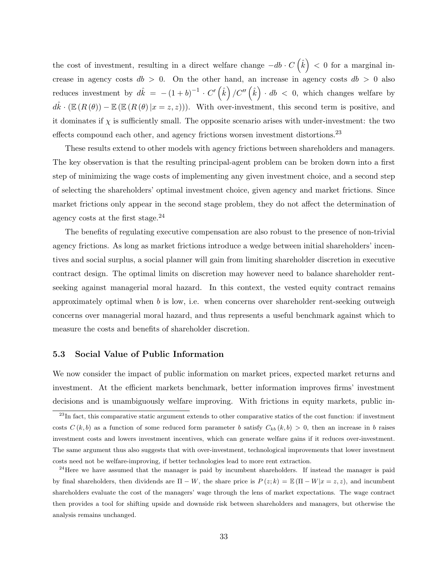the cost of investment, resulting in a direct welfare change  $-db \cdot C(\hat{k}) < 0$  for a marginal increase in agency costs  $db > 0$ . On the other hand, an increase in agency costs  $db > 0$  also reduces investment by  $d\hat{k} = -(1+b)^{-1} \cdot C'(\hat{k})/C''(\hat{k}) \cdot db < 0$ , which changes welfare by  $d\hat{k} \cdot (\mathbb{E} (R(\theta)) - \mathbb{E} (\mathbb{E} (R(\theta)) | x = z, z)))$ . With over-investment, this second term is positive, and it dominates if  $\chi$  is sufficiently small. The opposite scenario arises with under-investment: the two effects compound each other, and agency frictions worsen investment distortions.<sup>23</sup>

These results extend to other models with agency frictions between shareholders and managers. The key observation is that the resulting principal-agent problem can be broken down into a first step of minimizing the wage costs of implementing any given investment choice, and a second step of selecting the shareholders' optimal investment choice, given agency and market frictions. Since market frictions only appear in the second stage problem, they do not affect the determination of agency costs at the first stage.<sup>24</sup>

The benefits of regulating executive compensation are also robust to the presence of non-trivial agency frictions. As long as market frictions introduce a wedge between initial shareholders' incentives and social surplus, a social planner will gain from limiting shareholder discretion in executive contract design. The optimal limits on discretion may however need to balance shareholder rentseeking against managerial moral hazard. In this context, the vested equity contract remains approximately optimal when  $b$  is low, i.e. when concerns over shareholder rent-seeking outweigh concerns over managerial moral hazard, and thus represents a useful benchmark against which to measure the costs and benefits of shareholder discretion.

### 5.3 Social Value of Public Information

We now consider the impact of public information on market prices, expected market returns and investment. At the efficient markets benchmark, better information improves firms' investment decisions and is unambiguously welfare improving. With frictions in equity markets, public in-

<sup>&</sup>lt;sup>23</sup>In fact, this comparative static argument extends to other comparative statics of the cost function: if investment costs  $C(k, b)$  as a function of some reduced form parameter b satisfy  $C_{kb} (k, b) > 0$ , then an increase in b raises investment costs and lowers investment incentives, which can generate welfare gains if it reduces over-investment. The same argument thus also suggests that with over-investment, technological improvements that lower investment costs need not be welfare-improving, if better technologies lead to more rent extraction.

 $24$ Here we have assumed that the manager is paid by incumbent shareholders. If instead the manager is paid by final shareholders, then dividends are  $\Pi - W$ , the share price is  $P(z; k) = \mathbb{E}(\Pi - W|x = z, z)$ , and incumbent shareholders evaluate the cost of the managers' wage through the lens of market expectations. The wage contract then provides a tool for shifting upside and downside risk between shareholders and managers, but otherwise the analysis remains unchanged.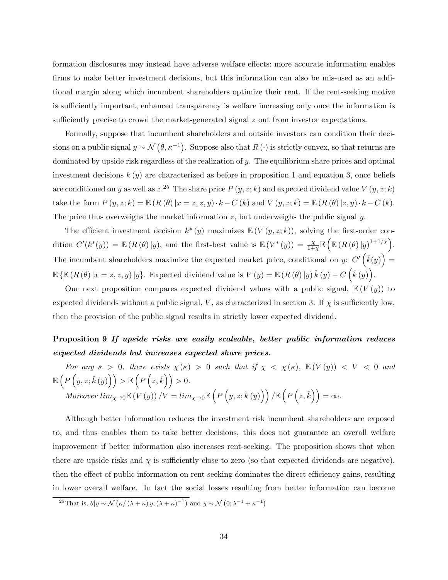formation disclosures may instead have adverse welfare effects: more accurate information enables firms to make better investment decisions, but this information can also be mis-used as an additional margin along which incumbent shareholders optimize their rent. If the rent-seeking motive is sufficiently important, enhanced transparency is welfare increasing only once the information is sufficiently precise to crowd the market-generated signal z out from investor expectations.

Formally, suppose that incumbent shareholders and outside investors can condition their decisions on a public signal  $y \sim \mathcal{N}(\theta, \kappa^{-1})$ . Suppose also that  $R(\cdot)$  is strictly convex, so that returns are dominated by upside risk regardless of the realization of  $y$ . The equilibrium share prices and optimal investment decisions  $k(y)$  are characterized as before in proposition 1 and equation 3, once beliefs are conditioned on y as well as  $z^{25}$  The share price  $P(y, z; k)$  and expected dividend value  $V(y, z; k)$ take the form  $P(y, z; k) = \mathbb{E} (R(\theta) | x = z, z, y) \cdot k - C(k)$  and  $V(y, z; k) = \mathbb{E} (R(\theta) | z, y) \cdot k - C(k)$ . The price thus overweighs the market information  $z$ , but underweighs the public signal  $y$ .

The efficient investment decision  $k^*(y)$  maximizes  $\mathbb{E}(V(y,z;k))$ , solving the first-order condition  $C'(k^*(y)) = \mathbb{E} (R(\theta) | y)$ , and the first-best value is  $\mathbb{E} (V^*(y)) = \frac{\chi}{1+\chi} \mathbb{E} \left( \mathbb{E} (R(\theta) | y)^{1+1/\chi} \right)$ . The incumbent shareholders maximize the expected market price, conditional on y:  $C'\left(\hat{k}(y)\right)$  =  $\mathbb{E}\left\{\mathbb{E}\left(R\left(\theta\right)|x=z,z,y\right)|y\right\}$ . Expected dividend value is  $V\left(y\right)=\mathbb{E}\left(R\left(\theta\right)|y\right)\hat{k}\left(y\right)-C\left(\hat{k}\left(y\right)\right)$ .

Our next proposition compares expected dividend values with a public signal,  $\mathbb{E}(V(y))$  to expected dividends without a public signal, V, as characterized in section 3. If  $\chi$  is sufficiently low, then the provision of the public signal results in strictly lower expected dividend.

# Proposition 9 If upside risks are easily scaleable, better public information reduces expected dividends but increases expected share prices.

For any  $\kappa > 0$ , there exists  $\chi(\kappa) > 0$  such that if  $\chi < \chi(\kappa)$ ,  $\mathbb{E}(V(y)) < V < 0$  and  $\mathbb{E}\left(P\left(y,z;\hat{k}\left(y\right)\right)\right) > \mathbb{E}\left(P\left(z,\hat{k}\right)\right) > 0.$ Moreover  $\lim_{\chi\to 0} \mathbb{E}(V(y))/V = \lim_{\chi\to 0} \mathbb{E}\left(P\left(y,z;\hat{k}\left(y\right)\right)\right) / \mathbb{E}\left(P\left(z,\hat{k}\right)\right) = \infty.$ 

Although better information reduces the investment risk incumbent shareholders are exposed to, and thus enables them to take better decisions, this does not guarantee an overall welfare improvement if better information also increases rent-seeking. The proposition shows that when there are upside risks and  $\chi$  is sufficiently close to zero (so that expected dividends are negative), then the effect of public information on rent-seeking dominates the direct efficiency gains, resulting in lower overall welfare. In fact the social losses resulting from better information can become

<sup>&</sup>lt;sup>25</sup>That is,  $\theta|y \sim \mathcal{N}(\kappa/(\lambda+\kappa)y; (\lambda+\kappa)^{-1})$  and  $y \sim \mathcal{N}(0; \lambda^{-1}+\kappa^{-1})$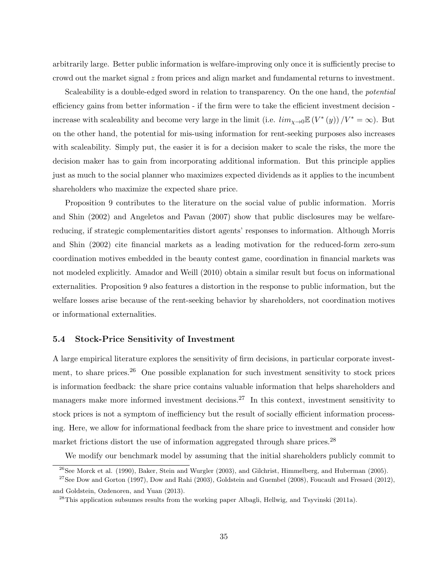arbitrarily large. Better public information is welfare-improving only once it is sufficiently precise to crowd out the market signal z from prices and align market and fundamental returns to investment.

Scaleability is a double-edged sword in relation to transparency. On the one hand, the *potential* efficiency gains from better information - if the firm were to take the efficient investment decision increase with scaleability and become very large in the limit (i.e.  $\lim_{\chi \to 0} \mathbb{E}(V^*(y))/V^* = \infty$ ). But on the other hand, the potential for mis-using information for rent-seeking purposes also increases with scaleability. Simply put, the easier it is for a decision maker to scale the risks, the more the decision maker has to gain from incorporating additional information. But this principle applies just as much to the social planner who maximizes expected dividends as it applies to the incumbent shareholders who maximize the expected share price.

Proposition 9 contributes to the literature on the social value of public information. Morris and Shin (2002) and Angeletos and Pavan (2007) show that public disclosures may be welfarereducing, if strategic complementarities distort agents' responses to information. Although Morris and Shin (2002) cite financial markets as a leading motivation for the reduced-form zero-sum coordination motives embedded in the beauty contest game, coordination in financial markets was not modeled explicitly. Amador and Weill (2010) obtain a similar result but focus on informational externalities. Proposition 9 also features a distortion in the response to public information, but the welfare losses arise because of the rent-seeking behavior by shareholders, not coordination motives or informational externalities.

#### 5.4 Stock-Price Sensitivity of Investment

A large empirical literature explores the sensitivity of firm decisions, in particular corporate investment, to share prices.<sup>26</sup> One possible explanation for such investment sensitivity to stock prices is information feedback: the share price contains valuable information that helps shareholders and managers make more informed investment decisions.<sup>27</sup> In this context, investment sensitivity to stock prices is not a symptom of inefficiency but the result of socially efficient information processing. Here, we allow for informational feedback from the share price to investment and consider how market frictions distort the use of information aggregated through share prices.<sup>28</sup>

We modify our benchmark model by assuming that the initial shareholders publicly commit to

 $^{26}$ See Morck et al. (1990), Baker, Stein and Wurgler (2003), and Gilchrist, Himmelberg, and Huberman (2005).

 $27$ See Dow and Gorton (1997), Dow and Rahi (2003), Goldstein and Guembel (2008), Foucault and Fresard (2012), and Goldstein, Ozdenoren, and Yuan (2013).

 $^{28}$ This application subsumes results from the working paper Albagli, Hellwig, and Tsyvinski (2011a).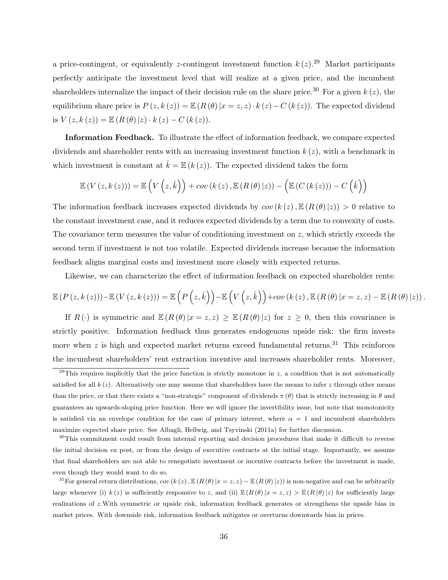a price-contingent, or equivalently z-contingent investment function  $k(z)$ .<sup>29</sup> Market participants perfectly anticipate the investment level that will realize at a given price, and the incumbent shareholders internalize the impact of their decision rule on the share price.<sup>30</sup> For a given  $k(z)$ , the equilibrium share price is  $P(z, k(z)) = \mathbb{E} (R(\theta) | x = z, z) \cdot k(z) - C(k(z))$ . The expected dividend is  $V(z, k(z)) = \mathbb{E} (R(\theta) | z) \cdot k(z) - C (k(z)).$ 

Information Feedback. To illustrate the effect of information feedback, we compare expected dividends and shareholder rents with an increasing investment function  $k(z)$ , with a benchmark in which investment is constant at  $\hat{k} = \mathbb{E} (k(z))$ . The expected dividend takes the form

$$
\mathbb{E}\left(V\left(z,k\left(z\right)\right)\right) = \mathbb{E}\left(V\left(z,\hat{k}\right)\right) + cov\left(k\left(z\right),\mathbb{E}\left(R\left(\theta\right)|z\right)\right) - \left(\mathbb{E}\left(C\left(k\left(z\right)\right)\right) - C\left(\hat{k}\right)\right)
$$

The information feedback increases expected dividends by  $cov(k(z), \mathbb{E}(R(\theta)|z)) > 0$  relative to the constant investment case, and it reduces expected dividends by a term due to convexity of costs. The covariance term measures the value of conditioning investment on  $z$ , which strictly exceeds the second term if investment is not too volatile. Expected dividends increase because the information feedback aligns marginal costs and investment more closely with expected returns.

Likewise, we can characterize the effect of information feedback on expected shareholder rents:

$$
\mathbb{E}\left(P\left(z,k\left(z\right)\right)\right)-\mathbb{E}\left(V\left(z,k\left(z\right)\right)\right)=\mathbb{E}\left(P\left(z,\hat{k}\right)\right)-\mathbb{E}\left(V\left(z,\hat{k}\right)\right)+cov\left(k\left(z\right),\mathbb{E}\left(R\left(\theta\right)|x=z,z\right)-\mathbb{E}\left(R\left(\theta\right)|z\right)\right).
$$

If  $R(\cdot)$  is symmetric and  $\mathbb{E}(R(\theta)|x=z,z) \geq \mathbb{E}(R(\theta)|z)$  for  $z \geq 0$ , then this covariance is strictly positive. Information feedback thus generates endogenous upside risk: the firm invests more when  $z$  is high and expected market returns exceed fundamental returns.<sup>31</sup> This reinforces the incumbent shareholders' rent extraction incentive and increases shareholder rents. Moreover,

<sup>&</sup>lt;sup>29</sup>This requires implicitly that the price function is strictly monotone in z, a condition that is not automatically satisfied for all  $k(z)$ . Alternatively one may assume that shareholders have the means to infer z through other means than the price, or that there exists a "non-strategic" component of dividends  $\pi(\theta)$  that is strictly increasing in  $\theta$  and guarantees an upwards-sloping price function. Here we will ignore the invertibility issue, but note that monotonicity is satisfied via an envelope condition for the case of primary interest, where  $\alpha = 1$  and incumbent shareholders maximize expected share price. See Albagli, Hellwig, and Tsyvinski (2011a) for further discussion.

<sup>&</sup>lt;sup>30</sup>This commitment could result from internal reporting and decision procedures that make it difficult to reverse the initial decision ex post, or from the design of executive contracts at the initial stage. Importantly, we assume that final shareholders are not able to renegotiate investment or incentive contracts before the investment is made, even though they would want to do so.

<sup>&</sup>lt;sup>31</sup>For general return distributions,  $cov(k(z), \mathbb{E}(R(\theta)|x=z,z) - \mathbb{E}(R(\theta)|z))$  is non-negative and can be arbitrarily large whenever (i)  $k(z)$  is sufficiently responsive to z, and (ii)  $\mathbb{E}(R(\theta)|x=z,z) > \mathbb{E}(R(\theta)|z)$  for sufficiently large realizations of z.With symmetric or upside risk, information feedback generates or strengthens the upside bias in market prices. With downside risk, information feedback mitigates or overturns downwards bias in prices.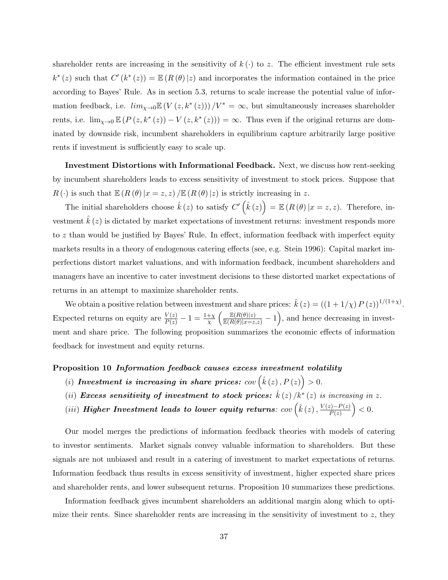shareholder rents are increasing in the sensitivity of  $k(\cdot)$  to z. The efficient investment rule sets  $k^*(z)$  such that  $C'(k^*(z)) = \mathbb{E} (R(\theta) | z)$  and incorporates the information contained in the price according to Bayes' Rule. As in section 5.3, returns to scale increase the potential value of information feedback, i.e.  $\lim_{\chi\to 0} \mathbb{E}(V(z, k^*(z))) / V^* = \infty$ , but simultaneously increases shareholder rents, i.e.  $\lim_{\chi\to 0} \mathbb{E} (P(z, k^*(z)) - V(z, k^*(z))) = \infty$ . Thus even if the original returns are dominated by downside risk, incumbent shareholders in equilibrium capture arbitrarily large positive rents if investment is sufficiently easy to scale up.

Investment Distortions with Informational Feedback. Next, we discuss how rent-seeking by incumbent shareholders leads to excess sensitivity of investment to stock prices. Suppose that  $R(\cdot)$  is such that  $\mathbb{E} (R(\theta) | x = z, z) / \mathbb{E} (R(\theta) | z)$  is strictly increasing in z.

The initial shareholders choose  $\hat{k}(z)$  to satisfy  $C'\left(\hat{k}(z)\right) = \mathbb{E}\left(R(\theta)|x=z,z\right)$ . Therefore, investment  $k(z)$  is dictated by market expectations of investment returns: investment responds more to z than would be justified by Bayes' Rule. In effect, information feedback with imperfect equity markets results in a theory of endogenous catering effects (see, e.g. Stein 1996): Capital market imperfections distort market valuations, and with information feedback, incumbent shareholders and managers have an incentive to cater investment decisions to these distorted market expectations of returns in an attempt to maximize shareholder rents.

We obtain a positive relation between investment and share prices:  $\hat{k}(z) = ((1 + 1/\chi) P(z))^{1/(1+\chi)}$ . Expected returns on equity are  $\frac{V(z)}{P(z)} - 1 = \frac{1+\chi}{\chi} \left( \frac{\mathbb{E}(R(\theta)|z)}{\mathbb{E}(R(\theta)|x=z,z)} - 1 \right)$ , and hence decreasing in investment and share price. The following proposition summarizes the economic effects of information feedback for investment and equity returns.

#### Proposition 10 Information feedback causes excess investment volatility

- (i) Investment is increasing in share prices:  $cov(\hat{k}(z), P(z)) > 0$ .
- (ii) Excess sensitivity of investment to stock prices:  $\hat{k}(z)/k^*(z)$  is increasing in z.
- (iii) Higher Investment leads to lower equity returns:  $cov(\hat{k}(z), \frac{V(z)-P(z)}{P(z)})$  $\frac{(z)-P(z)}{P(z)}$  > 0.

Our model merges the predictions of information feedback theories with models of catering to investor sentiments. Market signals convey valuable information to shareholders. But these signals are not unbiased and result in a catering of investment to market expectations of returns. Information feedback thus results in excess sensitivity of investment, higher expected share prices and shareholder rents, and lower subsequent returns. Proposition 10 summarizes these predictions.

Information feedback gives incumbent shareholders an additional margin along which to optimize their rents. Since shareholder rents are increasing in the sensitivity of investment to  $z$ , they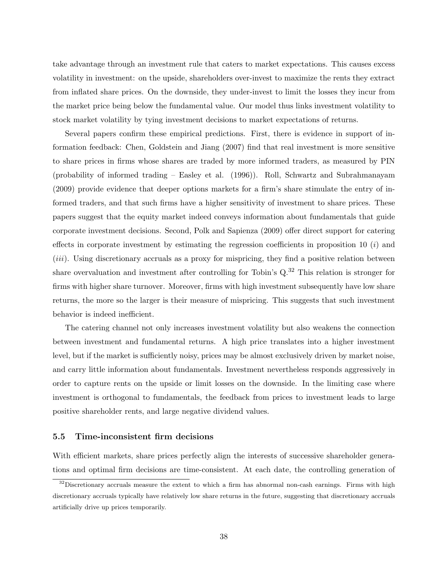take advantage through an investment rule that caters to market expectations. This causes excess volatility in investment: on the upside, shareholders over-invest to maximize the rents they extract from inflated share prices. On the downside, they under-invest to limit the losses they incur from the market price being below the fundamental value. Our model thus links investment volatility to stock market volatility by tying investment decisions to market expectations of returns.

Several papers confirm these empirical predictions. First, there is evidence in support of information feedback: Chen, Goldstein and Jiang (2007) find that real investment is more sensitive to share prices in firms whose shares are traded by more informed traders, as measured by PIN (probability of informed trading – Easley et al. (1996)). Roll, Schwartz and Subrahmanayam (2009) provide evidence that deeper options markets for a firm's share stimulate the entry of informed traders, and that such firms have a higher sensitivity of investment to share prices. These papers suggest that the equity market indeed conveys information about fundamentals that guide corporate investment decisions. Second, Polk and Sapienza (2009) offer direct support for catering effects in corporate investment by estimating the regression coefficients in proposition 10  $(i)$  and (*iii*). Using discretionary accruals as a proxy for mispricing, they find a positive relation between share overvaluation and investment after controlling for Tobin's  $Q^{32}$ . This relation is stronger for firms with higher share turnover. Moreover, firms with high investment subsequently have low share returns, the more so the larger is their measure of mispricing. This suggests that such investment behavior is indeed inefficient.

The catering channel not only increases investment volatility but also weakens the connection between investment and fundamental returns. A high price translates into a higher investment level, but if the market is sufficiently noisy, prices may be almost exclusively driven by market noise, and carry little information about fundamentals. Investment nevertheless responds aggressively in order to capture rents on the upside or limit losses on the downside. In the limiting case where investment is orthogonal to fundamentals, the feedback from prices to investment leads to large positive shareholder rents, and large negative dividend values.

#### 5.5 Time-inconsistent firm decisions

With efficient markets, share prices perfectly align the interests of successive shareholder generations and optimal firm decisions are time-consistent. At each date, the controlling generation of

 $32$ Discretionary accruals measure the extent to which a firm has abnormal non-cash earnings. Firms with high discretionary accruals typically have relatively low share returns in the future, suggesting that discretionary accruals artificially drive up prices temporarily.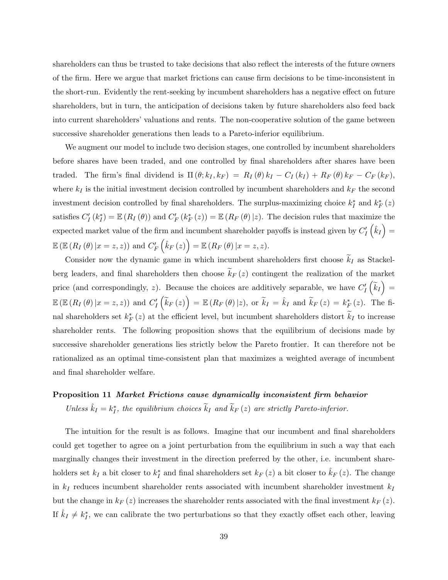shareholders can thus be trusted to take decisions that also reflect the interests of the future owners of the firm. Here we argue that market frictions can cause firm decisions to be time-inconsistent in the short-run. Evidently the rent-seeking by incumbent shareholders has a negative effect on future shareholders, but in turn, the anticipation of decisions taken by future shareholders also feed back into current shareholders' valuations and rents. The non-cooperative solution of the game between successive shareholder generations then leads to a Pareto-inferior equilibrium.

We augment our model to include two decision stages, one controlled by incumbent shareholders before shares have been traded, and one controlled by final shareholders after shares have been traded. The firm's final dividend is  $\Pi(\theta; k_I, k_F) = R_I(\theta) k_I - C_I(k_I) + R_F(\theta) k_F - C_F(k_F)$ , where  $k_I$  is the initial investment decision controlled by incumbent shareholders and  $k_F$  the second investment decision controlled by final shareholders. The surplus-maximizing choice  $k_I^*$  and  $k_F^*(z)$ satisfies  $C'_{I}(k_{I}^{*}) = \mathbb{E}(R_{I}(\theta))$  and  $C'_{F}(k_{F}^{*}(z)) = \mathbb{E}(R_{F}(\theta) | z)$ . The decision rules that maximize the expected market value of the firm and incumbent shareholder payoffs is instead given by  $C_I'(\hat{k}_I)$  =  $\mathbb{E}\left( \mathbb{E}\left(R_{I}\left(\theta\right)|x=z,z\right) \right) \, \text{and}\,\, C_{F}^{\prime}\left(\hat{k}_{F}\left(z\right)\right)=\mathbb{E}\left(R_{F}\left(\theta\right)|x=z,z\right) .$ 

Consider now the dynamic game in which incumbent shareholders first choose  $\widetilde{k}_I$  as Stackelberg leaders, and final shareholders then choose  $\widetilde{k}_F(z)$  contingent the realization of the market price (and correspondingly, z). Because the choices are additively separable, we have  $C'_I\left(\tilde{k}_I\right)$  =  $\mathbb{E}\left(\mathbb{E}\left(R_I\left(\theta\right)|x=z,z\right)\right)$  and  $C'_I\left(\widetilde{k}_F\left(z\right)\right)=\mathbb{E}\left(R_F\left(\theta\right)|z\right)$ , or  $\widetilde{k}_I=\hat{k}_I$  and  $\widetilde{k}_F\left(z\right)=k_F^*\left(z\right)$ . The final shareholders set  $k_F^*(z)$  at the efficient level, but incumbent shareholders distort  $\tilde{k}_I$  to increase shareholder rents. The following proposition shows that the equilibrium of decisions made by successive shareholder generations lies strictly below the Pareto frontier. It can therefore not be rationalized as an optimal time-consistent plan that maximizes a weighted average of incumbent and final shareholder welfare.

## Proposition 11 Market Frictions cause dynamically inconsistent firm behavior

Unless  $\hat{k}_I = k_I^*$ , the equilibrium choices  $\tilde{k}_I$  and  $\tilde{k}_F(z)$  are strictly Pareto-inferior.

The intuition for the result is as follows. Imagine that our incumbent and final shareholders could get together to agree on a joint perturbation from the equilibrium in such a way that each marginally changes their investment in the direction preferred by the other, i.e. incumbent shareholders set  $k_I$  a bit closer to  $k_I^*$  and final shareholders set  $k_F(z)$  a bit closer to  $\hat{k}_F(z)$ . The change in  $k_I$  reduces incumbent shareholder rents associated with incumbent shareholder investment  $k_I$ but the change in  $k_F(z)$  increases the shareholder rents associated with the final investment  $k_F(z)$ . If  $\hat{k}_I \neq k_I^*$ , we can calibrate the two perturbations so that they exactly offset each other, leaving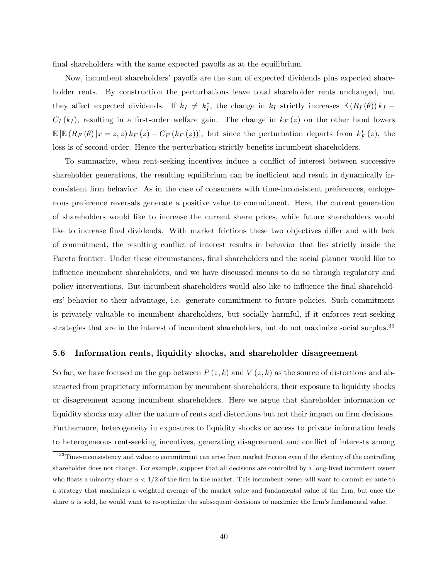final shareholders with the same expected payoffs as at the equilibrium.

Now, incumbent shareholders' payoffs are the sum of expected dividends plus expected shareholder rents. By construction the perturbations leave total shareholder rents unchanged, but they affect expected dividends. If  $\hat{k}_I \neq k_I^*$ , the change in  $k_I$  strictly increases  $\mathbb{E}(R_I(\theta)) k_I C_I(k_I)$ , resulting in a first-order welfare gain. The change in  $k_F(z)$  on the other hand lowers  $\mathbb{E}\left[\mathbb{E}\left(R_F\left(\theta\right)|x=z,z\right)k_F\left(z\right)-C_F\left(k_F\left(z\right)\right)\right],$  but since the perturbation departs from  $k_F^*(z)$ , the loss is of second-order. Hence the perturbation strictly benefits incumbent shareholders.

To summarize, when rent-seeking incentives induce a conflict of interest between successive shareholder generations, the resulting equilibrium can be inefficient and result in dynamically inconsistent firm behavior. As in the case of consumers with time-inconsistent preferences, endogenous preference reversals generate a positive value to commitment. Here, the current generation of shareholders would like to increase the current share prices, while future shareholders would like to increase final dividends. With market frictions these two objectives differ and with lack of commitment, the resulting conflict of interest results in behavior that lies strictly inside the Pareto frontier. Under these circumstances, final shareholders and the social planner would like to influence incumbent shareholders, and we have discussed means to do so through regulatory and policy interventions. But incumbent shareholders would also like to influence the final shareholders' behavior to their advantage, i.e. generate commitment to future policies. Such commitment is privately valuable to incumbent shareholders, but socially harmful, if it enforces rent-seeking strategies that are in the interest of incumbent shareholders, but do not maximize social surplus.<sup>33</sup>

#### 5.6 Information rents, liquidity shocks, and shareholder disagreement

So far, we have focused on the gap between  $P(z, k)$  and  $V(z, k)$  as the source of distortions and abstracted from proprietary information by incumbent shareholders, their exposure to liquidity shocks or disagreement among incumbent shareholders. Here we argue that shareholder information or liquidity shocks may alter the nature of rents and distortions but not their impact on firm decisions. Furthermore, heterogeneity in exposures to liquidity shocks or access to private information leads to heterogeneous rent-seeking incentives, generating disagreement and conflict of interests among

<sup>&</sup>lt;sup>33</sup>Time-inconsistency and value to commitment can arise from market friction even if the identity of the controlling shareholder does not change. For example, suppose that all decisions are controlled by a long-lived incumbent owner who floats a minority share  $\alpha < 1/2$  of the firm in the market. This incumbent owner will want to commit ex ante to a strategy that maximizes a weighted average of the market value and fundamental value of the firm, but once the share  $\alpha$  is sold, he would want to re-optimize the subsequent decisions to maximize the firm's fundamental value.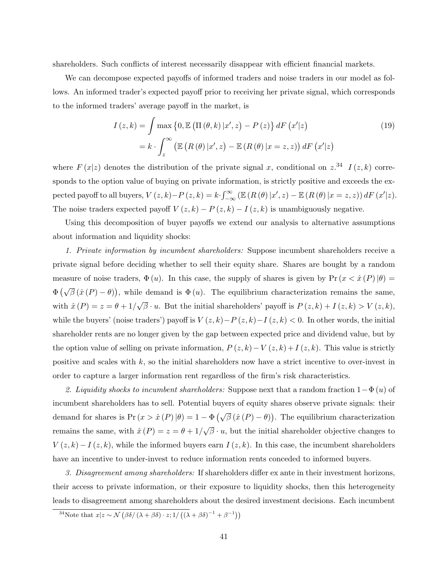shareholders. Such conflicts of interest necessarily disappear with efficient financial markets.

We can decompose expected payoffs of informed traders and noise traders in our model as follows. An informed trader's expected payoff prior to receiving her private signal, which corresponds to the informed traders' average payoff in the market, is

$$
I(z,k) = \int \max \{0, \mathbb{E} \left( \Pi(\theta, k) | x', z \right) - P(z) \} dF(x'|z)
$$
  
=  $k \cdot \int_z^{\infty} \left( \mathbb{E} \left( R(\theta) | x', z \right) - \mathbb{E} \left( R(\theta) | x = z, z \right) \right) dF(x'|z)$  (19)

where  $F(x|z)$  denotes the distribution of the private signal x, conditional on  $z^{34}$   $I(z,k)$  corresponds to the option value of buying on private information, is strictly positive and exceeds the expected payoff to all buyers,  $V(z, k) - P(z, k) = k \cdot \int_{-\infty}^{\infty} (\mathbb{E} (R(\theta) | x', z) - \mathbb{E} (R(\theta) | x = z, z)) dF(x'|z)$ . The noise traders expected payoff  $V(z, k) - P(z, k) - I(z, k)$  is unambiguously negative.

Using this decomposition of buyer payoffs we extend our analysis to alternative assumptions about information and liquidity shocks:

1. Private information by incumbent shareholders: Suppose incumbent shareholders receive a private signal before deciding whether to sell their equity share. Shares are bought by a random measure of noise traders,  $\Phi(u)$ . In this case, the supply of shares is given by  $Pr(x < \hat{x}(P) | \theta)$  $\Phi\left(\sqrt{\beta}(\hat{x}(P)-\theta)\right)$ , while demand is  $\Phi(u)$ . The equilibrium characterization remains the same, with  $\hat{x}(P) = z = \theta + 1/\sqrt{\beta} \cdot u$ . But the initial shareholders' payoff is  $P(z, k) + I(z, k) > V(z, k)$ , √ while the buyers' (noise traders') payoff is  $V(z, k) - P(z, k) - I(z, k) < 0$ . In other words, the initial shareholder rents are no longer given by the gap between expected price and dividend value, but by the option value of selling on private information,  $P(z, k) - V(z, k) + I(z, k)$ . This value is strictly positive and scales with  $k$ , so the initial shareholders now have a strict incentive to over-invest in order to capture a larger information rent regardless of the firm's risk characteristics.

2. Liquidity shocks to incumbent shareholders: Suppose next that a random fraction  $1-\Phi(u)$  of incumbent shareholders has to sell. Potential buyers of equity shares observe private signals: their demand for shares is  $Pr(x > \hat{x}(P) | \theta) = 1 - \Phi(\sqrt{\beta}(\hat{x}(P) - \theta))$ . The equilibrium characterization remains the same, with  $\hat{x}(P) = z = \theta + 1/2$ √  $\overline{\beta} \cdot u$ , but the initial shareholder objective changes to  $V(z, k) - I(z, k)$ , while the informed buyers earn  $I(z, k)$ . In this case, the incumbent shareholders have an incentive to under-invest to reduce information rents conceded to informed buyers.

3. Disagreement among shareholders: If shareholders differ ex ante in their investment horizons, their access to private information, or their exposure to liquidity shocks, then this heterogeneity leads to disagreement among shareholders about the desired investment decisions. Each incumbent

<sup>&</sup>lt;sup>34</sup>Note that  $x|z \sim \mathcal{N}(\beta \delta/(\lambda + \beta \delta) \cdot z; 1/((\lambda + \beta \delta)^{-1} + \beta^{-1}))$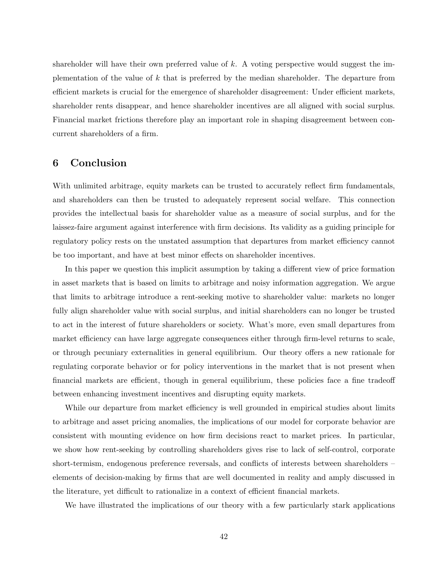shareholder will have their own preferred value of  $k$ . A voting perspective would suggest the implementation of the value of k that is preferred by the median shareholder. The departure from efficient markets is crucial for the emergence of shareholder disagreement: Under efficient markets, shareholder rents disappear, and hence shareholder incentives are all aligned with social surplus. Financial market frictions therefore play an important role in shaping disagreement between concurrent shareholders of a firm.

# 6 Conclusion

With unlimited arbitrage, equity markets can be trusted to accurately reflect firm fundamentals, and shareholders can then be trusted to adequately represent social welfare. This connection provides the intellectual basis for shareholder value as a measure of social surplus, and for the laissez-faire argument against interference with firm decisions. Its validity as a guiding principle for regulatory policy rests on the unstated assumption that departures from market efficiency cannot be too important, and have at best minor effects on shareholder incentives.

In this paper we question this implicit assumption by taking a different view of price formation in asset markets that is based on limits to arbitrage and noisy information aggregation. We argue that limits to arbitrage introduce a rent-seeking motive to shareholder value: markets no longer fully align shareholder value with social surplus, and initial shareholders can no longer be trusted to act in the interest of future shareholders or society. What's more, even small departures from market efficiency can have large aggregate consequences either through firm-level returns to scale, or through pecuniary externalities in general equilibrium. Our theory offers a new rationale for regulating corporate behavior or for policy interventions in the market that is not present when financial markets are efficient, though in general equilibrium, these policies face a fine tradeoff between enhancing investment incentives and disrupting equity markets.

While our departure from market efficiency is well grounded in empirical studies about limits to arbitrage and asset pricing anomalies, the implications of our model for corporate behavior are consistent with mounting evidence on how firm decisions react to market prices. In particular, we show how rent-seeking by controlling shareholders gives rise to lack of self-control, corporate short-termism, endogenous preference reversals, and conflicts of interests between shareholders – elements of decision-making by firms that are well documented in reality and amply discussed in the literature, yet difficult to rationalize in a context of efficient financial markets.

We have illustrated the implications of our theory with a few particularly stark applications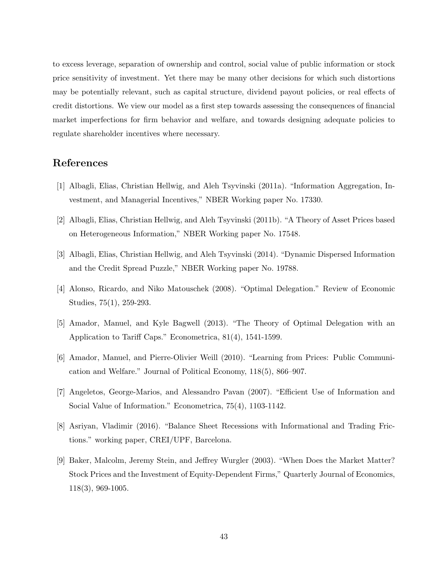to excess leverage, separation of ownership and control, social value of public information or stock price sensitivity of investment. Yet there may be many other decisions for which such distortions may be potentially relevant, such as capital structure, dividend payout policies, or real effects of credit distortions. We view our model as a first step towards assessing the consequences of financial market imperfections for firm behavior and welfare, and towards designing adequate policies to regulate shareholder incentives where necessary.

# References

- [1] Albagli, Elias, Christian Hellwig, and Aleh Tsyvinski (2011a). "Information Aggregation, Investment, and Managerial Incentives," NBER Working paper No. 17330.
- [2] Albagli, Elias, Christian Hellwig, and Aleh Tsyvinski (2011b). "A Theory of Asset Prices based on Heterogeneous Information," NBER Working paper No. 17548.
- [3] Albagli, Elias, Christian Hellwig, and Aleh Tsyvinski (2014). "Dynamic Dispersed Information and the Credit Spread Puzzle," NBER Working paper No. 19788.
- [4] Alonso, Ricardo, and Niko Matouschek (2008). "Optimal Delegation." Review of Economic Studies, 75(1), 259-293.
- [5] Amador, Manuel, and Kyle Bagwell (2013). "The Theory of Optimal Delegation with an Application to Tariff Caps." Econometrica, 81(4), 1541-1599.
- [6] Amador, Manuel, and Pierre-Olivier Weill (2010). "Learning from Prices: Public Communication and Welfare." Journal of Political Economy, 118(5), 866–907.
- [7] Angeletos, George-Marios, and Alessandro Pavan (2007). "Efficient Use of Information and Social Value of Information." Econometrica, 75(4), 1103-1142.
- [8] Asriyan, Vladimir (2016). "Balance Sheet Recessions with Informational and Trading Frictions." working paper, CREI/UPF, Barcelona.
- [9] Baker, Malcolm, Jeremy Stein, and Jeffrey Wurgler (2003). "When Does the Market Matter? Stock Prices and the Investment of Equity-Dependent Firms," Quarterly Journal of Economics, 118(3), 969-1005.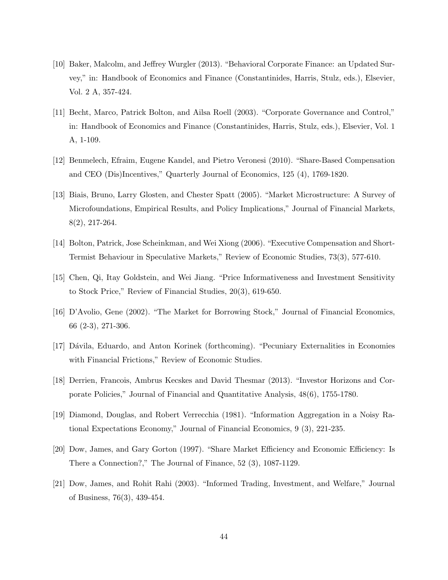- [10] Baker, Malcolm, and Jeffrey Wurgler (2013). "Behavioral Corporate Finance: an Updated Survey," in: Handbook of Economics and Finance (Constantinides, Harris, Stulz, eds.), Elsevier, Vol. 2 A, 357-424.
- [11] Becht, Marco, Patrick Bolton, and Ailsa Roell (2003). "Corporate Governance and Control," in: Handbook of Economics and Finance (Constantinides, Harris, Stulz, eds.), Elsevier, Vol. 1 A, 1-109.
- [12] Benmelech, Efraim, Eugene Kandel, and Pietro Veronesi (2010). "Share-Based Compensation and CEO (Dis)Incentives," Quarterly Journal of Economics, 125 (4), 1769-1820.
- [13] Biais, Bruno, Larry Glosten, and Chester Spatt (2005). "Market Microstructure: A Survey of Microfoundations, Empirical Results, and Policy Implications," Journal of Financial Markets, 8(2), 217-264.
- [14] Bolton, Patrick, Jose Scheinkman, and Wei Xiong (2006). "Executive Compensation and Short-Termist Behaviour in Speculative Markets," Review of Economic Studies, 73(3), 577-610.
- [15] Chen, Qi, Itay Goldstein, and Wei Jiang. "Price Informativeness and Investment Sensitivity to Stock Price," Review of Financial Studies, 20(3), 619-650.
- [16] D'Avolio, Gene (2002). "The Market for Borrowing Stock," Journal of Financial Economics, 66 (2-3), 271-306.
- [17] Dávila, Eduardo, and Anton Korinek (forthcoming). "Pecuniary Externalities in Economies with Financial Frictions," Review of Economic Studies.
- [18] Derrien, Francois, Ambrus Kecskes and David Thesmar (2013). "Investor Horizons and Corporate Policies," Journal of Financial and Quantitative Analysis, 48(6), 1755-1780.
- [19] Diamond, Douglas, and Robert Verrecchia (1981). "Information Aggregation in a Noisy Rational Expectations Economy," Journal of Financial Economics, 9 (3), 221-235.
- [20] Dow, James, and Gary Gorton (1997). "Share Market Efficiency and Economic Efficiency: Is There a Connection?," The Journal of Finance, 52 (3), 1087-1129.
- [21] Dow, James, and Rohit Rahi (2003). "Informed Trading, Investment, and Welfare," Journal of Business, 76(3), 439-454.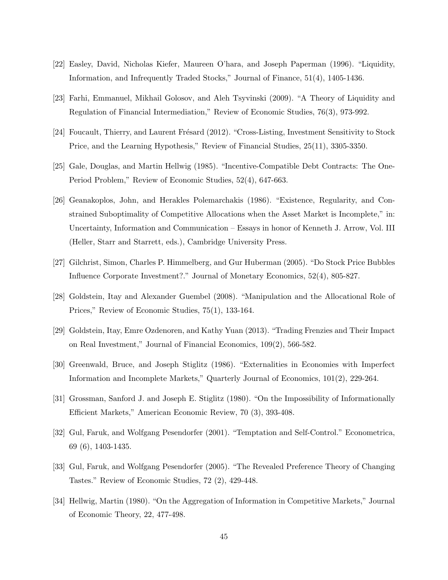- [22] Easley, David, Nicholas Kiefer, Maureen O'hara, and Joseph Paperman (1996). "Liquidity, Information, and Infrequently Traded Stocks," Journal of Finance, 51(4), 1405-1436.
- [23] Farhi, Emmanuel, Mikhail Golosov, and Aleh Tsyvinski (2009). "A Theory of Liquidity and Regulation of Financial Intermediation," Review of Economic Studies, 76(3), 973-992.
- [24] Foucault, Thierry, and Laurent Frésard (2012). "Cross-Listing, Investment Sensitivity to Stock Price, and the Learning Hypothesis," Review of Financial Studies, 25(11), 3305-3350.
- [25] Gale, Douglas, and Martin Hellwig (1985). "Incentive-Compatible Debt Contracts: The One-Period Problem," Review of Economic Studies, 52(4), 647-663.
- [26] Geanakoplos, John, and Herakles Polemarchakis (1986). "Existence, Regularity, and Constrained Suboptimality of Competitive Allocations when the Asset Market is Incomplete," in: Uncertainty, Information and Communication – Essays in honor of Kenneth J. Arrow, Vol. III (Heller, Starr and Starrett, eds.), Cambridge University Press.
- [27] Gilchrist, Simon, Charles P. Himmelberg, and Gur Huberman (2005). "Do Stock Price Bubbles Influence Corporate Investment?." Journal of Monetary Economics, 52(4), 805-827.
- [28] Goldstein, Itay and Alexander Guembel (2008). "Manipulation and the Allocational Role of Prices," Review of Economic Studies, 75(1), 133-164.
- [29] Goldstein, Itay, Emre Ozdenoren, and Kathy Yuan (2013). "Trading Frenzies and Their Impact on Real Investment," Journal of Financial Economics, 109(2), 566-582.
- [30] Greenwald, Bruce, and Joseph Stiglitz (1986). "Externalities in Economies with Imperfect Information and Incomplete Markets," Quarterly Journal of Economics, 101(2), 229-264.
- [31] Grossman, Sanford J. and Joseph E. Stiglitz (1980). "On the Impossibility of Informationally Efficient Markets," American Economic Review, 70 (3), 393-408.
- [32] Gul, Faruk, and Wolfgang Pesendorfer (2001). "Temptation and Self-Control." Econometrica, 69 (6), 1403-1435.
- [33] Gul, Faruk, and Wolfgang Pesendorfer (2005). "The Revealed Preference Theory of Changing Tastes." Review of Economic Studies, 72 (2), 429-448.
- [34] Hellwig, Martin (1980). "On the Aggregation of Information in Competitive Markets," Journal of Economic Theory, 22, 477-498.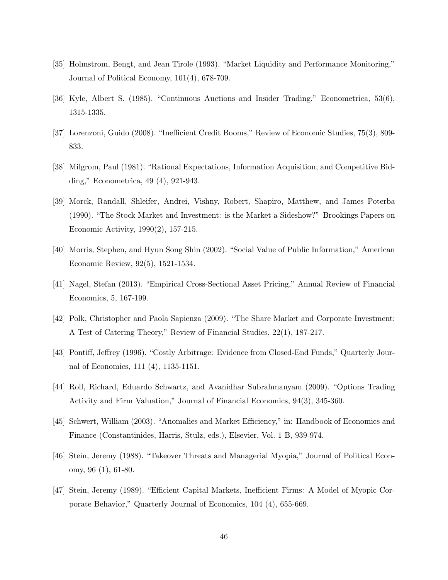- [35] Holmstrom, Bengt, and Jean Tirole (1993). "Market Liquidity and Performance Monitoring," Journal of Political Economy, 101(4), 678-709.
- [36] Kyle, Albert S. (1985). "Continuous Auctions and Insider Trading." Econometrica, 53(6), 1315-1335.
- [37] Lorenzoni, Guido (2008). "Inefficient Credit Booms," Review of Economic Studies, 75(3), 809- 833.
- [38] Milgrom, Paul (1981). "Rational Expectations, Information Acquisition, and Competitive Bidding," Econometrica, 49 (4), 921-943.
- [39] Morck, Randall, Shleifer, Andrei, Vishny, Robert, Shapiro, Matthew, and James Poterba (1990). "The Stock Market and Investment: is the Market a Sideshow?" Brookings Papers on Economic Activity, 1990(2), 157-215.
- [40] Morris, Stephen, and Hyun Song Shin (2002). "Social Value of Public Information," American Economic Review, 92(5), 1521-1534.
- [41] Nagel, Stefan (2013). "Empirical Cross-Sectional Asset Pricing," Annual Review of Financial Economics, 5, 167-199.
- [42] Polk, Christopher and Paola Sapienza (2009). "The Share Market and Corporate Investment: A Test of Catering Theory," Review of Financial Studies, 22(1), 187-217.
- [43] Pontiff, Jeffrey (1996). "Costly Arbitrage: Evidence from Closed-End Funds," Quarterly Journal of Economics, 111 (4), 1135-1151.
- [44] Roll, Richard, Eduardo Schwartz, and Avanidhar Subrahmanyam (2009). "Options Trading Activity and Firm Valuation," Journal of Financial Economics, 94(3), 345-360.
- [45] Schwert, William (2003). "Anomalies and Market Efficiency," in: Handbook of Economics and Finance (Constantinides, Harris, Stulz, eds.), Elsevier, Vol. 1 B, 939-974.
- [46] Stein, Jeremy (1988). "Takeover Threats and Managerial Myopia," Journal of Political Economy, 96 (1), 61-80.
- [47] Stein, Jeremy (1989). "Efficient Capital Markets, Inefficient Firms: A Model of Myopic Corporate Behavior," Quarterly Journal of Economics, 104 (4), 655-669.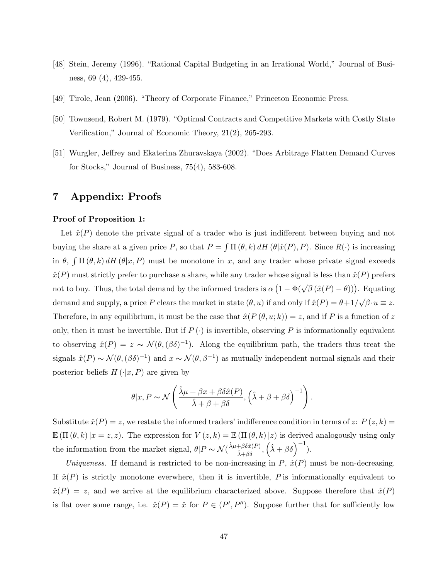- [48] Stein, Jeremy (1996). "Rational Capital Budgeting in an Irrational World," Journal of Business, 69 (4), 429-455.
- [49] Tirole, Jean (2006). "Theory of Corporate Finance," Princeton Economic Press.
- [50] Townsend, Robert M. (1979). "Optimal Contracts and Competitive Markets with Costly State Verification," Journal of Economic Theory, 21(2), 265-293.
- [51] Wurgler, Jeffrey and Ekaterina Zhuravskaya (2002). "Does Arbitrage Flatten Demand Curves for Stocks," Journal of Business, 75(4), 583-608.

# 7 Appendix: Proofs

#### Proof of Proposition 1:

Let  $\hat{x}(P)$  denote the private signal of a trader who is just indifferent between buying and not buying the share at a given price P, so that  $P = \int \Pi(\theta, k) dH(\theta|\hat{x}(P), P)$ . Since  $R(\cdot)$  is increasing in  $\theta$ ,  $\int \Pi(\theta, k) dH(\theta | x, P)$  must be monotone in x, and any trader whose private signal exceeds  $\hat{x}(P)$  must strictly prefer to purchase a share, while any trader whose signal is less than  $\hat{x}(P)$  prefers not to buy. Thus, the total demand by the informed traders is  $\alpha (1 - \Phi(\sqrt{\beta} (\hat{x}(P) - \theta)))$ . Equating demand and supply, a price P clears the market in state  $(\theta, u)$  if and only if  $\hat{x}(P) = \theta + 1/2$ √  $\overline{\beta}\cdotp u \equiv z.$ Therefore, in any equilibrium, it must be the case that  $\hat{x}(P(\theta, u; k)) = z$ , and if P is a function of z only, then it must be invertible. But if  $P(\cdot)$  is invertible, observing P is informationally equivalent to observing  $\hat{x}(P) = z \sim \mathcal{N}(\theta, (\beta \delta)^{-1})$ . Along the equilibrium path, the traders thus treat the signals  $\hat{x}(P) \sim \mathcal{N}(\theta, (\beta \delta)^{-1})$  and  $x \sim \mathcal{N}(\theta, \beta^{-1})$  as mutually independent normal signals and their posterior beliefs  $H(\cdot|x, P)$  are given by

$$
\theta | x, P \sim \mathcal{N}\left(\frac{\hat{\lambda}\mu + \beta x + \beta \delta \hat{x}(P)}{\hat{\lambda} + \beta + \beta \delta}, \left(\hat{\lambda} + \beta + \beta \delta\right)^{-1}\right).
$$

Substitute  $\hat{x}(P) = z$ , we restate the informed traders' indifference condition in terms of z:  $P(z, k) = z$  $\mathbb{E}(\Pi(\theta, k)|x = z, z)$ . The expression for  $V(z, k) = \mathbb{E}(\Pi(\theta, k)|z)$  is derived analogously using only the information from the market signal,  $\theta | P \sim \mathcal{N}(\frac{\hat{\lambda}\mu + \beta \hat{\delta}\hat{x}(P)}{\hat{\lambda} + \beta \delta}, {\hat{\lambda} + \beta \delta})^{-1}$ .

Uniqueness. If demand is restricted to be non-increasing in  $P$ ,  $\hat{x}(P)$  must be non-decreasing. If  $\hat{x}(P)$  is strictly monotone everwhere, then it is invertible, P is informationally equivalent to  $\hat{x}(P) = z$ , and we arrive at the equilibrium characterized above. Suppose therefore that  $\hat{x}(P)$ is flat over some range, i.e.  $\hat{x}(P) = \hat{x}$  for  $P \in (P', P'')$ . Suppose further that for sufficiently low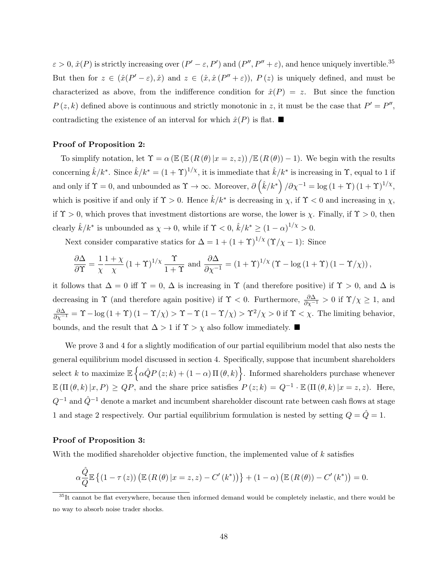$\varepsilon > 0$ ,  $\hat{x}(P)$  is strictly increasing over  $(P' - \varepsilon, P')$  and  $(P'', P'' + \varepsilon)$ , and hence uniquely invertible.<sup>35</sup> But then for  $z \in (\hat{x}(P' - \varepsilon), \hat{x})$  and  $z \in (\hat{x}, \hat{x}(P'' + \varepsilon)), P(z)$  is uniquely defined, and must be characterized as above, from the indifference condition for  $\hat{x}(P) = z$ . But since the function  $P(z,k)$  defined above is continuous and strictly monotonic in z, it must be the case that  $P' = P''$ , contradicting the existence of an interval for which  $\hat{x}(P)$  is flat.

### Proof of Proposition 2:

To simplify notation, let  $\Upsilon = \alpha (\mathbb{E} (R(\theta) | x = z, z)) / \mathbb{E} (R(\theta) - 1)$ . We begin with the results concerning  $\hat{k}/k^*$ . Since  $\hat{k}/k^* = (1+\Upsilon)^{1/\chi}$ , it is immediate that  $\hat{k}/k^*$  is increasing in  $\Upsilon$ , equal to 1 if and only if  $\Upsilon = 0$ , and unbounded as  $\Upsilon \to \infty$ . Moreover,  $\partial (\hat{k}/k^*)/\partial \chi^{-1} = \log(1+\Upsilon)(1+\Upsilon)^{1/\chi}$ , which is positive if and only if  $\Upsilon > 0$ . Hence  $\hat{k}/k^*$  is decreasing in  $\chi$ , if  $\Upsilon < 0$  and increasing in  $\chi$ , if  $\Upsilon > 0$ , which proves that investment distortions are worse, the lower is  $\chi$ . Finally, if  $\Upsilon > 0$ , then clearly  $\hat{k}/k^*$  is unbounded as  $\chi \to 0$ , while if  $\Upsilon < 0$ ,  $\hat{k}/k^* \ge (1 - \alpha)^{1/\chi} > 0$ .

Next consider comparative statics for  $\Delta = 1 + (1 + \Upsilon)^{1/\chi} (\Upsilon/\chi - 1)$ : Since

$$
\frac{\partial \Delta}{\partial \Upsilon} = \frac{1}{\chi} \frac{1 + \chi}{\chi} \left( 1 + \Upsilon \right)^{1/\chi} \frac{\Upsilon}{1 + \Upsilon} \text{ and } \frac{\partial \Delta}{\partial \chi^{-1}} = \left( 1 + \Upsilon \right)^{1/\chi} \left( \Upsilon - \log \left( 1 + \Upsilon \right) \left( 1 - \Upsilon / \chi \right) \right),
$$

it follows that  $\Delta = 0$  iff  $\Upsilon = 0$ ,  $\Delta$  is increasing in  $\Upsilon$  (and therefore positive) if  $\Upsilon > 0$ , and  $\Delta$  is decreasing in  $\Upsilon$  (and therefore again positive) if  $\Upsilon < 0$ . Furthermore,  $\frac{\partial \Delta}{\partial \chi^{-1}} > 0$  if  $\Upsilon/\chi \geq 1$ , and  $\frac{\partial \Delta}{\partial \chi^{-1}} = \Upsilon - \log(1+\Upsilon)(1-\Upsilon/\chi) > \Upsilon - \Upsilon(1-\Upsilon/\chi) > \Upsilon^2/\chi > 0$  if  $\Upsilon < \chi$ . The limiting behavior, bounds, and the result that  $\Delta > 1$  if  $\Upsilon > \chi$  also follow immediately. ■

We prove 3 and 4 for a slightly modification of our partial equilibrium model that also nests the general equilibrium model discussed in section 4. Specifically, suppose that incumbent shareholders select k to maximize  $\mathbb{E} \left\{ \alpha \hat{Q} P(z;k) + (1-\alpha) \Pi(\theta, k) \right\}$ . Informed shareholders purchase whenever  $\mathbb{E}(\Pi(\theta, k)|x, P) \geq QP$ , and the share price satisfies  $P(z; k) = Q^{-1} \cdot \mathbb{E}(\Pi(\theta, k)|x = z, z)$ . Here,  $Q^{-1}$  and  $\hat{Q}^{-1}$  denote a market and incumbent shareholder discount rate between cash flows at stage 1 and stage 2 respectively. Our partial equilibrium formulation is nested by setting  $Q = \hat{Q} = 1$ .

#### Proof of Proposition 3:

With the modified shareholder objective function, the implemented value of k satisfies

$$
\alpha \frac{\hat{Q}}{Q} \mathbb{E} \left\{ (1 - \tau (z)) \left( \mathbb{E} \left( R \left( \theta \right) | x = z, z \right) - C' \left( k^* \right) \right) \right\} + (1 - \alpha) \left( \mathbb{E} \left( R \left( \theta \right) \right) - C' \left( k^* \right) \right) = 0.
$$

<sup>&</sup>lt;sup>35</sup>It cannot be flat everywhere, because then informed demand would be completely inelastic, and there would be no way to absorb noise trader shocks.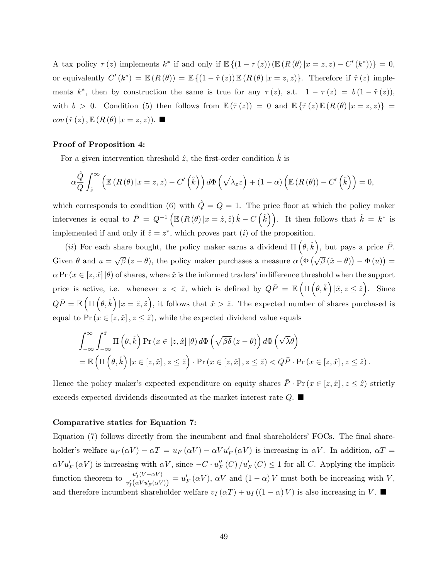A tax policy  $\tau(z)$  implements  $k^*$  if and only if  $\mathbb{E}\left\{(1-\tau(z))\left(\mathbb{E}\left(R(\theta)|x=z,z\right)-C'(k^*)\right)\right\}=0,$ or equivalently  $C'(k^*) = \mathbb{E} (R(\theta)) = \mathbb{E} \{ (1 - \hat{\tau}(z)) \mathbb{E} (R(\theta) | x = z, z) \}.$  Therefore if  $\hat{\tau}(z)$  implements k<sup>\*</sup>, then by construction the same is true for any  $\tau(z)$ , s.t.  $1 - \tau(z) = b(1 - \hat{\tau}(z))$ , with  $b > 0$ . Condition (5) then follows from  $\mathbb{E}(\hat{\tau}(z)) = 0$  and  $\mathbb{E} {\{\hat{\tau}(z)\}\mathbb{E} (R(\theta) | x = z, z) } =$  $cov(\hat{\tau}(z), \mathbb{E}(R(\theta)|x=z,z)).$ 

### Proof of Proposition 4:

For a given intervention threshold  $\hat{z}$ , the first-order condition  $\hat{k}$  is

$$
\alpha \frac{\hat{Q}}{Q} \int_{\hat{z}}^{\infty} \left( \mathbb{E} \left( R \left( \theta \right) | x = z, z \right) - C' \left( \hat{k} \right) \right) d\Phi \left( \sqrt{\lambda_z} z \right) + (1 - \alpha) \left( \mathbb{E} \left( R \left( \theta \right) \right) - C' \left( \hat{k} \right) \right) = 0,
$$

which corresponds to condition (6) with  $\hat{Q}=Q=1$ . The price floor at which the policy maker intervenes is equal to  $\bar{P} = Q^{-1} \left( \mathbb{E} (R(\theta) | x = \hat{z}, \hat{z}) \hat{k} - C(\hat{k}) \right)$ . It then follows that  $\hat{k} = k^*$  is implemented if and only if  $\hat{z} = z^*$ , which proves part (*i*) of the proposition.

(*ii*) For each share bought, the policy maker earns a dividend  $\Pi(\theta, \hat{k})$ , but pays a price  $\bar{P}$ . Given  $\theta$  and  $u =$ √  $\overline{\beta}(z-\theta)$ , the policy maker purchases a measure  $\alpha \left( \Phi \left( \sqrt{\beta} (\hat{x}-\theta) \right) - \Phi(u) \right) =$  $\alpha \Pr(x \in [z, \hat{x}] | \theta)$  of shares, where  $\hat{x}$  is the informed traders' indifference threshold when the support price is active, i.e. whenever  $z < \hat{z}$ , which is defined by  $Q\bar{P} = \mathbb{E} \left( \Pi \left( \theta, \hat{k} \right) | \hat{x}, z \leq \hat{z} \right)$ . Since  $Q\bar{P} = \mathbb{E} \left( \Pi \left( \theta, \hat{k} \right) | x = \hat{z}, \hat{z} \right)$ , it follows that  $\hat{x} > \hat{z}$ . The expected number of shares purchased is equal to  $Pr(x \in [z, \hat{x}], z \leq \hat{z})$ , while the expected dividend value equals

$$
\int_{-\infty}^{\infty} \int_{-\infty}^{\hat{z}} \Pi(\theta, \hat{k}) \Pr(x \in [z, \hat{x}] | \theta) d\Phi(\sqrt{\beta \delta}(z - \theta)) d\Phi(\sqrt{\lambda \theta})
$$
  
=  $\mathbb{E}(\Pi(\theta, \hat{k}) | x \in [z, \hat{x}], z \leq \hat{z}) \cdot \Pr(x \in [z, \hat{x}], z \leq \hat{z}) < Q\bar{P} \cdot \Pr(x \in [z, \hat{x}], z \leq \hat{z}).$ 

Hence the policy maker's expected expenditure on equity shares  $\bar{P} \cdot \Pr(x \in [z, \hat{x}], z \leq \hat{z})$  strictly exceeds expected dividends discounted at the market interest rate  $Q$ .

#### Comparative statics for Equation 7:

Equation (7) follows directly from the incumbent and final shareholders' FOCs. The final shareholder's welfare  $u_F(\alpha V) - \alpha T = u_F(\alpha V) - \alpha V u'_F(\alpha V)$  is increasing in  $\alpha V$ . In addition,  $\alpha T =$  $\alpha V u'_F(\alpha V)$  is increasing with  $\alpha V$ , since  $-C \cdot u''_F(C) / u'_F(C) \leq 1$  for all C. Applying the implicit function theorem to  $\frac{u'_I(V-\alpha V)}{u'(V-V)(V)}$  $\frac{u'_I(V-\alpha V)}{v'_I(\alpha V u'_F(\alpha V))} = u'_F(\alpha V), \alpha V$  and  $(1-\alpha)V$  must both be increasing with V, and therefore incumbent shareholder welfare  $v_I(\alpha T) + u_I((1 - \alpha)V)$  is also increasing in V.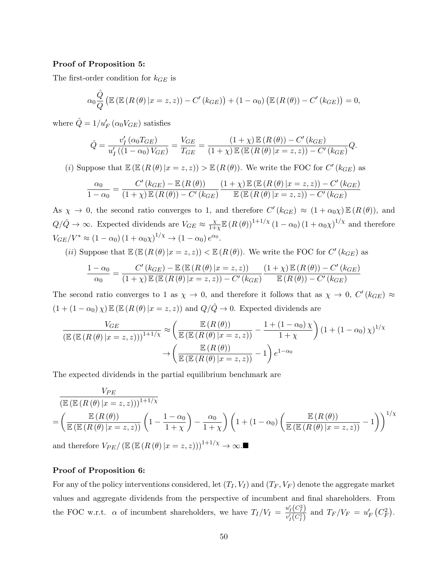#### Proof of Proposition 5:

The first-order condition for  $k_{GE}$  is

$$
\alpha_0 \frac{\hat{Q}}{Q} \left( \mathbb{E} \left( \mathbb{E} \left( R \left( \theta \right) \vert x = z, z \right) \right) - C' \left( k_{GE} \right) \right) + (1 - \alpha_0) \left( \mathbb{E} \left( R \left( \theta \right) \right) - C' \left( k_{GE} \right) \right) = 0,
$$

where  $\hat{Q} = 1/u_F' (\alpha_0 V_{GE})$  satisfies

$$
\hat{Q} = \frac{v'_I(\alpha_0 T_{GE})}{u'_I((1 - \alpha_0) V_{GE})} = \frac{V_{GE}}{T_{GE}} = \frac{(1 + \chi) \mathbb{E}(R(\theta)) - C'(k_{GE})}{(1 + \chi) \mathbb{E}(\mathbb{E}(R(\theta)) | x = z, z) - C'(k_{GE})} Q.
$$

(i) Suppose that  $\mathbb{E}(\mathbb{E}(R(\theta)|x=z,z)) > \mathbb{E}(R(\theta)).$  We write the FOC for  $C'(k_{GE})$  as

$$
\frac{\alpha_0}{1-\alpha_0} = \frac{C'(k_{GE}) - \mathbb{E}(R(\theta))}{(1+\chi)\mathbb{E}(R(\theta)) - C'(k_{GE})} \frac{(1+\chi)\mathbb{E}(\mathbb{E}(R(\theta)|x=z,z)) - C'(k_{GE})}{\mathbb{E}(\mathbb{E}(R(\theta)|x=z,z)) - C'(k_{GE})}
$$

As  $\chi \to 0$ , the second ratio converges to 1, and therefore  $C'(k_{GE}) \approx (1 + \alpha_0 \chi) \mathbb{E} (R(\theta))$ , and  $Q/\hat{Q} \rightarrow \infty$ . Expected dividends are  $V_{GE} \approx \frac{\chi}{1+\chi}$  $\frac{\chi}{1+\chi} \mathbb{E} (R(\theta))^{1+1/\chi} (1-\alpha_0) (1+\alpha_0 \chi)^{1/\chi}$  and therefore  $V_{GE}/V^* \approx (1 - \alpha_0) (1 + \alpha_0 \chi)^{1/\chi} \to (1 - \alpha_0) e^{\alpha_0}.$ 

(*ii*) Suppose that  $\mathbb{E}(\mathbb{E}(R(\theta)|x=z,z)) < \mathbb{E}(R(\theta))$ . We write the FOC for  $C'(k_{GE})$  as

$$
\frac{1-\alpha_0}{\alpha_0} = \frac{C'(k_{GE}) - \mathbb{E}\left(\mathbb{E}\left(R\left(\theta\right)|x=z,z\right)\right)}{(1+\chi)\mathbb{E}\left(\mathbb{E}\left(R\left(\theta\right)|x=z,z\right)\right) - C'(k_{GE})} \frac{(1+\chi)\mathbb{E}\left(R\left(\theta\right)\right) - C'(k_{GE})}{\mathbb{E}\left(R\left(\theta\right)\right) - C'(k_{GE})}
$$

The second ratio converges to 1 as  $\chi \to 0$ , and therefore it follows that as  $\chi \to 0$ ,  $C'(k_{GE}) \approx$  $(1 + (1 - \alpha_0) \chi) \mathbb{E} (\mathbb{E} (R(\theta) | x = z, z))$  and  $Q/\hat{Q} \to 0$ . Expected dividends are

$$
\frac{V_{GE}}{\left(\mathbb{E}\left(\mathbb{E}\left(R\left(\theta\right)|x=z,z\right)\right)\right)^{1+1/\chi}} \approx \left(\frac{\mathbb{E}\left(R\left(\theta\right)\right)}{\mathbb{E}\left(\mathbb{E}\left(R\left(\theta\right)|x=z,z\right)\right)} - \frac{1 + (1-\alpha_0)\chi}{1+\chi}\right) \left(1 + (1-\alpha_0)\chi\right)^{1/\chi}
$$

$$
\to \left(\frac{\mathbb{E}\left(R\left(\theta\right)\right)}{\mathbb{E}\left(\mathbb{E}\left(R\left(\theta\right)|x=z,z\right)\right)} - 1\right) e^{1-\alpha_0}
$$

The expected dividends in the partial equilibrium benchmark are

$$
\frac{V_{PE}}{\left(\mathbb{E}\left(\mathbb{E}\left(R\left(\theta\right)|x=z,z\right)\right)\right)^{1+1/\chi}}
$$
\n
$$
=\left(\frac{\mathbb{E}\left(R\left(\theta\right)|x=z,z\right)\right)^{1+1/\chi}}{\mathbb{E}\left(\mathbb{E}\left(R\left(\theta\right)|x=z,z\right)\right)}\left(1-\frac{1-\alpha_{0}}{1+\chi}\right)-\frac{\alpha_{0}}{1+\chi}\right)\left(1+(1-\alpha_{0})\left(\frac{\mathbb{E}\left(R\left(\theta\right)|}{\mathbb{E}\left(\mathbb{E}\left(R\left(\theta\right)|x=z,z\right)\right)}-1\right)\right)^{1/\chi}
$$

and therefore  $V_{PE}/(\mathbb{E} (\mathbb{E} (R(\theta)|x=z,z)))^{1+1/\chi} \to \infty$ .

### Proof of Proposition 6:

For any of the policy interventions considered, let  $(T_I, V_I)$  and  $(T_F, V_F)$  denote the aggregate market values and aggregate dividends from the perspective of incumbent and final shareholders. From the FOC w.r.t.  $\alpha$  of incumbent shareholders, we have  $T_I/V_I = \frac{u'_I(C_I^2)}{v'(C_1)}$  $\frac{u_I(C_I^2)}{v_I'(C_I^1)}$  and  $T_F/V_F = u_F'(C_F^2)$ .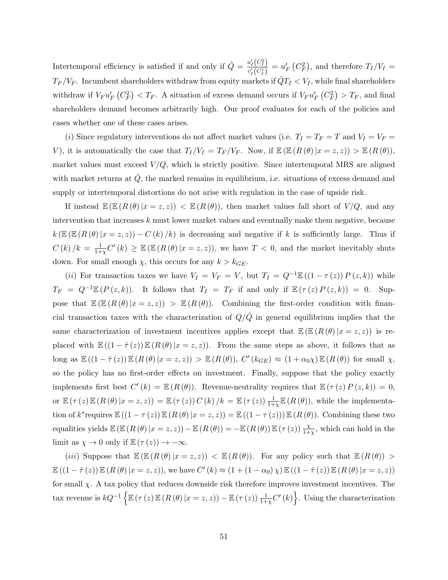Intertemporal efficiency is satisfied if and only if  $\hat{Q} = \frac{u_I'(C_I^2)}{J(G)}$  $u_I^{\prime\prime}(C_I^1) = u_F^{\prime\prime}(C_F^2)$ , and therefore  $T_I/V_I =$  $T_F/V_F.$  Incumbent shareholders withdraw from equity markets if  $\hat{Q}T_I < V_I,$  while final shareholders withdraw if  $V_F u'_F (C_F^2) < T_F$ . A situation of excess demand occurs if  $V_F u'_F (C_F^2) > T_F$ , and final shareholders demand becomes arbitrarily high. Our proof evaluates for each of the policies and cases whether one of these cases arises.

(i) Since regulatory interventions do not affect market values (i.e.  $T_I = T_F = T$  and  $V_I = V_F =$ V), it is automatically the case that  $T_I/V_I = T_F/V_F$ . Now, if  $\mathbb{E}(\mathbb{E} (R(\theta)|x=z,z)) > \mathbb{E} (R(\theta))$ , market values must exceed  $V/Q$ , which is strictly positive. Since intertemporal MRS are aligned with market returns at  $\hat{Q}$ , the marked remains in equilibrium, i.e. situations of excess demand and supply or intertemporal distortions do not arise with regulation in the case of upside risk.

If instead  $\mathbb{E}(\mathbb{E}(R(\theta)|x=z,z)) < \mathbb{E}(R(\theta))$ , then market values fall short of  $V/Q$ , and any intervention that increases  $k$  must lower market values and eventually make them negative, because  $k(\mathbb{E} (R(\theta) | x = z, z)) - C(k)/k)$  is decreasing and negative if k is sufficiently large. Thus if  $C(k)/k = \frac{1}{1+k}$  $\frac{1}{1+\chi}C'(k) \geq \mathbb{E}\left(\mathbb{E}\left(R(\theta)\middle|x=z,z\right)\right),\right.$  we have  $T<0$ , and the market inevitably shuts down. For small enough  $\chi$ , this occurs for any  $k > k_{GE}$ .

(ii) For transaction taxes we have  $V_I = V_F = V$ , but  $T_I = Q^{-1} \mathbb{E} ((1 - \tau (z)) P(z, k))$  while  $T_F = Q^{-1} \mathbb{E} (P(z,k))$ . It follows that  $T_I = T_F$  if and only if  $\mathbb{E} (\tau(z) P(z,k)) = 0$ . Suppose that  $\mathbb{E} (\mathbb{E} (R(\theta) | x = z, z)) > \mathbb{E} (R(\theta))$ . Combining the first-order condition with financial transaction taxes with the characterization of  $Q/\hat{Q}$  in general equilibrium implies that the same characterization of investment incentives applies except that  $\mathbb{E} (\mathbb{E} (R(\theta) | x = z, z))$  is replaced with  $\mathbb{E}((1 - \hat{\tau}(z)) \mathbb{E}(R(\theta)|x = z, z))$ . From the same steps as above, it follows that as long as  $\mathbb{E}((1-\hat{\tau}(z))\mathbb{E}(R(\theta)|x=z,z)) > \mathbb{E}(R(\theta)), C'(k_{GE}) \approx (1+\alpha_0\chi)\mathbb{E}(R(\theta))$  for small  $\chi$ , so the policy has no first-order effects on investment. Finally, suppose that the policy exactly implements first best  $C'(k) = \mathbb{E} (R(\theta))$ . Revenue-neutrality requires that  $\mathbb{E} (\tau(z) P(z, k)) = 0$ , or  $\mathbb{E}(\tau(z)\mathbb{E}(R(\theta)|x=z,z)) = \mathbb{E}(\tau(z)) C(k)/k = \mathbb{E}(\tau(z)) \frac{1}{1+\chi} \mathbb{E}(R(\theta)),$  while the implementation of  $k^*$ requires  $\mathbb{E}((1 - \tau(z)) \mathbb{E}(R(\theta)|x = z, z)) = \mathbb{E}((1 - \tau(z))) \mathbb{E}(R(\theta)).$  Combining these two equalities yields  $\mathbb{E}\left(\mathbb{E}\left(R\left(\theta\right)|x=z,z\right)\right)-\mathbb{E}\left(R\left(\theta\right)\right)=-\mathbb{E}\left(R\left(\theta\right)\right)\mathbb{E}\left(\tau\left(z\right)\right)\frac{\chi}{1+\chi}$ , which can hold in the limit as  $\chi \to 0$  only if  $\mathbb{E}(\tau(z)) \to -\infty$ .

(iii) Suppose that  $\mathbb{E} (\mathbb{E} (R (\theta) | x = z, z)) < \mathbb{E} (R (\theta))$ . For any policy such that  $\mathbb{E} (R (\theta)) >$  $\mathbb{E}((1-\hat{\tau}(z))\mathbb{E}(R(\theta)|x=z,z)),$  we have  $C'(k) \approx (1+(1-\alpha_0)\chi)\mathbb{E}((1-\hat{\tau}(z))\mathbb{E}(R(\theta)|x=z,z))$ for small  $\chi$ . A tax policy that reduces downside risk therefore improves investment incentives. The  $\text{tax revenue is } kQ^{-1}\left\{\mathbb{E}\left(\tau\left(z\right)\mathbb{E}\left(R\left(\theta\right)|x=z,z\right)\right)-\mathbb{E}\left(\tau\left(z\right)\right)\frac{1}{1+\chi}C'\left(k\right)\right\}.$  Using the characterization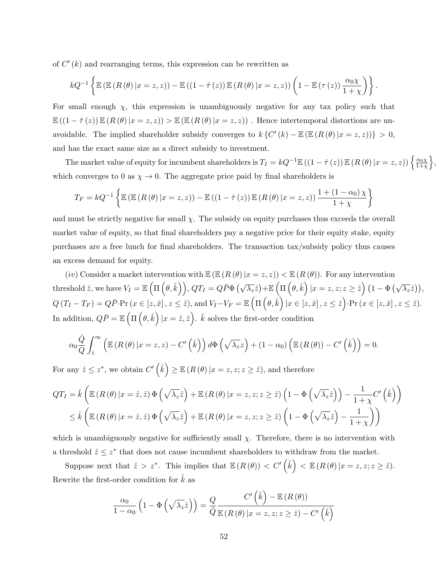of  $C'(k)$  and rearranging terms, this expression can be rewritten as

$$
kQ^{-1}\left\{\mathbb{E}\left(\mathbb{E}\left(R\left(\theta\right)|x=z,z\right)\right)-\mathbb{E}\left(\left(1-\hat{\tau}\left(z\right)\right)\mathbb{E}\left(R\left(\theta\right)|x=z,z\right)\right)\left(1-\mathbb{E}\left(\tau\left(z\right)\right)\frac{\alpha_0\chi}{1+\chi}\right)\right\}.
$$

For small enough  $\chi$ , this expression is unambiguously negative for any tax policy such that  $\mathbb{E}((1-\hat{\tau}(z))\mathbb{E}(R(\theta)|x=z,z)) > \mathbb{E}(\mathbb{E}(R(\theta)|x=z,z))$ . Hence intertemporal distortions are unavoidable. The implied shareholder subsidy converges to  $k\left\{C'(k) - \mathbb{E}\left(\mathbb{E}\left(R(\theta)|x=z,z\right)\right)\right\} > 0$ , and has the exact same size as a direct subsidy to investment.

The market value of equity for incumbent shareholders is  $T_I = kQ^{-1} \mathbb{E}((1 - \hat{\tau}(z)) \mathbb{E} (R(\theta) | x = z, z)) \left\{ \frac{\alpha_0 \chi}{1 + \gamma} \right\}$  $\frac{\alpha_0 \chi}{1+\chi}$ , which converges to 0 as  $\chi \rightarrow 0$ . The aggregate price paid by final shareholders is

$$
T_F = kQ^{-1} \left\{ \mathbb{E} \left( \mathbb{E} \left( R \left( \theta \right) | x = z, z \right) \right) - \mathbb{E} \left( \left( 1 - \hat{\tau} \left( z \right) \right) \mathbb{E} \left( R \left( \theta \right) | x = z, z \right) \right) \frac{1 + \left( 1 - \alpha_0 \right) \chi}{1 + \chi} \right\}
$$

and must be strictly negative for small  $\chi$ . The subsidy on equity purchases thus exceeds the overall market value of equity, so that final shareholders pay a negative price for their equity stake, equity purchases are a free lunch for final shareholders. The transaction tax/subsidy policy thus causes an excess demand for equity.

(iv) Consider a market intervention with  $\mathbb{E} (E(R(\theta)|x=z,z)) < \mathbb{E} (R(\theta))$ . For any intervention  $\text{threshold } \hat{z}, \text{ we have } V_I = \mathbb{E} \left( \Pi \left( \theta, \hat{k} \right) \right), QT_I = Q\bar{P} \Phi \left( \sqrt{\lambda_z} \hat{z} \right) + \mathbb{E} \left( \Pi \left( \theta, \hat{k} \right) \vert x = z, z; z \geq \hat{z} \right) \left( 1 - \Phi \left( \sqrt{\lambda_z} \hat{z} \right) \right),$  $Q\left(T_{I}-T_{F}\right)=Q\bar{P}\cdot\Pr\left(x\in\left[z,\hat{x}\right],z\le\hat{z}\right),\text{and}\ V_{I}-V_{F}=\mathbb{E}\left(\Pi\left(\theta,\hat{k}\right)\vert x\in\left[z,\hat{x}\right],z\le\hat{z}\right)\cdot\Pr\left(x\in\left[z,\hat{x}\right],z\le\hat{z}\right).$ In addition,  $Q\bar{P} = \mathbb{E} \left( \Pi \left( \theta, \hat{k} \right) | x = \hat{z}, \hat{z} \right)$ .  $\hat{k}$  solves the first-order condition

$$
\alpha_0 \frac{\hat{Q}}{Q} \int_{\hat{z}}^{\infty} \left( \mathbb{E} \left( R \left( \theta \right) \vert x = z, z \right) - C' \left( \hat{k} \right) \right) d\Phi \left( \sqrt{\lambda_z} z \right) + (1 - \alpha_0) \left( \mathbb{E} \left( R \left( \theta \right) \right) - C' \left( \hat{k} \right) \right) = 0.
$$

For any  $\hat{z} \leq z^*$ , we obtain  $C'(\hat{k}) \geq \mathbb{E}(R(\theta) | x = z, z; z \geq \hat{z})$ , and therefore

$$
QT_{I} = \hat{k} \left( \mathbb{E} \left( R \left( \theta \right) \middle| x = \hat{z}, \hat{z} \right) \Phi \left( \sqrt{\lambda_{z}} \hat{z} \right) + \mathbb{E} \left( R \left( \theta \right) \middle| x = z, z; z \geq \hat{z} \right) \left( 1 - \Phi \left( \sqrt{\lambda_{z}} \hat{z} \right) \right) - \frac{1}{1 + \chi} C' \left( \hat{k} \right) \right) \newline \leq \hat{k} \left( \mathbb{E} \left( R \left( \theta \right) \middle| x = \hat{z}, \hat{z} \right) \Phi \left( \sqrt{\lambda_{z}} \hat{z} \right) + \mathbb{E} \left( R \left( \theta \right) \middle| x = z, z; z \geq \hat{z} \right) \left( 1 - \Phi \left( \sqrt{\lambda_{z}} \hat{z} \right) - \frac{1}{1 + \chi} \right) \right)
$$

which is unambiguously negative for sufficiently small  $\chi$ . Therefore, there is no intervention with a threshold  $\hat{z} \leq z^*$  that does not cause incumbent shareholders to withdraw from the market.

Suppose next that  $\hat{z} > z^*$ . This implies that  $\mathbb{E} (R(\theta)) < C'(\hat{k}) < \mathbb{E} (R(\theta)|x = z, z; z \geq \hat{z})$ . Rewrite the first-order condition for  $\hat{k}$  as

 $\lambda$ 

$$
\frac{\alpha_0}{1-\alpha_0} \left(1 - \Phi\left(\sqrt{\lambda_z}\hat{z}\right)\right) = \frac{Q}{\hat{Q}} \frac{C'\left(\hat{k}\right) - \mathbb{E}\left(R\left(\theta\right)\right)}{\mathbb{E}\left(R\left(\theta\right)|x = z, z; z \ge \hat{z}\right) - C'\left(\hat{k}\right)}
$$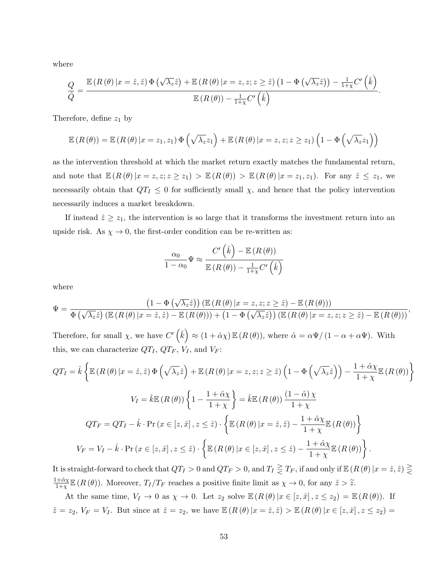where

$$
\frac{Q}{\hat{Q}} = \frac{\mathbb{E}\left(R\left(\theta\right)|x=\hat{z},\hat{z}\right)\Phi\left(\sqrt{\lambda_{z}}\hat{z}\right) + \mathbb{E}\left(R\left(\theta\right)|x=z,z;z\geq\hat{z}\right)\left(1-\Phi\left(\sqrt{\lambda_{z}}\hat{z}\right)\right) - \frac{1}{1+\chi}C'\left(\hat{k}\right)}{\mathbb{E}\left(R\left(\theta\right)\right) - \frac{1}{1+\chi}C'\left(\hat{k}\right)}.
$$

Therefore, define  $z_1$  by

$$
\mathbb{E}\left(R\left(\theta\right)\right) = \mathbb{E}\left(R\left(\theta\right)|x=z_1,z_1\right)\Phi\left(\sqrt{\lambda_z}z_1\right) + \mathbb{E}\left(R\left(\theta\right)|x=z,z;z\geq z_1\right)\left(1-\Phi\left(\sqrt{\lambda_z}z_1\right)\right)
$$

as the intervention threshold at which the market return exactly matches the fundamental return, and note that  $\mathbb{E} (R(\theta) | x = z, z; z \geq z_1) > \mathbb{E} (R(\theta)) > \mathbb{E} (R(\theta) | x = z_1, z_1)$ . For any  $\hat{z} \leq z_1$ , we necessarily obtain that  $QT<sub>I</sub> \leq 0$  for sufficiently small  $\chi$ , and hence that the policy intervention necessarily induces a market breakdown.

If instead  $\hat{z} \geq z_1$ , the intervention is so large that it transforms the investment return into an upside risk. As  $\chi \to 0$ , the first-order condition can be re-written as:

$$
\frac{\alpha_0}{1 - \alpha_0} \Psi \approx \frac{C'\left(\hat{k}\right) - \mathbb{E}\left(R\left(\theta\right)\right)}{\mathbb{E}\left(R\left(\theta\right)\right) - \frac{1}{1 + \chi} C'\left(\hat{k}\right)}
$$

where

$$
\Psi = \frac{\left(1-\Phi\left(\sqrt{\lambda_z}\hat{z}\right)\right)\left(\mathbb{E}\left(R\left(\theta\right)|x=z,z;z\ge\hat{z}\right)-\mathbb{E}\left(R\left(\theta\right)\right)\right)}{\Phi\left(\sqrt{\lambda_z}\hat{z}\right)\left(\mathbb{E}\left(R\left(\theta\right)|x=\hat{z},\hat{z}\right)-\mathbb{E}\left(R\left(\theta\right)\right)\right)+\left(1-\Phi\left(\sqrt{\lambda_z}\hat{z}\right)\right)\left(\mathbb{E}\left(R\left(\theta\right)|x=z,z;z\ge\hat{z}\right)-\mathbb{E}\left(R\left(\theta\right)\right)\right)},
$$

Therefore, for small  $\chi$ , we have  $C'(\hat{k}) \approx (1 + \hat{\alpha}\chi) \mathbb{E}(R(\theta))$ , where  $\hat{\alpha} = \alpha\Psi/(1 - \alpha + \alpha\Psi)$ . With this, we can characterize  $QT_I$ ,  $QT_F$ ,  $V_I$ , and  $V_F$ :

$$
QT_{I} = \hat{k} \left\{ \mathbb{E} \left( R \left( \theta \right) \middle| x = \hat{z}, \hat{z} \right) \Phi \left( \sqrt{\lambda_{z}} \hat{z} \right) + \mathbb{E} \left( R \left( \theta \right) \middle| x = z, z; z \geq \hat{z} \right) \left( 1 - \Phi \left( \sqrt{\lambda_{z}} \hat{z} \right) \right) - \frac{1 + \hat{\alpha} \chi}{1 + \chi} \mathbb{E} \left( R \left( \theta \right) \right) \right\}
$$
  
\n
$$
V_{I} = \hat{k} \mathbb{E} \left( R \left( \theta \right) \right) \left\{ 1 - \frac{1 + \hat{\alpha} \chi}{1 + \chi} \right\} = \hat{k} \mathbb{E} \left( R \left( \theta \right) \right) \frac{\left( 1 - \hat{\alpha} \right) \chi}{1 + \chi}
$$
  
\n
$$
QT_{F} = QT_{I} - \hat{k} \cdot \Pr \left( x \in [z, \hat{x}], z \leq \hat{z} \right) \cdot \left\{ \mathbb{E} \left( R \left( \theta \right) \middle| x = \hat{z}, \hat{z} \right) - \frac{1 + \hat{\alpha} \chi}{1 + \chi} \mathbb{E} \left( R \left( \theta \right) \right) \right\}
$$
  
\n
$$
V_{F} = V_{I} - \hat{k} \cdot \Pr \left( x \in [z, \hat{x}], z \leq \hat{z} \right) \cdot \left\{ \mathbb{E} \left( R \left( \theta \right) \middle| x \in [z, \hat{x}], z \leq \hat{z} \right) - \frac{1 + \hat{\alpha} \chi}{1 + \chi} \mathbb{E} \left( R \left( \theta \right) \right) \right\}.
$$

It is straight-forward to check that  $QT_I > 0$  and  $QT_F > 0$ , and  $T_I \ge T_F$ , if and only if  $\mathbb{E}(R(\theta) | x = \hat{z}, \hat{z}) \ge$  $1+\hat{\alpha}\chi$  $\frac{1+\hat{\alpha}\chi}{1+\chi}\mathbb{E}\left(R\left(\theta\right)\right)$ . Moreover,  $T_I/T_F$  reaches a positive finite limit as  $\chi \to 0$ , for any  $\hat{z} > \tilde{z}$ .

At the same time,  $V_I \to 0$  as  $\chi \to 0$ . Let  $z_2$  solve  $\mathbb{E} (R(\theta) | x \in [z, \hat{x}], z \leq z_2) = \mathbb{E} (R(\theta))$ . If  $\hat{z}=z_2, V_F=V_I$ . But since at  $\hat{z}=z_2$ , we have  $\mathbb{E}\left(R\left(\theta\right)|x=\hat{z},\hat{z}\right) > \mathbb{E}\left(R\left(\theta\right)|x\in[z,\hat{x}]\right)$ ,  $z\leq z_2$ )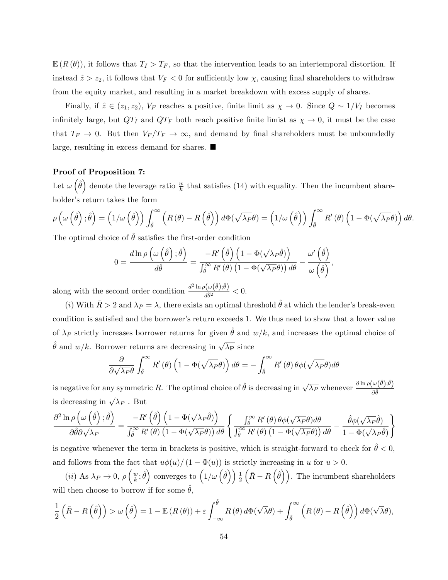$\mathbb{E}(R(\theta))$ , it follows that  $T_I > T_F$ , so that the intervention leads to an intertemporal distortion. If instead  $\hat{z} > z_2$ , it follows that  $V_F < 0$  for sufficiently low  $\chi$ , causing final shareholders to withdraw from the equity market, and resulting in a market breakdown with excess supply of shares.

Finally, if  $\hat{z} \in (z_1, z_2)$ ,  $V_F$  reaches a positive, finite limit as  $\chi \to 0$ . Since  $Q \sim 1/V_I$  becomes infinitely large, but  $QT_I$  and  $QT_F$  both reach positive finite limist as  $\chi \to 0$ , it must be the case that  $T_F \to 0$ . But then  $V_F/T_F \to \infty$ , and demand by final shareholders must be unboundedly large, resulting in excess demand for shares.

## Proof of Proposition 7:

Let  $\omega(\hat{\theta})$  denote the leverage ratio  $\frac{w}{k}$  that satisfies (14) with equality. Then the incumbent shareholder's return takes the form

$$
\rho\left(\omega\left(\hat{\theta}\right);\hat{\theta}\right) = \left(1/\omega\left(\hat{\theta}\right)\right)\int_{\hat{\theta}}^{\infty}\left(R\left(\theta\right) - R\left(\hat{\theta}\right)\right)d\Phi(\sqrt{\lambda_P}\theta) = \left(1/\omega\left(\hat{\theta}\right)\right)\int_{\hat{\theta}}^{\infty}R'\left(\theta\right)\left(1 - \Phi(\sqrt{\lambda_P}\theta)\right)d\theta.
$$

The optimal choice of  $\theta$  satisfies the first-order condition

$$
0 = \frac{d \ln \rho \left( \omega \left( \hat{\theta} \right); \hat{\theta} \right)}{d \hat{\theta}} = \frac{-R' \left( \hat{\theta} \right) \left( 1 - \Phi(\sqrt{\lambda_P} \hat{\theta}) \right)}{\int_{\hat{\theta}}^{\infty} R' \left( \theta \right) \left( 1 - \Phi(\sqrt{\lambda_P} \theta) \right) d\theta} - \frac{\omega' \left( \hat{\theta} \right)}{\omega \left( \hat{\theta} \right)},
$$

along with the second order condition  $\frac{d^2 \ln \rho(\omega(\hat{\theta});\hat{\theta})}{d\hat{\theta}^2} < 0$ .

(i) With  $\bar{R} > 2$  and  $\lambda_P = \lambda$ , there exists an optimal threshold  $\hat{\theta}$  at which the lender's break-even condition is satisfied and the borrower's return exceeds 1. We thus need to show that a lower value of  $\lambda_P$  strictly increases borrower returns for given  $\hat{\theta}$  and  $w/k$ , and increases the optimal choice of  $\hat{\theta}$  and  $w/k$ . Borrower returns are decreasing in  $\sqrt{\lambda_P}$  since

$$
\frac{\partial}{\partial \sqrt{\lambda_P} \theta} \int_{\hat{\theta}}^{\infty} R'(\theta) \left(1 - \Phi(\sqrt{\lambda_P} \theta)\right) d\theta = - \int_{\hat{\theta}}^{\infty} R'(\theta) \theta \phi(\sqrt{\lambda_P} \theta) d\theta
$$

is negative for any symmetric R. The optimal choice of  $\hat{\theta}$  is decreasing in  $\sqrt{\lambda_P}$  whenever  $\frac{\partial \ln \rho(\omega(\hat{\theta}), \hat{\theta})}{\partial \hat{\theta}}$ is decreasing in  $\sqrt{\lambda_P}$ . But

$$
\frac{\partial^2 \ln \rho\left(\omega\left(\hat{\theta}\right); \hat{\theta}\right)}{\partial \hat{\theta} \partial \sqrt{\lambda_P}} = \frac{-R'\left(\hat{\theta}\right)\left(1-\Phi(\sqrt{\lambda_P}\hat{\theta})\right)}{\int_{\hat{\theta}}^{\infty} R'\left(\theta\right)\left(1-\Phi(\sqrt{\lambda_P}\theta)\right) d\theta} \left\{ \frac{\int_{\hat{\theta}}^{\infty} R'\left(\theta\right) \theta \phi(\sqrt{\lambda_P}\theta) d\theta}{\int_{\hat{\theta}}^{\infty} R'\left(\theta\right)\left(1-\Phi(\sqrt{\lambda_P}\theta)\right) d\theta} - \frac{\hat{\theta} \phi(\sqrt{\lambda_P}\hat{\theta})}{1-\Phi(\sqrt{\lambda_P}\hat{\theta})} \right\}
$$

is negative whenever the term in brackets is positive, which is straight-forward to check for  $\theta < 0$ , and follows from the fact that  $u\phi(u)/(1-\Phi(u))$  is strictly increasing in u for  $u > 0$ .

(*ii*) As  $\lambda_P \to 0, \, \rho \left(\frac{w}{k}\right)$  $\left(\frac{w}{k};\hat{\theta}\right)$  converges to  $\left(1/\omega\left(\hat{\theta}\right)\right)$   $\frac{1}{2}\left(\bar{R}-R\left(\hat{\theta}\right)\right)$ . The incumbent shareholders will then choose to borrow if for some  $\hat{\theta}$ ,

$$
\frac{1}{2}\left(\bar{R}-R\left(\hat{\theta}\right)\right) > \omega\left(\hat{\theta}\right) = 1 - \mathbb{E}\left(R\left(\theta\right)\right) + \varepsilon \int_{-\infty}^{\hat{\theta}} R\left(\theta\right) d\Phi(\sqrt{\lambda}\theta) + \int_{\hat{\theta}}^{\infty} \left(R\left(\theta\right) - R\left(\hat{\theta}\right)\right) d\Phi(\sqrt{\lambda}\theta),
$$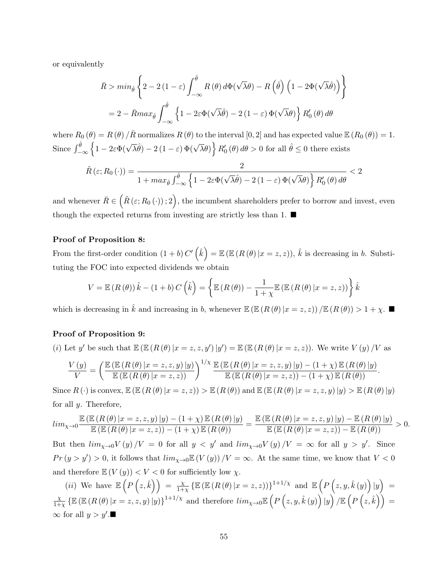or equivalently

$$
\bar{R} > min_{\hat{\theta}} \left\{ 2 - 2(1 - \varepsilon) \int_{-\infty}^{\hat{\theta}} R(\theta) d\Phi(\sqrt{\lambda}\theta) - R(\hat{\theta}) (1 - 2\Phi(\sqrt{\lambda}\hat{\theta})) \right\}
$$

$$
= 2 - \bar{R} max_{\hat{\theta}} \int_{-\infty}^{\hat{\theta}} \left\{ 1 - 2\varepsilon \Phi(\sqrt{\lambda}\hat{\theta}) - 2(1 - \varepsilon) \Phi(\sqrt{\lambda}\theta) \right\} R_0'(\theta) d\theta
$$

where  $R_0(\theta) = R(\theta) / \bar{R}$  normalizes  $R(\theta)$  to the interval  $[0, 2]$  and has expected value  $\mathbb{E}(R_0(\theta)) = 1$ . Since  $\int_{-\infty}^{\hat{\theta}} \left\{ 1 - 2\varepsilon \Phi(\sqrt{\lambda} \hat{\theta}) - 2 (1 - \varepsilon) \Phi(\sqrt{\lambda} \theta) \right\} R'_0(\theta) d\theta > 0$  for all  $\hat{\theta} \leq 0$  there exists

$$
\tilde{R}(\varepsilon; R_0(\cdot)) = \frac{2}{1 + \max_{\hat{\theta}} \int_{-\infty}^{\hat{\theta}} \left\{ 1 - 2\varepsilon \Phi(\sqrt{\lambda}\hat{\theta}) - 2(1 - \varepsilon) \Phi(\sqrt{\lambda}\theta) \right\} R'_0(\theta) d\theta} < 2
$$

and whenever  $\bar{R} \in (\tilde{R}(\varepsilon; R_0(\cdot)); 2),$  the incumbent shareholders prefer to borrow and invest, even though the expected returns from investing are strictly less than 1.  $\blacksquare$ 

## Proof of Proposition 8:

From the first-order condition  $(1 + b) C'(\hat{k}) = \mathbb{E} (\mathbb{E} (R(\theta) | x = z, z))$ ,  $\hat{k}$  is decreasing in b. Substituting the FOC into expected dividends we obtain

$$
V = \mathbb{E}\left(R\left(\theta\right)\right)\hat{k} - (1+b)C\left(\hat{k}\right) = \left\{\mathbb{E}\left(R\left(\theta\right)\right) - \frac{1}{1+\chi}\mathbb{E}\left(\mathbb{E}\left(R\left(\theta\right)|x=z,z\right)\right)\right\}\hat{k}
$$

which is decreasing in  $\hat{k}$  and increasing in b, whenever  $\mathbb{E} (\mathbb{E} (R(\theta) | x = z, z)) / \mathbb{E} (R(\theta)) > 1 + \chi$ .

#### Proof of Proposition 9:

(i) Let y' be such that  $\mathbb{E} (\mathbb{E} (R(\theta) | x = z, z, y') | y') = \mathbb{E} (\mathbb{E} (R(\theta) | x = z, z))$ . We write  $V(y)/V$  as

$$
\frac{V(y)}{V} = \left(\frac{\mathbb{E}\left(\mathbb{E}\left(R\left(\theta\right)|x=z,z,y\right)|y\right)}{\mathbb{E}\left(\mathbb{E}\left(R\left(\theta\right)|x=z,z\right)\right)}\right)^{1/\chi} \frac{\mathbb{E}\left(\mathbb{E}\left(R\left(\theta\right)|x=z,z,y\right)|y\right) - (1+\chi)\mathbb{E}\left(R\left(\theta\right)|y\right)}{\mathbb{E}\left(\mathbb{E}\left(R\left(\theta\right)|x=z,z\right)\right) - (1+\chi)\mathbb{E}\left(R\left(\theta\right)\right)}.
$$

Since  $R(\cdot)$  is convex,  $\mathbb{E} (R(\theta) | x = z, z)$ )  $> \mathbb{E} (R(\theta))$  and  $\mathbb{E} (R(\theta) | x = z, z, y) | y$ )  $> \mathbb{E} (R(\theta) | y)$ for all y. Therefore,

$$
lim_{\chi \rightarrow 0} \frac{\mathbb{E}\left(\mathbb{E}\left(R\left(\theta\right) \vert x=z,z,y\right) \vert y\right)-\left(1+\chi\right) \mathbb{E}\left(R\left(\theta\right) \vert y\right)}{\mathbb{E}\left(\mathbb{E}\left(R\left(\theta\right) \vert x=z,z\right)\right)-\left(1+\chi\right) \mathbb{E}\left(R\left(\theta\right) \vert y\right)}=\frac{\mathbb{E}\left(\mathbb{E}\left(R\left(\theta\right) \vert x=z,z,y\right) \vert y\right)-\mathbb{E}\left(R\left(\theta\right) \vert y\right)}{\mathbb{E}\left(\mathbb{E}\left(R\left(\theta\right) \vert x=z,z\right)\right)-\mathbb{E}\left(R\left(\theta\right) \vert y\right)}>0.
$$

But then  $\lim_{\chi\to 0} V(y)/V = 0$  for all  $y < y'$  and  $\lim_{\chi\to 0} V(y)/V = \infty$  for all  $y > y'$ . Since  $Pr(y > y') > 0$ , it follows that  $lim_{\chi \to 0} \mathbb{E}(V(y)) / V = \infty$ . At the same time, we know that  $V < 0$ and therefore  $\mathbb{E}(V(y)) < V < 0$  for sufficiently low  $\chi$ .

(*ii*) We have  $\mathbb{E}\left(P\left(z,\hat{k}\right)\right) = \frac{\chi}{1+\chi}$  $\frac{\chi}{1+\chi} \left\{ \mathbb{E} \left( \mathbb{E} \left( R \left( \theta \right) | x = z , z \right) \right) \right\}^{1+1/\chi} \; \, \mathrm{and} \; \, \mathbb{E} \left( P \left( z , y , \hat{k} \left( y \right) \right) | y \right) \; = \;$ χ  $\frac{\chi}{1+\chi} \left\{ \mathbb{E} \left( \mathbb{E} \left( R \left( \theta \right) | x = z,z,y \right) | y \right) \right\}^{1+1/\chi} \text{ and therefore } \lim_{\chi \to 0} \mathbb{E} \left( P \left( z,y,\hat{k}\left( y \right) \right) | y \right) / \mathbb{E} \left( P \left( z,\hat{k} \right) \right) = 0$  $\infty$  for all  $y > y'$ .■